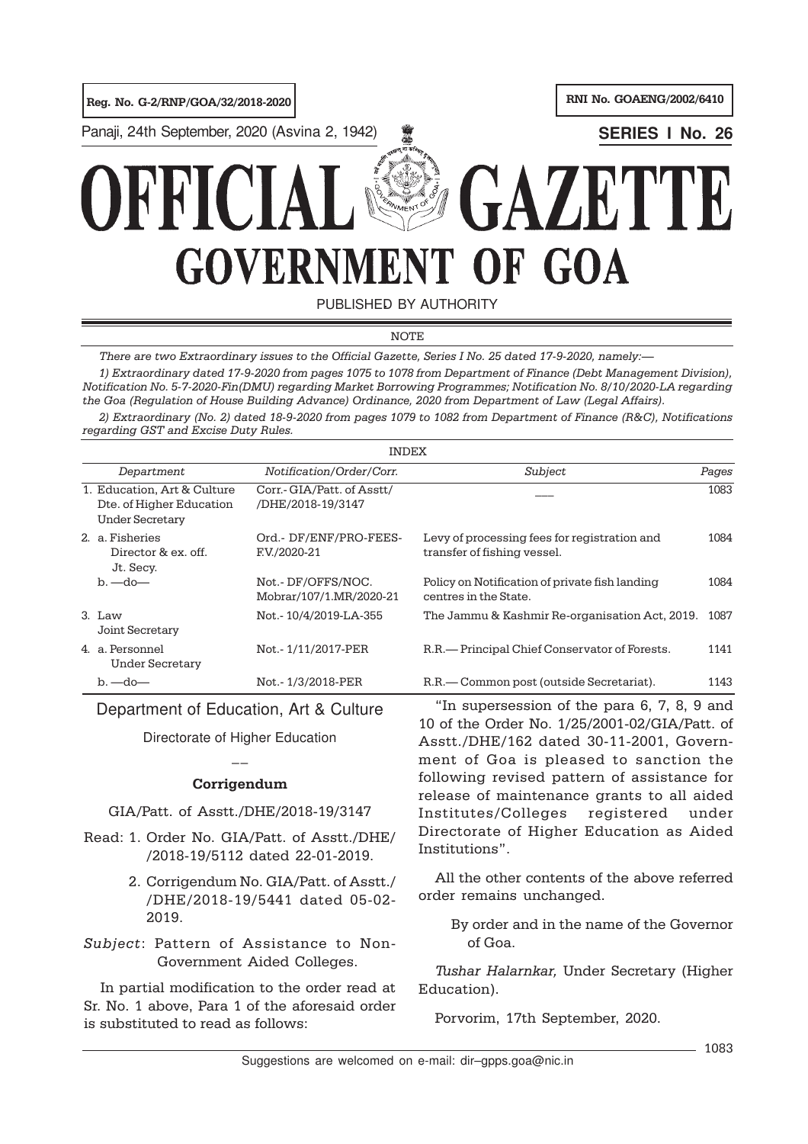Reg. No. G-2/RNP/GOA/32/2018-2020 | RNI No. GOAENG/2002/6410

Panaji, 24th September, 2020 (Asvina 2, 1942) **<b>SERIES I No. 26 SERIES I No. 26** 

# GAZET **GOVERNMENT** OF GOA

PUBLISHED BY AUTHORITY

NOTE NOTE

There are two Extraordinary issues to the Official Gazette, Series I No. 25 dated 17-9-2020, namely:—

, patraorumary dated 17-9-2020 nom pages 1075 to 1070 nom beparament of Finance (Best Management Bivision),<br>Notification No. 5-7-2020-Fin(DMU) regarding Market Borrowing Programmes; Notification No. 8/10/2020-LA regarding No. 5-7-2020-Fin(DMU) regarding Market Borrowing Programme. the Goa (Regulation of House Building Advance) Ordinance, 2020 from Department of Law (Legal Affairs). 1) Extraordinary dated 17-9-2020 from pages 1075 to 1078 from Department of Finance (Debt Management Division),

2) Extraordinary (No. 2) dated 18-9-2020 from pages 1079 to 1082 from Department of Finance (R&C), Notifications regarding GST and Excise Duty Rules.

|                                                                                   | <b>INDEX</b>                                    |                                                                             |       |
|-----------------------------------------------------------------------------------|-------------------------------------------------|-----------------------------------------------------------------------------|-------|
| Department                                                                        | Notification/Order/Corr.                        | Subject                                                                     | Pages |
| 1. Education, Art & Culture<br>Dte. of Higher Education<br><b>Under Secretary</b> | Corr.- GIA/Patt. of Asstt/<br>/DHE/2018-19/3147 |                                                                             | 1083  |
| 2. a. Fisheries<br>Director & ex. off.<br>Jt. Secy.                               | Ord.- DF/ENF/PRO-FEES-<br>F.V./2020-21          | Levy of processing fees for registration and<br>transfer of fishing vessel. | 1084  |
| $b.$ —do—                                                                         | Not. - DF/OFFS/NOC.<br>Mobrar/107/1.MR/2020-21  | Policy on Notification of private fish landing<br>centres in the State.     | 1084  |
| 3. Law<br>Joint Secretary                                                         | Not. - 10/4/2019-LA-355                         | The Jammu & Kashmir Re-organisation Act, 2019.                              | 1087  |
| 4. a Personnel<br>Under Secretary                                                 | Not. - 1/11/2017-PER                            | R.R.— Principal Chief Conservator of Forests.                               | 1141  |
| $b.$ —do—                                                                         | Not.-1/3/2018-PER                               | R.R.— Common post (outside Secretariat).                                    | 1143  |

Department of Education, Art & Culture

Directorate of Higher Education  $\overline{a}$ 

## Corrigendum

GIA/Patt. of Asstt./DHE/2018-19/3147

- Read: 1. Order No. GIA/Patt. of Asstt./DHE/ /2018-19/5112 dated 22-01-2019.
	- 2. Corrigendum No. GIA/Patt. of Asstt./ /DHE/2018-19/5441 dated 05-02- 2019.
- Subject: Pattern of Assistance to Non-Government Aided Colleges.

In partial modification to the order read at Sr. No. 1 above, Para 1 of the aforesaid order is substituted to read as follows:

"In supersession of the para 6, 7, 8, 9 and 10 of the Order No. 1/25/2001-02/GIA/Patt. of Asstt./DHE/162 dated 30-11-2001, Government of Goa is pleased to sanction the following revised pattern of assistance for release of maintenance grants to all aided Institutes/Colleges registered under Directorate of Higher Education as Aided Institutions".

All the other contents of the above referred order remains unchanged.

By order and in the name of the Governor of Goa.

Tushar Halarnkar, Under Secretary (Higher Education).

Porvorim, 17th September, 2020.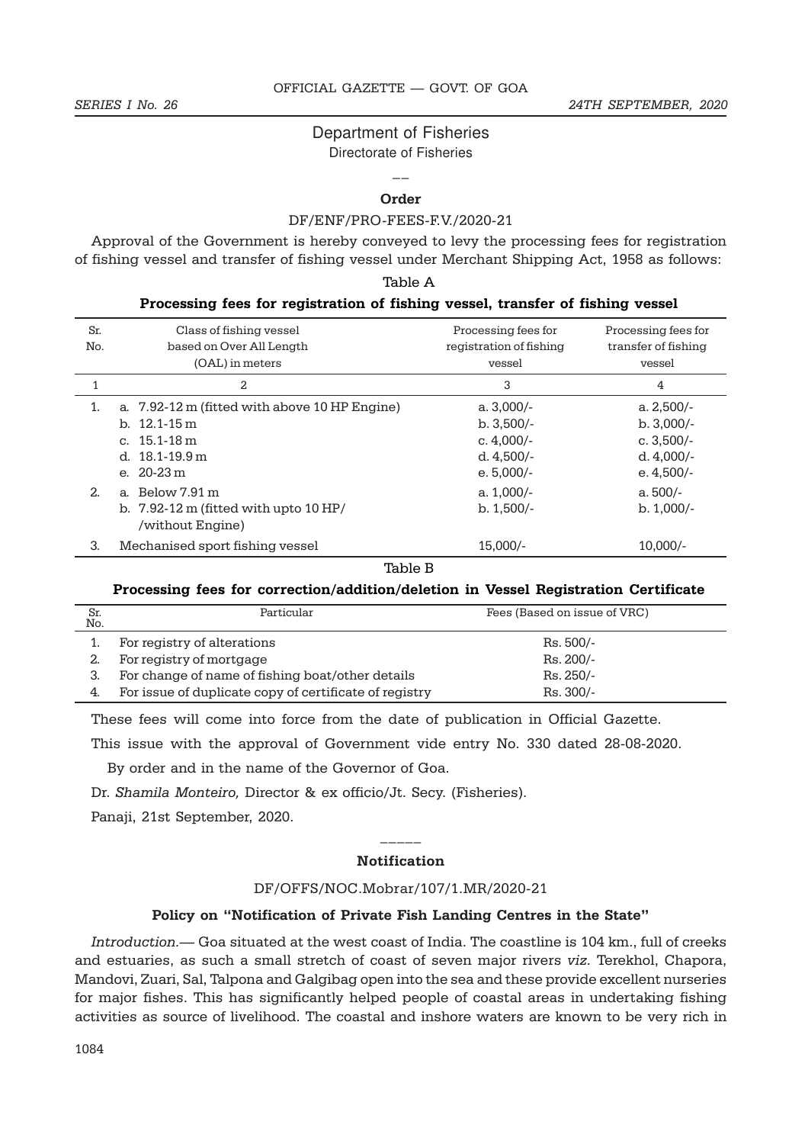# Department of Fisheries

Directorate of Fisheries  $\overline{a}$ 

### Order

#### DF/ENF/PRO-FEES-F.V./2020-21

Approval of the Government is hereby conveyed to levy the processing fees for registration of fishing vessel and transfer of fishing vessel under Merchant Shipping Act, 1958 as follows:

Table A

|            | Processing fees for registration of fishing vessel, transfer of fishing vessel |                                                |                                            |  |  |
|------------|--------------------------------------------------------------------------------|------------------------------------------------|--------------------------------------------|--|--|
| Sr.<br>No. | Class of fishing vessel<br>based on Over All Length                            | Processing fees for<br>registration of fishing | Processing fees for<br>transfer of fishing |  |  |
|            | (OAL) in meters                                                                | vessel                                         | vessel                                     |  |  |
| 1          | 2                                                                              | 3                                              | 4                                          |  |  |
| 1.         | a. 7.92-12 m (fitted with above 10 HP Engine)                                  | $a.3,000/-$                                    | a. $2,500/-$                               |  |  |
|            | b. $12.1 - 15 \text{ m}$                                                       | $b. 3,500/-$                                   | $b. 3,000/-$                               |  |  |
|            | c. $15.1 - 18 \text{ m}$                                                       | c. $4.000/-$                                   | c. $3,500/-$                               |  |  |
|            | d. $18.1 - 19.9$ m                                                             | d. $4,500/-$                                   | d. $4,000/-$                               |  |  |
|            | e. $20-23 \text{ m}$                                                           | e. $5,000/-$                                   | e. $4,500/-$                               |  |  |
| 2.         | a. Below 7.91 m                                                                | a. $1,000/-$                                   | a. 500/-                                   |  |  |
|            | b. $7.92-12 \text{ m}$ (fitted with upto $10 \text{ HP}/$<br>/without Engine)  | $b. 1,500/-$                                   | $b. 1,000/-$                               |  |  |
| 3.         | Mechanised sport fishing vessel                                                | $15,000/-$                                     | $10,000/-$                                 |  |  |

Table B

#### Processing fees for correction/addition/deletion in Vessel Registration Certificate

| Sr.<br>No. | Particular                                             | Fees (Based on issue of VRC) |
|------------|--------------------------------------------------------|------------------------------|
|            | For registry of alterations                            | Rs. 500/-                    |
|            | For registry of mortgage                               | Rs. 200/-                    |
|            | For change of name of fishing boat/other details       | $Rs.250/-$                   |
| 4.         | For issue of duplicate copy of certificate of registry | $Rs.300/-$                   |

These fees will come into force from the date of publication in Official Gazette.

This issue with the approval of Government vide entry No. 330 dated 28-08-2020.

By order and in the name of the Governor of Goa.

Dr. Shamila Monteiro, Director & ex officio/Jt. Secy. (Fisheries).

Panaji, 21st September, 2020.

# $\overline{\phantom{a}}$ **Notification**

#### DF/OFFS/NOC.Mobrar/107/1.MR/2020-21

#### Policy on "Notification of Private Fish Landing Centres in the State"

Introduction.— Goa situated at the west coast of India. The coastline is 104 km., full of creeks and estuaries, as such a small stretch of coast of seven major rivers viz. Terekhol, Chapora, Mandovi, Zuari, Sal, Talpona and Galgibag open into the sea and these provide excellent nurseries for major fishes. This has significantly helped people of coastal areas in undertaking fishing activities as source of livelihood. The coastal and inshore waters are known to be very rich in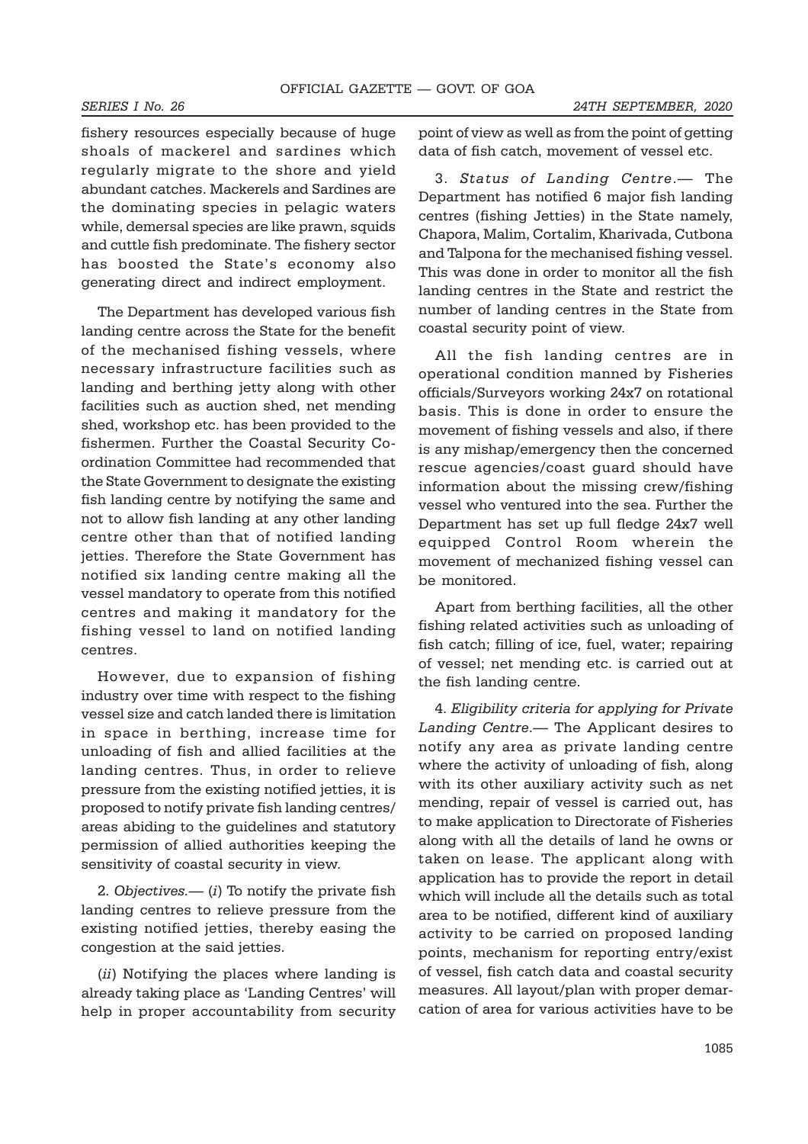fishery resources especially because of huge shoals of mackerel and sardines which regularly migrate to the shore and yield abundant catches. Mackerels and Sardines are the dominating species in pelagic waters while, demersal species are like prawn, squids and cuttle fish predominate. The fishery sector has boosted the State's economy also generating direct and indirect employment.

The Department has developed various fish landing centre across the State for the benefit of the mechanised fishing vessels, where necessary infrastructure facilities such as landing and berthing jetty along with other facilities such as auction shed, net mending shed, workshop etc. has been provided to the fishermen. Further the Coastal Security Coordination Committee had recommended that the State Government to designate the existing fish landing centre by notifying the same and not to allow fish landing at any other landing centre other than that of notified landing jetties. Therefore the State Government has notified six landing centre making all the vessel mandatory to operate from this notified centres and making it mandatory for the fishing vessel to land on notified landing centres.

However, due to expansion of fishing industry over time with respect to the fishing vessel size and catch landed there is limitation in space in berthing, increase time for unloading of fish and allied facilities at the landing centres. Thus, in order to relieve pressure from the existing notified jetties, it is proposed to notify private fish landing centres/ areas abiding to the guidelines and statutory permission of allied authorities keeping the sensitivity of coastal security in view.

2. Objectives.— (i) To notify the private fish landing centres to relieve pressure from the existing notified jetties, thereby easing the congestion at the said jetties.

(*ii*) Notifying the places where landing is already taking place as 'Landing Centres' will help in proper accountability from security point of view as well as from the point of getting data of fish catch, movement of vessel etc.

3. Status of Landing Centre.— The Department has notified 6 major fish landing centres (fishing Jetties) in the State namely, Chapora, Malim, Cortalim, Kharivada, Cutbona and Talpona for the mechanised fishing vessel. This was done in order to monitor all the fish landing centres in the State and restrict the number of landing centres in the State from coastal security point of view.

All the fish landing centres are in operational condition manned by Fisheries officials/Surveyors working 24x7 on rotational basis. This is done in order to ensure the movement of fishing vessels and also, if there is any mishap/emergency then the concerned rescue agencies/coast guard should have information about the missing crew/fishing vessel who ventured into the sea. Further the Department has set up full fledge 24x7 well equipped Control Room wherein the movement of mechanized fishing vessel can be monitored.

Apart from berthing facilities, all the other fishing related activities such as unloading of fish catch; filling of ice, fuel, water; repairing of vessel; net mending etc. is carried out at the fish landing centre.

4. Eligibility criteria for applying for Private Landing Centre.— The Applicant desires to notify any area as private landing centre where the activity of unloading of fish, along with its other auxiliary activity such as net mending, repair of vessel is carried out, has to make application to Directorate of Fisheries along with all the details of land he owns or taken on lease. The applicant along with application has to provide the report in detail which will include all the details such as total area to be notified, different kind of auxiliary activity to be carried on proposed landing points, mechanism for reporting entry/exist of vessel, fish catch data and coastal security measures. All layout/plan with proper demarcation of area for various activities have to be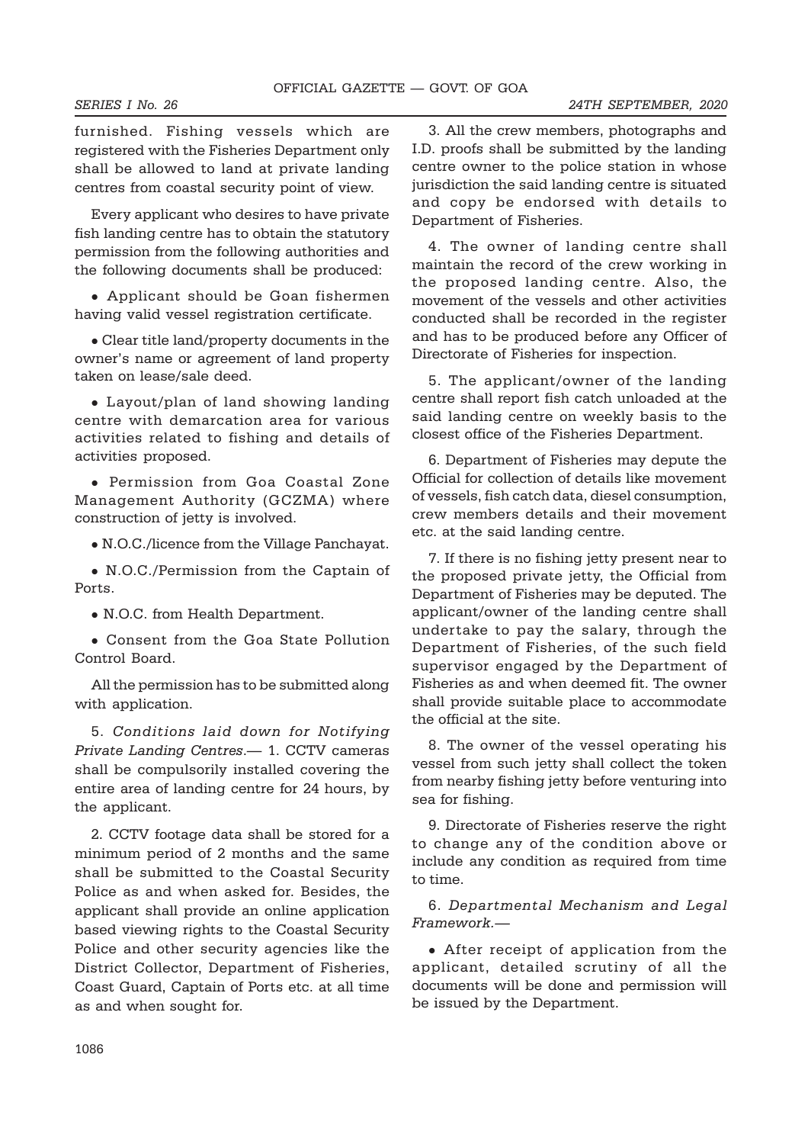furnished. Fishing vessels which are registered with the Fisheries Department only

Every applicant who desires to have private fish landing centre has to obtain the statutory permission from the following authorities and the following documents shall be produced:

shall be allowed to land at private landing centres from coastal security point of view.

• Applicant should be Goan fishermen having valid vessel registration certificate.

• Clear title land/property documents in the owner's name or agreement of land property taken on lease/sale deed.

• Layout/plan of land showing landing centre with demarcation area for various activities related to fishing and details of activities proposed.

• Permission from Goa Coastal Zone Management Authority (GCZMA) where construction of jetty is involved.

• N.O.C./licence from the Village Panchayat.

• N.O.C./Permission from the Captain of Ports.

• N.O.C. from Health Department.

• Consent from the Goa State Pollution Control Board.

All the permission has to be submitted along with application.

5. Conditions laid down for Notifying Private Landing Centres.— 1. CCTV cameras shall be compulsorily installed covering the entire area of landing centre for 24 hours, by the applicant.

2. CCTV footage data shall be stored for a minimum period of 2 months and the same shall be submitted to the Coastal Security Police as and when asked for. Besides, the applicant shall provide an online application based viewing rights to the Coastal Security Police and other security agencies like the District Collector, Department of Fisheries, Coast Guard, Captain of Ports etc. at all time as and when sought for.

3. All the crew members, photographs and I.D. proofs shall be submitted by the landing centre owner to the police station in whose jurisdiction the said landing centre is situated and copy be endorsed with details to Department of Fisheries.

4. The owner of landing centre shall maintain the record of the crew working in the proposed landing centre. Also, the movement of the vessels and other activities conducted shall be recorded in the register and has to be produced before any Officer of Directorate of Fisheries for inspection.

5. The applicant/owner of the landing centre shall report fish catch unloaded at the said landing centre on weekly basis to the closest office of the Fisheries Department.

6. Department of Fisheries may depute the Official for collection of details like movement of vessels, fish catch data, diesel consumption, crew members details and their movement etc. at the said landing centre.

7. If there is no fishing jetty present near to the proposed private jetty, the Official from Department of Fisheries may be deputed. The applicant/owner of the landing centre shall undertake to pay the salary, through the Department of Fisheries, of the such field supervisor engaged by the Department of Fisheries as and when deemed fit. The owner shall provide suitable place to accommodate the official at the site.

8. The owner of the vessel operating his vessel from such jetty shall collect the token from nearby fishing jetty before venturing into sea for fishing.

9. Directorate of Fisheries reserve the right to change any of the condition above or include any condition as required from time to time.

6. Departmental Mechanism and Legal Framework.—

• After receipt of application from the applicant, detailed scrutiny of all the documents will be done and permission will be issued by the Department.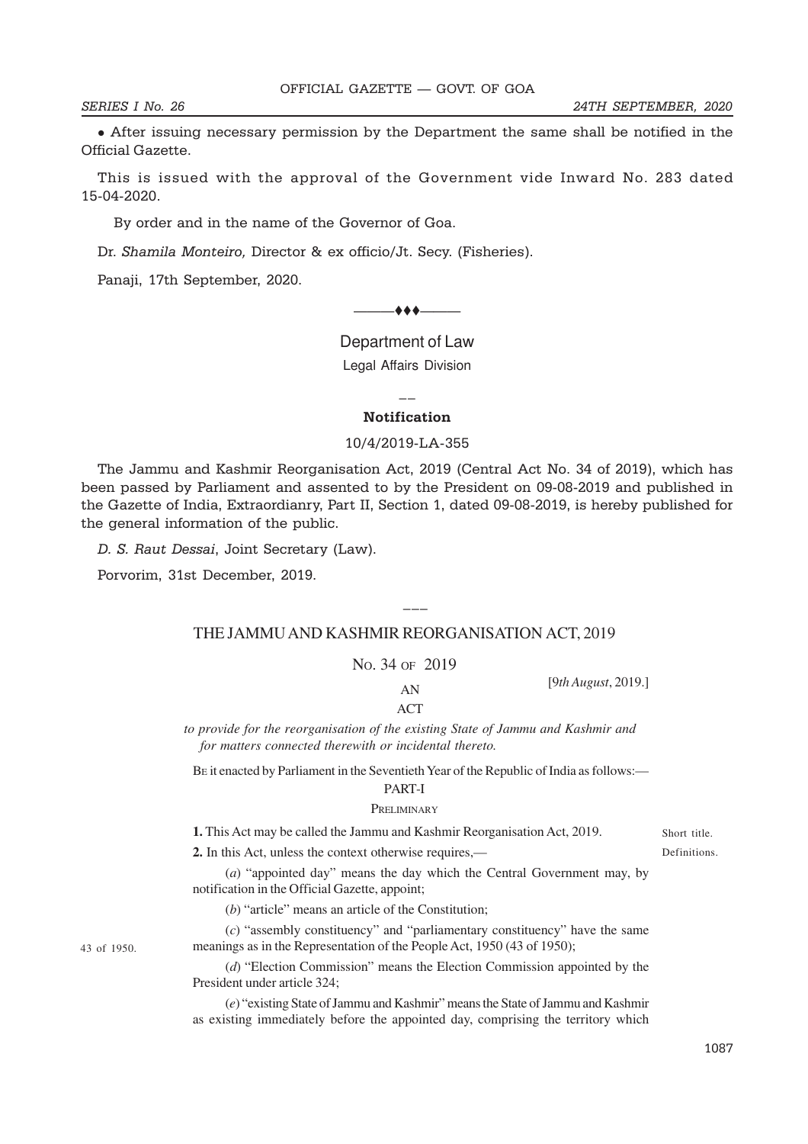**•** After issuing necessary permission by the Department the same shall be notified in the Official Gazette.

This is issued with the approval of the Government vide Inward No. 283 dated 15-04-2020.

By order and in the name of the Governor of Goa.

Dr. Shamila Monteiro, Director & ex officio/Jt. Secy. (Fisheries).

**—( ) —**

Panaji, 17th September, 2020.

———ttt——— **EXTRAORDINARY**

**Department of Law I** — 1 **Legal Affairs Division** II — **DIVIC PART II — Section 1**

 $\overline{a}$ 

# **Notification NUTHERION**

# 10/4/2019-LA-355 **No. 53] NEW DELHI, FRIDAY, AUGUST 9, 2019/SHRAVANA 18, 1941 (SAKA)**

**No. 53] NEW DELHI, FRIDAY, AUGUST 9, 2019/SHRAVANA 18, 1941 (SAKA)** the Gazette of India, Extraordianry, Part II, Section 1, dated 09-08-2019, is hereby published for The Jammu and Kashmir Reorganisation Act, 2019 (Central Act No. 34 of 2019), which has been passed by Parliament and assented to by the President on 09-08-2019 and published in the general information of the public. nu and Kashmir Reorganisation Act, 2019 (Central Act No. 34 or 20

D. S. Raut Dessai, Joint Secretary (Law).  $\int$   $\frac{1}{2}$   $\frac{1}{2}$   $\frac{1}{2}$   $\frac{1}{2}$   $\frac{1}{2}$   $\frac{1}{2}$   $\frac{1}{2}$   $\frac{1}{2}$   $\frac{1}{2}$   $\frac{1}{2}$   $\frac{1}{2}$   $\frac{1}{2}$   $\frac{1}{2}$   $\frac{1}{2}$   $\frac{1}{2}$   $\frac{1}{2}$   $\frac{1}{2}$   $\frac{1}{2}$   $\frac{1}{2}$   $\frac{1}{2}$   $\frac{1}{2}$   $\frac{1}{$ 

Porvorim, 31st December, 2019. *New Delhi, the* 9*th August,* 2019/*Shravana* 18*,* 1941 (*Saka*)

43 of 1950.

#### THE LAMMU AND KASHMIR REORGANISATION ACT 2010 THE JAMMU AND KASHMIR REORGANISATION ACT, 2019

9th August, 2019, and is hereby published for general information:—

The following Act of Parliament received the assent of the President on the

 $\overline{\phantom{a}}$ 

 $\mathbf{N}$  and  $\mathbf{R}$  and  $\mathbf{R}$ No. 34 OF 2019

[9*th August*, 2019.]

AN ACT to provide for the resort of the existing State of the existing State of Tammu and State of Tammu and State of Tammu and State of Tammu and State of Tammu and State of Tammu and State of Tammu and State of Tammu and St ACT

to provide for the reorganisation of the existing State of Jammu and Kashmir and for matters connected therewith or incidental thereto. *D.* S. *Haut Dessai*, Joint Secretary (Law).<br>
THE JAMMU AND KASHMIR REORGANISATION<br>
No. 34 oF 2019<br>
AN<br>
ACT<br> *to provide for the reorganisation of the existing State of Jammu for matters connected therewith or incidental* 

BE it enacted by Parliament in the Seventieth Year of the Republic of India as follows:—

# PART-I

#### PRELIMINARY PRELIMINARY 1. THE COMMUNIST MAY BE CALLED TO THE VALUE OF  $\Gamma$  **RELLIMITNAKY**

**1.** This Act may be called the Jammu and Kashmir Reorganisation Act, 2019.

**2.** In this Act, unless the context otherwise requires,—

(*a*) "appointed day" means the day which the Central Government may, by notification in the Official Gazette, appoint;

 $(b)$  "article" means an article of the Constitution;

 $(c)$  "assembly constituency" and "parliamentary constituency" have the same meanings as in the Representation of the People Act, 1950 (43 of 1950);

(*d*) "Election Commission" means the Election Commission appointed by the President under article 324; (c) "assembly constituency" and "parliamentary constituency" have the same<br>meanings as in the Representation of the People Act, 1950 (43 of 1950);<br>(d) "Election Commission" means the Election Commission appointed by the<br>P  $(d)$  "Election Commi

(e) "existing State of Jammu and Kashmir" means the State of Jammu and Kashmir as existing immediately before the appointed day, comprising the territory which as existing immediately before the appointed day, comprising the territory which Short title. Definitions. Definitions.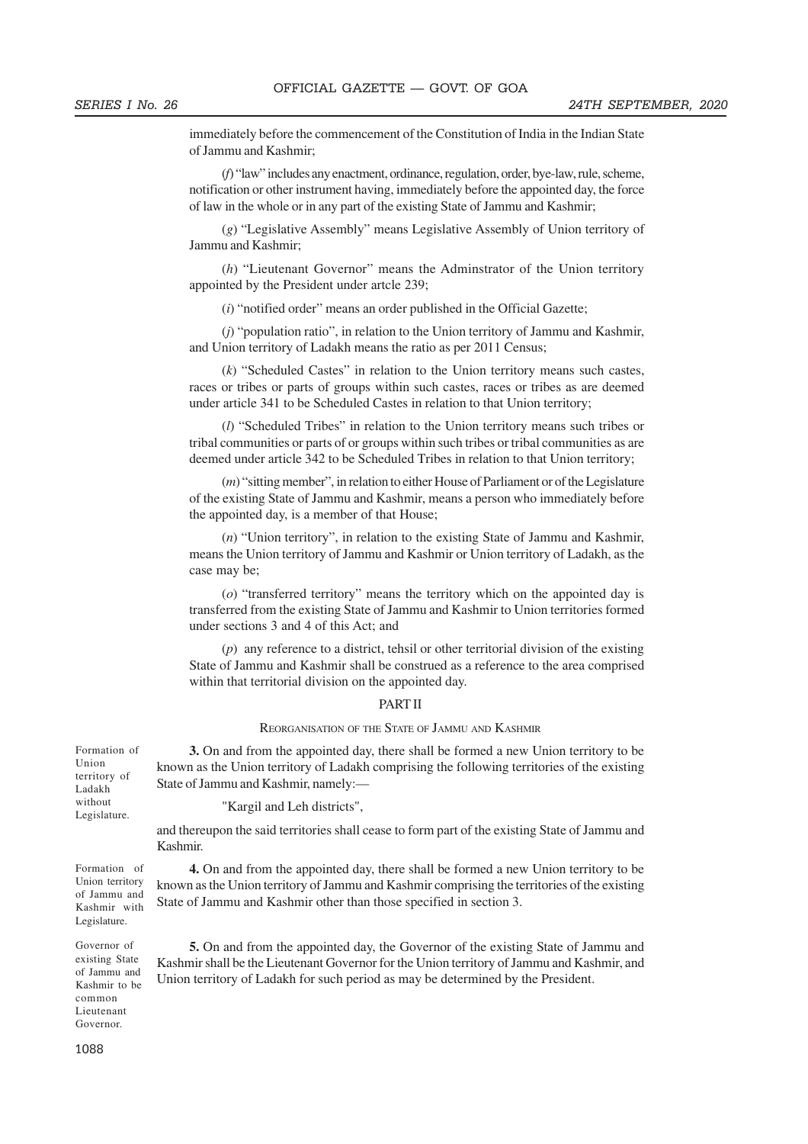immediately before the commencement of the Constitution of India in the Indian State of Jammu and Kashmir;

(*f*) "law" includes any enactment, ordinance, regulation, order, bye-law, rule, scheme, notification or other instrument having, immediately before the appointed day, the force of law in the whole or in any part of the existing State of Jammu and Kashmir;

(*g*) "Legislative Assembly" means Legislative Assembly of Union territory of Jammu and Kashmir;

(*h*) "Lieutenant Governor" means the Adminstrator of the Union territory appointed by the President under artcle 239;

(*i*) "notified order" means an order published in the Official Gazette;

(*j*) "population ratio", in relation to the Union territory of Jammu and Kashmir, and Union territory of Ladakh means the ratio as per 2011 Census;

(*k*) "Scheduled Castes" in relation to the Union territory means such castes, races or tribes or parts of groups within such castes, races or tribes as are deemed under article 341 to be Scheduled Castes in relation to that Union territory;

(*l*) "Scheduled Tribes" in relation to the Union territory means such tribes or tribal communities or parts of or groups within such tribes or tribal communities as are deemed under article 342 to be Scheduled Tribes in relation to that Union territory;

(*m*) "sitting member", in relation to either House of Parliament or of the Legislature of the existing State of Jammu and Kashmir, means a person who immediately before the appointed day, is a member of that House;

(*n*) "Union territory", in relation to the existing State of Jammu and Kashmir, means the Union territory of Jammu and Kashmir or Union territory of Ladakh, as the case may be;

(*o*) "transferred territory" means the territory which on the appointed day is transferred from the existing State of Jammu and Kashmir to Union territories formed under sections 3 and 4 of this Act; and

(*p*) any reference to a district, tehsil or other territorial division of the existing State of Jammu and Kashmir shall be construed as a reference to the area comprised within that territorial division on the appointed day.

#### PART II

#### REORGANISATION OF THE STATE OF JAMMU AND KASHMIR

**3.** On and from the appointed day, there shall be formed a new Union territory to be known as the Union territory of Ladakh comprising the following territories of the existing State of Jammu and Kashmir, namely:—

"Kargil and Leh districts",

and thereupon the said territories shall cease to form part of the existing State of Jammu and Kashmir.

**4.** On and from the appointed day, there shall be formed a new Union territory to be known as the Union territory of Jammu and Kashmir comprising the territories of the existing State of Jammu and Kashmir other than those specified in section 3.

**5.** On and from the appointed day, the Governor of the existing State of Jammu and Kashmir shall be the Lieutenant Governor for the Union territory of Jammu and Kashmir, and Union territory of Ladakh for such period as may be determined by the President.

Formation of Union territory of Ladakh without Legislature.

Formation of Union territory of Jammu and Kashmir with Legislature.

Governor of existing State of Jammu and Kashmir to be common Lieutenant Governor.

1088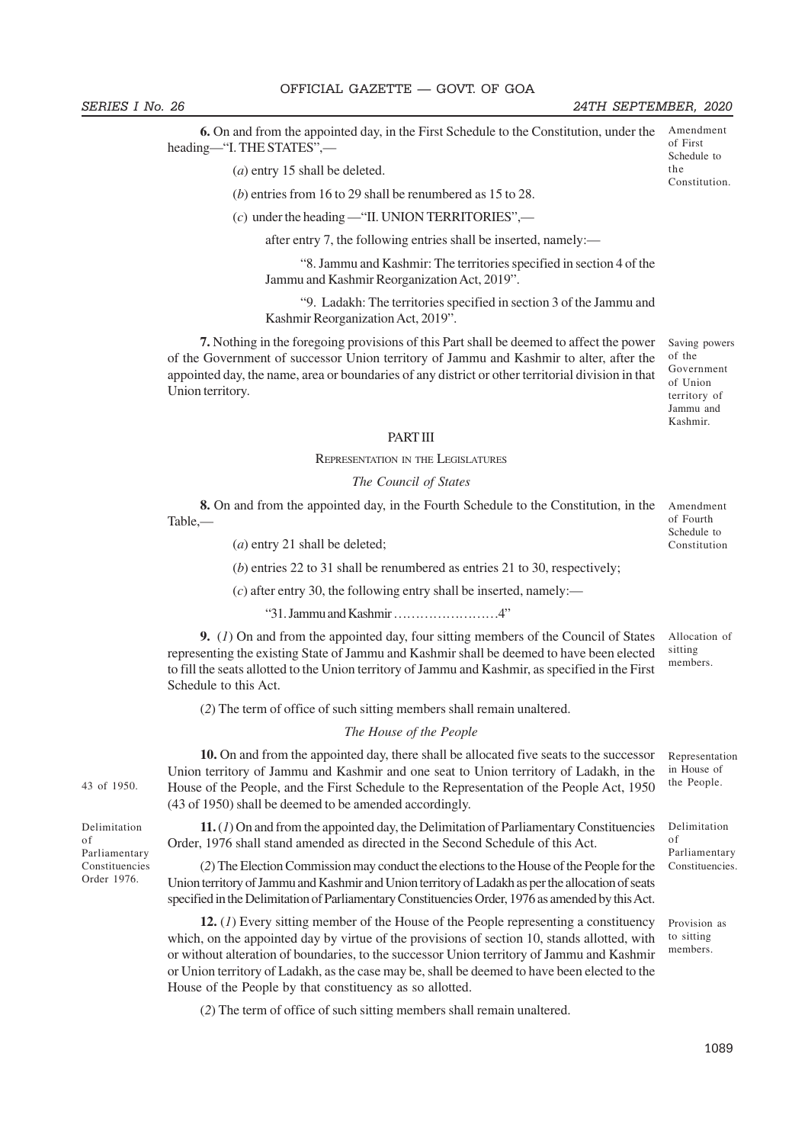SERIES I No. 26 24TH SEPTEMBER, 2020

the Constitution.

**6.** On and from the appointed day, in the First Schedule to the Constitution, under the heading—"I. THE STATES",— Amendment of First Schedule to

(*a*) entry 15 shall be deleted.

(*b*) entries from 16 to 29 shall be renumbered as 15 to 28.

(*c*) under the heading —"II. UNION TERRITORIES",—

after entry 7, the following entries shall be inserted, namely:—

 "8. Jammu and Kashmir: The territories specified in section 4 of the Jammu and Kashmir Reorganization Act, 2019".

 "9. Ladakh: The territories specified in section 3 of the Jammu and Kashmir Reorganization Act, 2019".

**7.** Nothing in the foregoing provisions of this Part shall be deemed to affect the power of the Government of successor Union territory of Jammu and Kashmir to alter, after the appointed day, the name, area or boundaries of any district or other territorial division in that Union territory.

Saving powers of the Government of Union territory of Jammu and Kashmir.

#### PART III

#### REPRESENTATION IN THE LEGISLATURES

#### *The Council of States*

**8.** On and from the appointed day, in the Fourth Schedule to the Constitution, in the Table,—

(*a*) entry 21 shall be deleted;

(*b*) entries 22 to 31 shall be renumbered as entries 21 to 30, respectively;

 $(c)$  after entry 30, the following entry shall be inserted, namely:—

"31. Jammu and Kashmir ……………………4"

**9.** (*1*) On and from the appointed day, four sitting members of the Council of States representing the existing State of Jammu and Kashmir shall be deemed to have been elected to fill the seats allotted to the Union territory of Jammu and Kashmir, as specified in the First Schedule to this Act. Allocation of sitting members.

(*2*) The term of office of such sitting members shall remain unaltered.

#### *The House of the People*

**10.** On and from the appointed day, there shall be allocated five seats to the successor Union territory of Jammu and Kashmir and one seat to Union territory of Ladakh, in the 43 of 1950. House of the People, and the First Schedule to the Representation of the People Act, 1950 the People. (43 of 1950) shall be deemed to be amended accordingly.

> **11.** (*1*) On and from the appointed day, the Delimitation of Parliamentary Constituencies Order, 1976 shall stand amended as directed in the Second Schedule of this Act.

(*2*) The Election Commission may conduct the elections to the House of the People for the Union territory of Jammu and Kashmir and Union territory of Ladakh as per the allocation of seats specified in the Delimitation of Parliamentary Constituencies Order, 1976 as amended by this Act.

**12.** (*1*) Every sitting member of the House of the People representing a constituency which, on the appointed day by virtue of the provisions of section 10, stands allotted, with or without alteration of boundaries, to the successor Union territory of Jammu and Kashmir or Union territory of Ladakh, as the case may be, shall be deemed to have been elected to the House of the People by that constituency as so allotted.

(*2*) The term of office of such sitting members shall remain unaltered.

Delimitation of Parliamentary Constituencies Order 1976.

Amendment of Fourth Schedule to Constitution

Representation in House of

Delimitation of Parliamentary Constituencies.

Provision as to sitting members.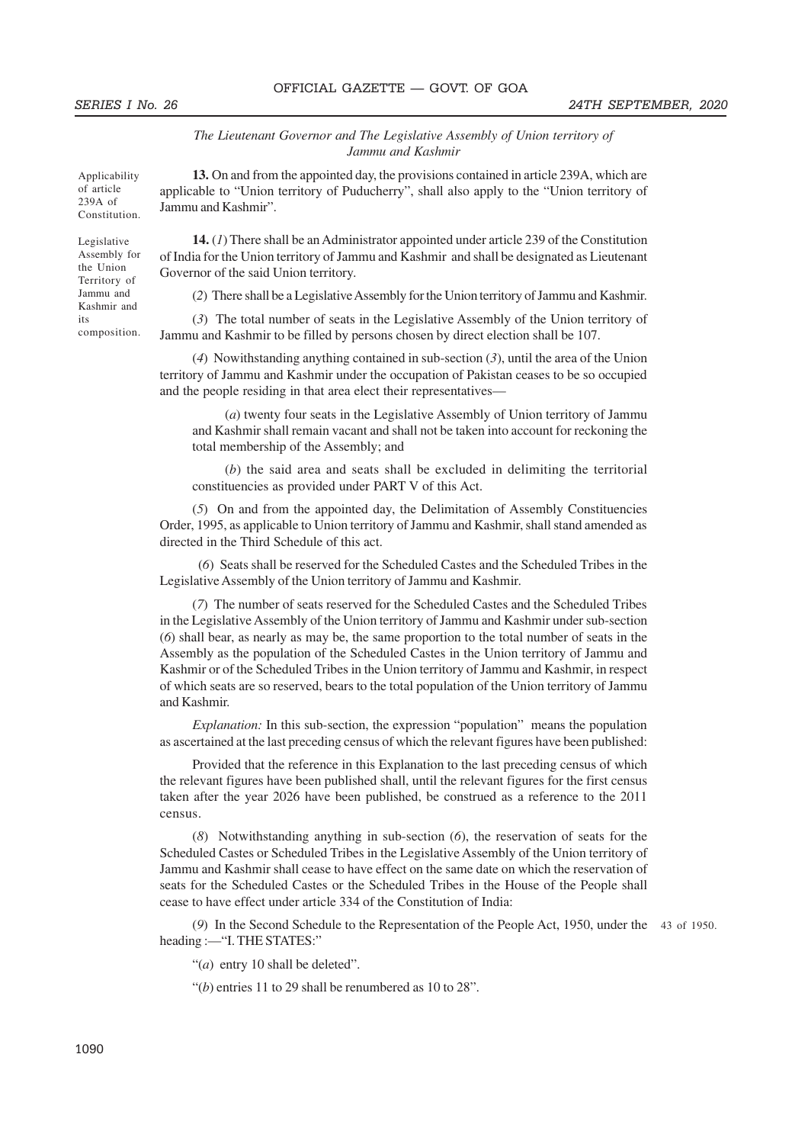*The Lieutenant Governor and The Legislative Assembly of Union territory of Jammu and Kashmir*

Applicability of article 239A of Constitution.

Legislative Assembly for the Union Territory of Jammu and Kashmir and its composition.

**13.** On and from the appointed day, the provisions contained in article 239A, which are applicable to "Union territory of Puducherry", shall also apply to the "Union territory of Jammu and Kashmir".

**14.** (*1*) There shall be an Administrator appointed under article 239 of the Constitution of India for the Union territory of Jammu and Kashmir and shall be designated as Lieutenant Governor of the said Union territory.

(*2*) There shall be a Legislative Assembly for the Union territory of Jammu and Kashmir.

(*3*) The total number of seats in the Legislative Assembly of the Union territory of Jammu and Kashmir to be filled by persons chosen by direct election shall be 107.

(*4*) Nowithstanding anything contained in sub-section (*3*), until the area of the Union territory of Jammu and Kashmir under the occupation of Pakistan ceases to be so occupied and the people residing in that area elect their representatives—

(*a*) twenty four seats in the Legislative Assembly of Union territory of Jammu and Kashmir shall remain vacant and shall not be taken into account for reckoning the total membership of the Assembly; and

(*b*) the said area and seats shall be excluded in delimiting the territorial constituencies as provided under PART V of this Act.

(*5*) On and from the appointed day, the Delimitation of Assembly Constituencies Order, 1995, as applicable to Union territory of Jammu and Kashmir, shall stand amended as directed in the Third Schedule of this act.

 (*6*) Seats shall be reserved for the Scheduled Castes and the Scheduled Tribes in the Legislative Assembly of the Union territory of Jammu and Kashmir.

(*7*) The number of seats reserved for the Scheduled Castes and the Scheduled Tribes in the Legislative Assembly of the Union territory of Jammu and Kashmir under sub-section (*6*) shall bear, as nearly as may be, the same proportion to the total number of seats in the Assembly as the population of the Scheduled Castes in the Union territory of Jammu and Kashmir or of the Scheduled Tribes in the Union territory of Jammu and Kashmir, in respect of which seats are so reserved, bears to the total population of the Union territory of Jammu and Kashmir.

*Explanation:* In this sub-section, the expression "population" means the population as ascertained at the last preceding census of which the relevant figures have been published:

Provided that the reference in this Explanation to the last preceding census of which the relevant figures have been published shall, until the relevant figures for the first census taken after the year 2026 have been published, be construed as a reference to the 2011 census.

(*8*) Notwithstanding anything in sub-section (*6*), the reservation of seats for the Scheduled Castes or Scheduled Tribes in the Legislative Assembly of the Union territory of Jammu and Kashmir shall cease to have effect on the same date on which the reservation of seats for the Scheduled Castes or the Scheduled Tribes in the House of the People shall cease to have effect under article 334 of the Constitution of India:

(*9*) In the Second Schedule to the Representation of the People Act, 1950, under the 43 of 1950.heading :—"I. THE STATES:"

"(*a*) entry 10 shall be deleted".

"(*b*) entries 11 to 29 shall be renumbered as 10 to 28".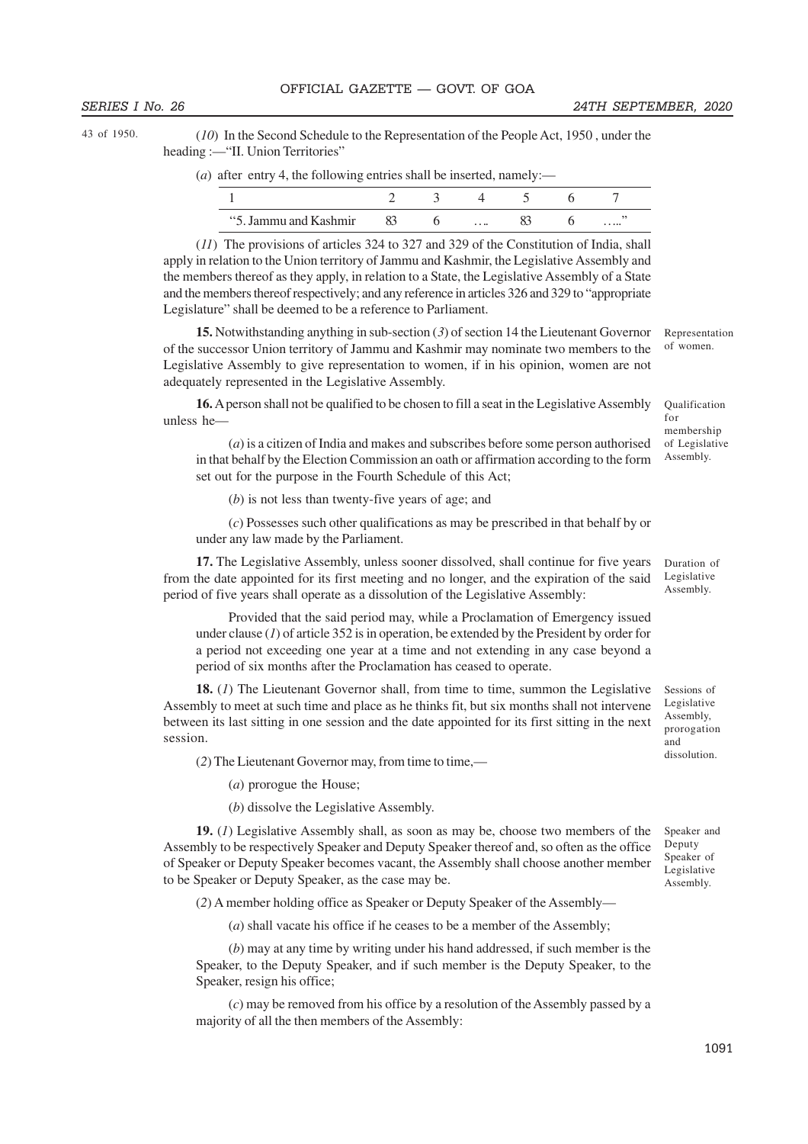43 of 1950.

(*10*) In the Second Schedule to the Representation of the People Act, 1950 , under the heading :—"II. Union Territories"

(*a*) after entry 4, the following entries shall be inserted, namely:—

| "5. Jammu and Kashmir" |  | $\cdots$ |  | . |
|------------------------|--|----------|--|---|

(*11*) The provisions of articles 324 to 327 and 329 of the Constitution of India, shall apply in relation to the Union territory of Jammu and Kashmir, the Legislative Assembly and the members thereof as they apply, in relation to a State, the Legislative Assembly of a State and the members thereof respectively; and any reference in articles 326 and 329 to "appropriate Legislature" shall be deemed to be a reference to Parliament.

**15.** Notwithstanding anything in sub-section (*3*) of section 14 the Lieutenant Governor of the successor Union territory of Jammu and Kashmir may nominate two members to the Legislative Assembly to give representation to women, if in his opinion, women are not adequately represented in the Legislative Assembly.

**16.** A person shall not be qualified to be chosen to fill a seat in the Legislative Assembly unless he—

Qualification for membership of Legislative Assembly.

dissolution.

Speaker and Deputy Speaker of Legislative Assembly.

Representation of women.

(*a*) is a citizen of India and makes and subscribes before some person authorised in that behalf by the Election Commission an oath or affirmation according to the form set out for the purpose in the Fourth Schedule of this Act;

(*b*) is not less than twenty-five years of age; and

(*c*) Possesses such other qualifications as may be prescribed in that behalf by or under any law made by the Parliament.

**17.** The Legislative Assembly, unless sooner dissolved, shall continue for five years from the date appointed for its first meeting and no longer, and the expiration of the said period of five years shall operate as a dissolution of the Legislative Assembly: Duration of Legislative Assembly.

Provided that the said period may, while a Proclamation of Emergency issued under clause (*1*) of article 352 is in operation, be extended by the President by order for a period not exceeding one year at a time and not extending in any case beyond a period of six months after the Proclamation has ceased to operate.

**18.** (*1*) The Lieutenant Governor shall, from time to time, summon the Legislative Assembly to meet at such time and place as he thinks fit, but six months shall not intervene between its last sitting in one session and the date appointed for its first sitting in the next session. Sessions of Legislative Assembly, prorogation and

(*2*) The Lieutenant Governor may, from time to time,—

(*a*) prorogue the House;

(*b*) dissolve the Legislative Assembly.

**19.** (*1*) Legislative Assembly shall, as soon as may be, choose two members of the Assembly to be respectively Speaker and Deputy Speaker thereof and, so often as the office of Speaker or Deputy Speaker becomes vacant, the Assembly shall choose another member to be Speaker or Deputy Speaker, as the case may be.

(*2*) A member holding office as Speaker or Deputy Speaker of the Assembly—

(*a*) shall vacate his office if he ceases to be a member of the Assembly;

(*b*) may at any time by writing under his hand addressed, if such member is the Speaker, to the Deputy Speaker, and if such member is the Deputy Speaker, to the Speaker, resign his office;

(*c*) may be removed from his office by a resolution of the Assembly passed by a majority of all the then members of the Assembly:

1091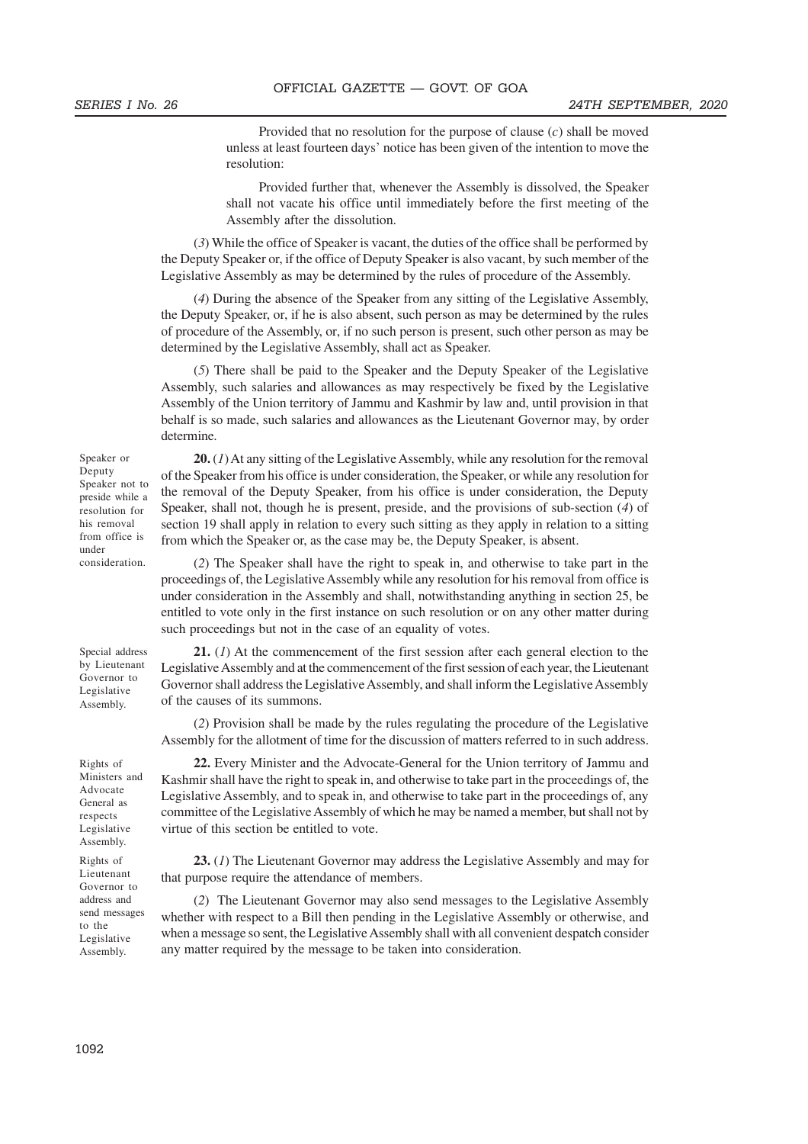Provided that no resolution for the purpose of clause (*c*) shall be moved unless at least fourteen days' notice has been given of the intention to move the resolution:

Provided further that, whenever the Assembly is dissolved, the Speaker shall not vacate his office until immediately before the first meeting of the Assembly after the dissolution.

(*3*) While the office of Speaker is vacant, the duties of the office shall be performed by the Deputy Speaker or, if the office of Deputy Speaker is also vacant, by such member of the Legislative Assembly as may be determined by the rules of procedure of the Assembly.

(*4*) During the absence of the Speaker from any sitting of the Legislative Assembly, the Deputy Speaker, or, if he is also absent, such person as may be determined by the rules of procedure of the Assembly, or, if no such person is present, such other person as may be determined by the Legislative Assembly, shall act as Speaker.

(*5*) There shall be paid to the Speaker and the Deputy Speaker of the Legislative Assembly, such salaries and allowances as may respectively be fixed by the Legislative Assembly of the Union territory of Jammu and Kashmir by law and, until provision in that behalf is so made, such salaries and allowances as the Lieutenant Governor may, by order determine.

**20.** (*1*) At any sitting of the Legislative Assembly, while any resolution for the removal of the Speaker from his office is under consideration, the Speaker, or while any resolution for the removal of the Deputy Speaker, from his office is under consideration, the Deputy Speaker, shall not, though he is present, preside, and the provisions of sub-section (*4*) of section 19 shall apply in relation to every such sitting as they apply in relation to a sitting from which the Speaker or, as the case may be, the Deputy Speaker, is absent.

(*2*) The Speaker shall have the right to speak in, and otherwise to take part in the proceedings of, the Legislative Assembly while any resolution for his removal from office is under consideration in the Assembly and shall, notwithstanding anything in section 25, be entitled to vote only in the first instance on such resolution or on any other matter during such proceedings but not in the case of an equality of votes.

**21.** (*1*) At the commencement of the first session after each general election to the Legislative Assembly and at the commencement of the first session of each year, the Lieutenant Governor shall address the Legislative Assembly, and shall inform the Legislative Assembly of the causes of its summons.

(*2*) Provision shall be made by the rules regulating the procedure of the Legislative Assembly for the allotment of time for the discussion of matters referred to in such address.

**22.** Every Minister and the Advocate-General for the Union territory of Jammu and Kashmir shall have the right to speak in, and otherwise to take part in the proceedings of, the Legislative Assembly, and to speak in, and otherwise to take part in the proceedings of, any committee of the Legislative Assembly of which he may be named a member, but shall not by virtue of this section be entitled to vote.

**23.** (*1*) The Lieutenant Governor may address the Legislative Assembly and may for that purpose require the attendance of members.

(*2*) The Lieutenant Governor may also send messages to the Legislative Assembly whether with respect to a Bill then pending in the Legislative Assembly or otherwise, and when a message so sent, the Legislative Assembly shall with all convenient despatch consider any matter required by the message to be taken into consideration.

Speaker or Deputy Speaker not to preside while a resolution for his removal from office is under consideration.

Special address by Lieutenant Governor to Legislative Assembly.

Rights of Ministers and Advocate General as respects Legislative Assembly.

Rights of Lieutenant Governor to address and send messages to the Legislative Assembly.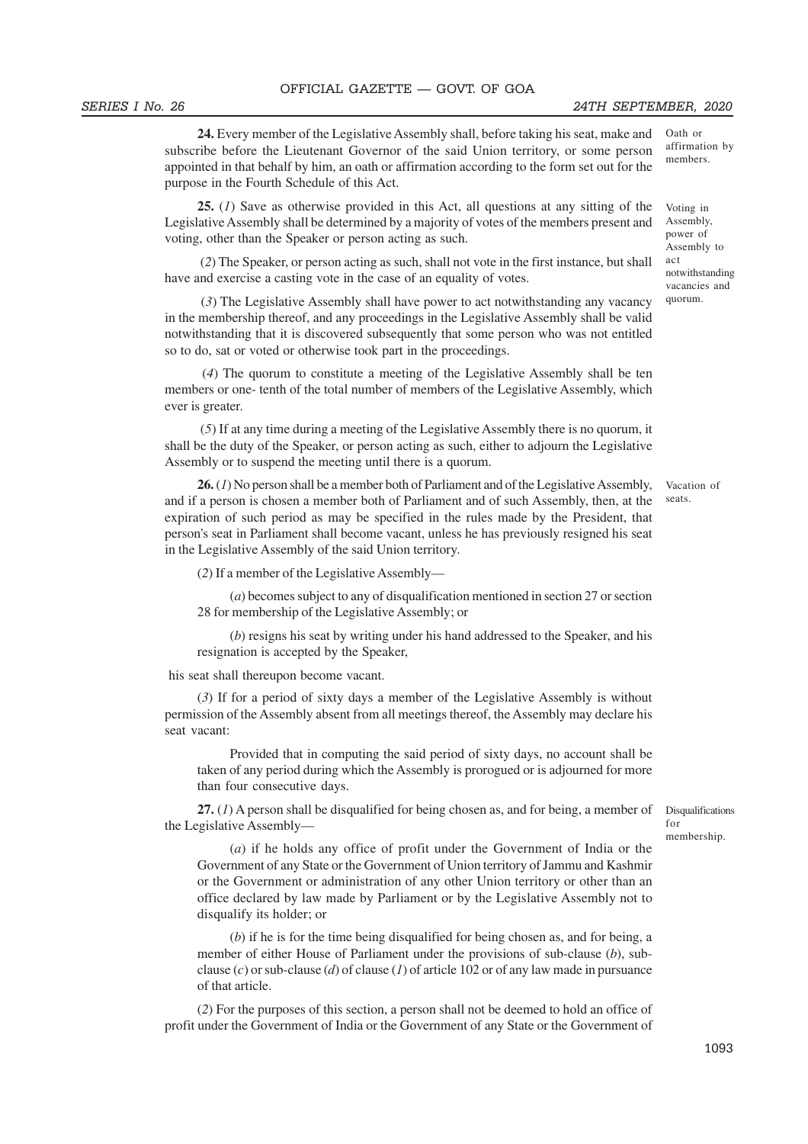**24.** Every member of the Legislative Assembly shall, before taking his seat, make and subscribe before the Lieutenant Governor of the said Union territory, or some person appointed in that behalf by him, an oath or affirmation according to the form set out for the purpose in the Fourth Schedule of this Act.

**25.** (*1*) Save as otherwise provided in this Act, all questions at any sitting of the Legislative Assembly shall be determined by a majority of votes of the members present and voting, other than the Speaker or person acting as such.

 (*2*) The Speaker, or person acting as such, shall not vote in the first instance, but shall have and exercise a casting vote in the case of an equality of votes.

 (*3*) The Legislative Assembly shall have power to act notwithstanding any vacancy in the membership thereof, and any proceedings in the Legislative Assembly shall be valid notwithstanding that it is discovered subsequently that some person who was not entitled so to do, sat or voted or otherwise took part in the proceedings.

 (*4*) The quorum to constitute a meeting of the Legislative Assembly shall be ten members or one- tenth of the total number of members of the Legislative Assembly, which ever is greater.

 (*5*) If at any time during a meeting of the Legislative Assembly there is no quorum, it shall be the duty of the Speaker, or person acting as such, either to adjourn the Legislative Assembly or to suspend the meeting until there is a quorum.

**26.** (*1*) No person shall be a member both of Parliament and of the Legislative Assembly, and if a person is chosen a member both of Parliament and of such Assembly, then, at the expiration of such period as may be specified in the rules made by the President, that person's seat in Parliament shall become vacant, unless he has previously resigned his seat in the Legislative Assembly of the said Union territory.

(*2*) If a member of the Legislative Assembly—

(*a*) becomes subject to any of disqualification mentioned in section 27 or section 28 for membership of the Legislative Assembly; or

(*b*) resigns his seat by writing under his hand addressed to the Speaker, and his resignation is accepted by the Speaker,

his seat shall thereupon become vacant.

(*3*) If for a period of sixty days a member of the Legislative Assembly is without permission of the Assembly absent from all meetings thereof, the Assembly may declare his seat vacant:

Provided that in computing the said period of sixty days, no account shall be taken of any period during which the Assembly is prorogued or is adjourned for more than four consecutive days.

**27.** (*1*) A person shall be disqualified for being chosen as, and for being, a member of the Legislative Assembly—

Disqualifications for membership.

(*a*) if he holds any office of profit under the Government of India or the Government of any State or the Government of Union territory of Jammu and Kashmir or the Government or administration of any other Union territory or other than an office declared by law made by Parliament or by the Legislative Assembly not to disqualify its holder; or

(*b*) if he is for the time being disqualified for being chosen as, and for being, a member of either House of Parliament under the provisions of sub-clause (*b*), subclause (*c*) or sub-clause (*d*) of clause (*1*) of article 102 or of any law made in pursuance of that article.

(*2*) For the purposes of this section, a person shall not be deemed to hold an office of profit under the Government of India or the Government of any State or the Government of

Oath or affirmation by members.

Voting in Assembly, power of Assembly to act notwithstanding vacancies and quorum.

Vacation of seats.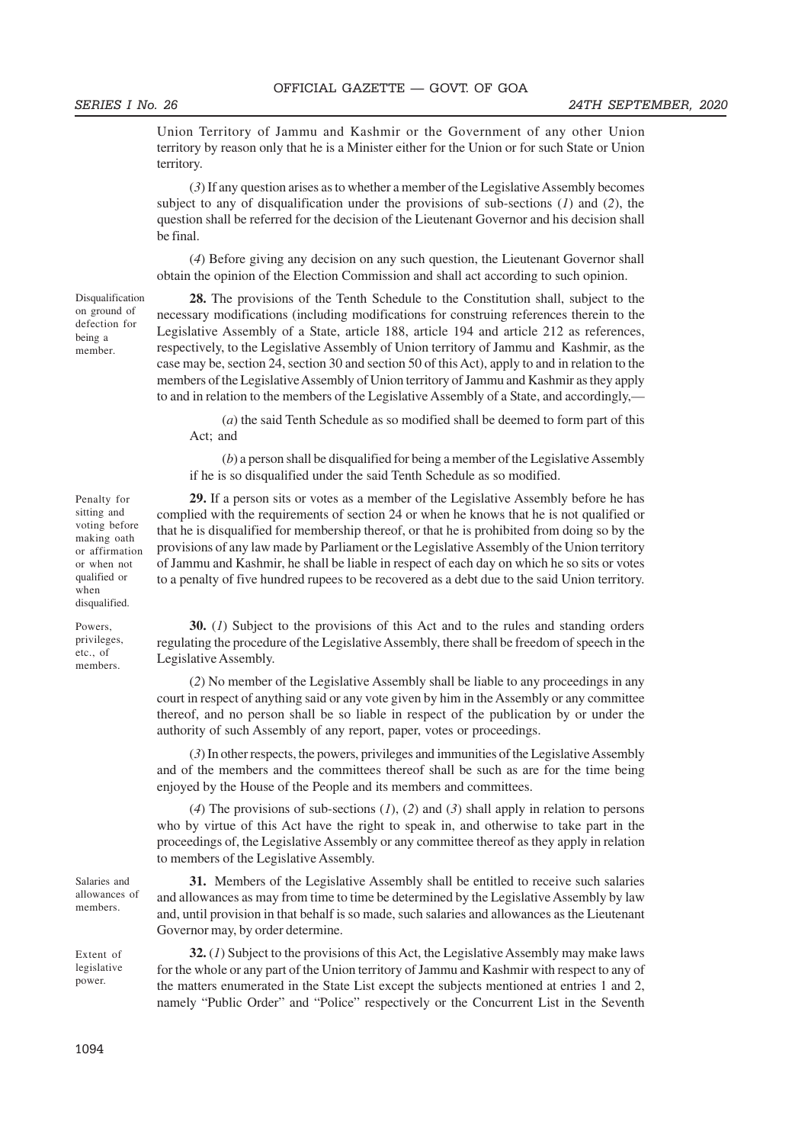Union Territory of Jammu and Kashmir or the Government of any other Union territory by reason only that he is a Minister either for the Union or for such State or Union territory.

(*3*) If any question arises as to whether a member of the Legislative Assembly becomes subject to any of disqualification under the provisions of sub-sections (*1*) and (*2*), the question shall be referred for the decision of the Lieutenant Governor and his decision shall be final.

(*4*) Before giving any decision on any such question, the Lieutenant Governor shall obtain the opinion of the Election Commission and shall act according to such opinion.

Disqualification on ground of defection for being a member.

Penalty for sitting and voting before making oath or affirmation or when not qualified or when disqualified. Powers, privileges, etc., of members.

**28.** The provisions of the Tenth Schedule to the Constitution shall, subject to the necessary modifications (including modifications for construing references therein to the Legislative Assembly of a State, article 188, article 194 and article 212 as references, respectively, to the Legislative Assembly of Union territory of Jammu and Kashmir, as the case may be, section 24, section 30 and section 50 of this Act), apply to and in relation to the members of the Legislative Assembly of Union territory of Jammu and Kashmir as they apply to and in relation to the members of the Legislative Assembly of a State, and accordingly,—

(*a*) the said Tenth Schedule as so modified shall be deemed to form part of this Act; and

(*b*) a person shall be disqualified for being a member of the Legislative Assembly if he is so disqualified under the said Tenth Schedule as so modified.

**29.** If a person sits or votes as a member of the Legislative Assembly before he has complied with the requirements of section 24 or when he knows that he is not qualified or that he is disqualified for membership thereof, or that he is prohibited from doing so by the provisions of any law made by Parliament or the Legislative Assembly of the Union territory of Jammu and Kashmir, he shall be liable in respect of each day on which he so sits or votes to a penalty of five hundred rupees to be recovered as a debt due to the said Union territory.

**30.** (*1*) Subject to the provisions of this Act and to the rules and standing orders regulating the procedure of the Legislative Assembly, there shall be freedom of speech in the Legislative Assembly.

(*2*) No member of the Legislative Assembly shall be liable to any proceedings in any court in respect of anything said or any vote given by him in the Assembly or any committee thereof, and no person shall be so liable in respect of the publication by or under the authority of such Assembly of any report, paper, votes or proceedings.

(*3*) In other respects, the powers, privileges and immunities of the Legislative Assembly and of the members and the committees thereof shall be such as are for the time being enjoyed by the House of the People and its members and committees.

(*4*) The provisions of sub-sections (*1*), (*2*) and (*3*) shall apply in relation to persons who by virtue of this Act have the right to speak in, and otherwise to take part in the proceedings of, the Legislative Assembly or any committee thereof as they apply in relation to members of the Legislative Assembly.

**31.** Members of the Legislative Assembly shall be entitled to receive such salaries and allowances as may from time to time be determined by the Legislative Assembly by law and, until provision in that behalf is so made, such salaries and allowances as the Lieutenant Governor may, by order determine.

Extent of legislative power.

**32.** (*1*) Subject to the provisions of this Act, the Legislative Assembly may make laws for the whole or any part of the Union territory of Jammu and Kashmir with respect to any of the matters enumerated in the State List except the subjects mentioned at entries 1 and 2, namely "Public Order" and "Police" respectively or the Concurrent List in the Seventh

Salaries and allowances of members.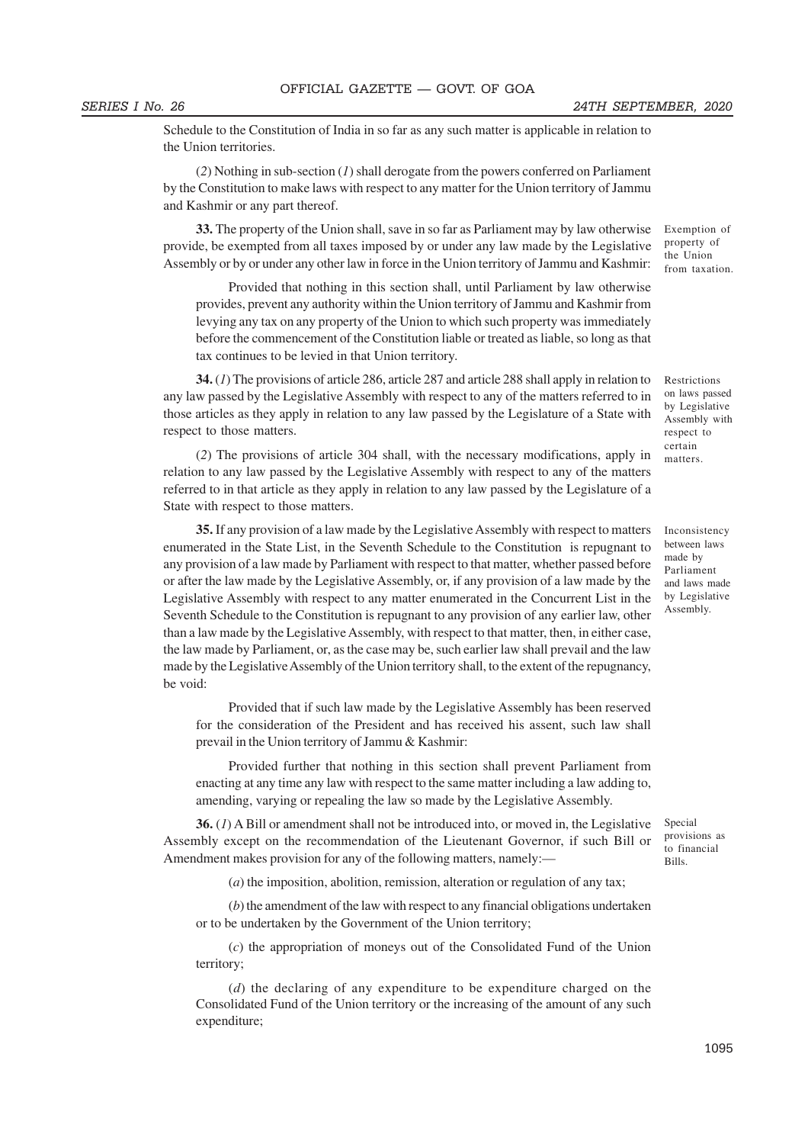Schedule to the Constitution of India in so far as any such matter is applicable in relation to the Union territories.

(*2*) Nothing in sub-section (*1*) shall derogate from the powers conferred on Parliament by the Constitution to make laws with respect to any matter for the Union territory of Jammu and Kashmir or any part thereof.

**33.** The property of the Union shall, save in so far as Parliament may by law otherwise provide, be exempted from all taxes imposed by or under any law made by the Legislative Assembly or by or under any other law in force in the Union territory of Jammu and Kashmir:

Provided that nothing in this section shall, until Parliament by law otherwise provides, prevent any authority within the Union territory of Jammu and Kashmir from levying any tax on any property of the Union to which such property was immediately before the commencement of the Constitution liable or treated as liable, so long as that tax continues to be levied in that Union territory.

**34.** (*1*) The provisions of article 286, article 287 and article 288 shall apply in relation to any law passed by the Legislative Assembly with respect to any of the matters referred to in those articles as they apply in relation to any law passed by the Legislature of a State with respect to those matters.

(*2*) The provisions of article 304 shall, with the necessary modifications, apply in relation to any law passed by the Legislative Assembly with respect to any of the matters referred to in that article as they apply in relation to any law passed by the Legislature of a State with respect to those matters.

**35.** If any provision of a law made by the Legislative Assembly with respect to matters enumerated in the State List, in the Seventh Schedule to the Constitution is repugnant to any provision of a law made by Parliament with respect to that matter, whether passed before or after the law made by the Legislative Assembly, or, if any provision of a law made by the Legislative Assembly with respect to any matter enumerated in the Concurrent List in the Seventh Schedule to the Constitution is repugnant to any provision of any earlier law, other than a law made by the Legislative Assembly, with respect to that matter, then, in either case, the law made by Parliament, or, as the case may be, such earlier law shall prevail and the law made by the Legislative Assembly of the Union territory shall, to the extent of the repugnancy, be void:

Provided that if such law made by the Legislative Assembly has been reserved for the consideration of the President and has received his assent, such law shall prevail in the Union territory of Jammu & Kashmir:

Provided further that nothing in this section shall prevent Parliament from enacting at any time any law with respect to the same matter including a law adding to, amending, varying or repealing the law so made by the Legislative Assembly.

**36.** (*1*) A Bill or amendment shall not be introduced into, or moved in, the Legislative Assembly except on the recommendation of the Lieutenant Governor, if such Bill or Amendment makes provision for any of the following matters, namely:—

(*a*) the imposition, abolition, remission, alteration or regulation of any tax;

(*b*) the amendment of the law with respect to any financial obligations undertaken or to be undertaken by the Government of the Union territory;

(*c*) the appropriation of moneys out of the Consolidated Fund of the Union territory;

(*d*) the declaring of any expenditure to be expenditure charged on the Consolidated Fund of the Union territory or the increasing of the amount of any such expenditure;

Exemption of property of the Union from taxation.

Restrictions on laws passed by Legislative Assembly with respect to certain matters.

Inconsistency between laws made by Parliament and laws made by Legislative Assembly.

Special provisions as to financial Bills.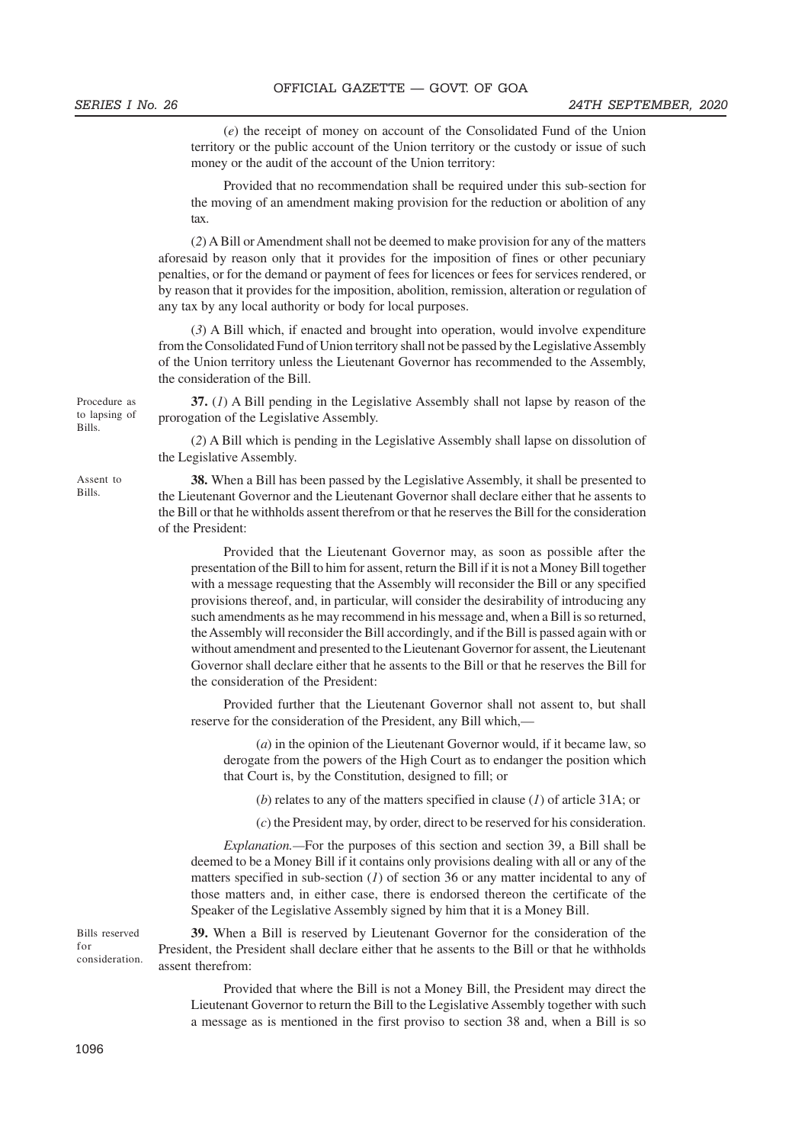(*e*) the receipt of money on account of the Consolidated Fund of the Union territory or the public account of the Union territory or the custody or issue of such money or the audit of the account of the Union territory:

Provided that no recommendation shall be required under this sub-section for the moving of an amendment making provision for the reduction or abolition of any tax.

(*2*) A Bill or Amendment shall not be deemed to make provision for any of the matters aforesaid by reason only that it provides for the imposition of fines or other pecuniary penalties, or for the demand or payment of fees for licences or fees for services rendered, or by reason that it provides for the imposition, abolition, remission, alteration or regulation of any tax by any local authority or body for local purposes.

(*3*) A Bill which, if enacted and brought into operation, would involve expenditure from the Consolidated Fund of Union territory shall not be passed by the Legislative Assembly of the Union territory unless the Lieutenant Governor has recommended to the Assembly, the consideration of the Bill.

**37.** (*1*) A Bill pending in the Legislative Assembly shall not lapse by reason of the prorogation of the Legislative Assembly.

(*2*) A Bill which is pending in the Legislative Assembly shall lapse on dissolution of the Legislative Assembly.

**38.** When a Bill has been passed by the Legislative Assembly, it shall be presented to the Lieutenant Governor and the Lieutenant Governor shall declare either that he assents to the Bill or that he withholds assent therefrom or that he reserves the Bill for the consideration of the President:

Provided that the Lieutenant Governor may, as soon as possible after the presentation of the Bill to him for assent, return the Bill if it is not a Money Bill together with a message requesting that the Assembly will reconsider the Bill or any specified provisions thereof, and, in particular, will consider the desirability of introducing any such amendments as he may recommend in his message and, when a Bill is so returned, the Assembly will reconsider the Bill accordingly, and if the Bill is passed again with or without amendment and presented to the Lieutenant Governor for assent, the Lieutenant Governor shall declare either that he assents to the Bill or that he reserves the Bill for the consideration of the President:

Provided further that the Lieutenant Governor shall not assent to, but shall reserve for the consideration of the President, any Bill which,—

(*a*) in the opinion of the Lieutenant Governor would, if it became law, so derogate from the powers of the High Court as to endanger the position which that Court is, by the Constitution, designed to fill; or

(*b*) relates to any of the matters specified in clause (*1*) of article 31A; or

(*c*) the President may, by order, direct to be reserved for his consideration.

*Explanation.—*For the purposes of this section and section 39, a Bill shall be deemed to be a Money Bill if it contains only provisions dealing with all or any of the matters specified in sub-section (*1*) of section 36 or any matter incidental to any of those matters and, in either case, there is endorsed thereon the certificate of the Speaker of the Legislative Assembly signed by him that it is a Money Bill.

**39.** When a Bill is reserved by Lieutenant Governor for the consideration of the President, the President shall declare either that he assents to the Bill or that he withholds assent therefrom: Bills reserved consideration.

> Provided that where the Bill is not a Money Bill, the President may direct the Lieutenant Governor to return the Bill to the Legislative Assembly together with such a message as is mentioned in the first proviso to section 38 and, when a Bill is so

Procedure as to lapsing of Bills.

Assent to Bills.

for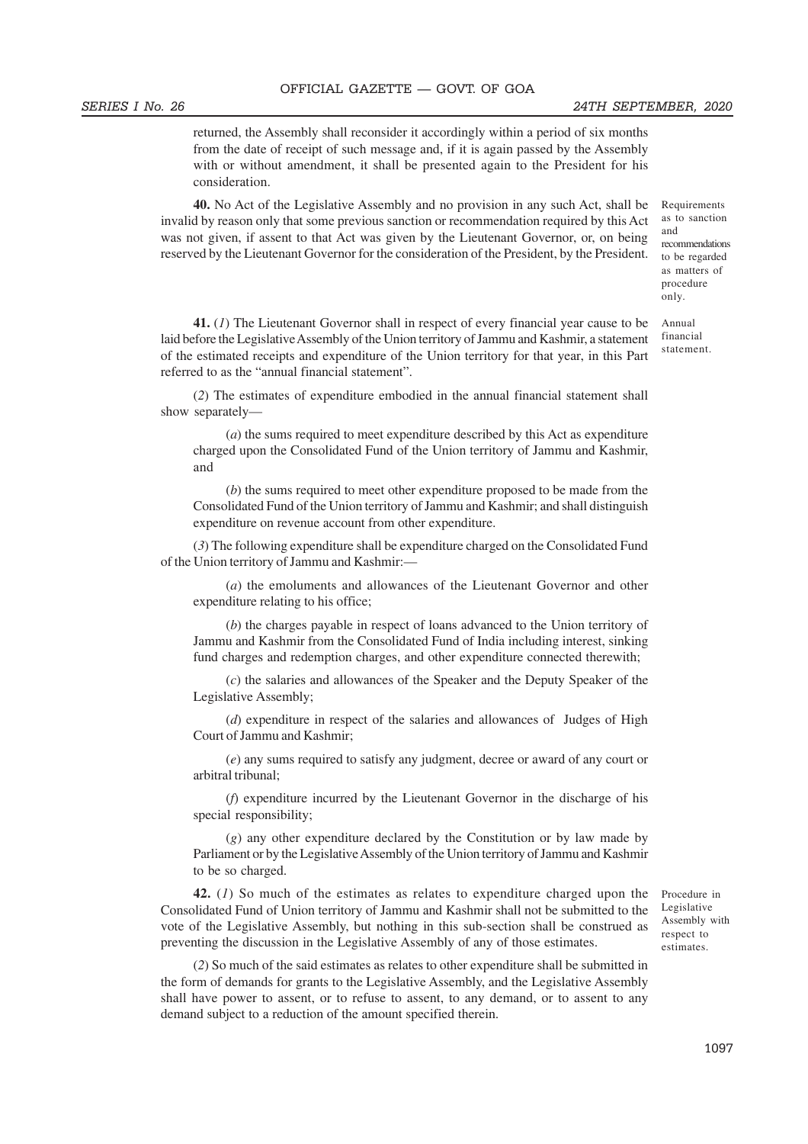#### SERIES I No. 26 24TH SEPTEMBER, 2020

returned, the Assembly shall reconsider it accordingly within a period of six months from the date of receipt of such message and, if it is again passed by the Assembly with or without amendment, it shall be presented again to the President for his consideration.

**40.** No Act of the Legislative Assembly and no provision in any such Act, shall be invalid by reason only that some previous sanction or recommendation required by this Act was not given, if assent to that Act was given by the Lieutenant Governor, or, on being reserved by the Lieutenant Governor for the consideration of the President, by the President.

**41.** (*1*) The Lieutenant Governor shall in respect of every financial year cause to be laid before the Legislative Assembly of the Union territory of Jammu and Kashmir, a statement of the estimated receipts and expenditure of the Union territory for that year, in this Part referred to as the "annual financial statement".

(*2*) The estimates of expenditure embodied in the annual financial statement shall show separately—

(*a*) the sums required to meet expenditure described by this Act as expenditure charged upon the Consolidated Fund of the Union territory of Jammu and Kashmir, and

(*b*) the sums required to meet other expenditure proposed to be made from the Consolidated Fund of the Union territory of Jammu and Kashmir; and shall distinguish expenditure on revenue account from other expenditure.

(*3*) The following expenditure shall be expenditure charged on the Consolidated Fund of the Union territory of Jammu and Kashmir:—

(*a*) the emoluments and allowances of the Lieutenant Governor and other expenditure relating to his office;

(*b*) the charges payable in respect of loans advanced to the Union territory of Jammu and Kashmir from the Consolidated Fund of India including interest, sinking fund charges and redemption charges, and other expenditure connected therewith;

(*c*) the salaries and allowances of the Speaker and the Deputy Speaker of the Legislative Assembly;

(*d*) expenditure in respect of the salaries and allowances of Judges of High Court of Jammu and Kashmir;

(*e*) any sums required to satisfy any judgment, decree or award of any court or arbitral tribunal;

(*f*) expenditure incurred by the Lieutenant Governor in the discharge of his special responsibility;

(*g*) any other expenditure declared by the Constitution or by law made by Parliament or by the Legislative Assembly of the Union territory of Jammu and Kashmir to be so charged.

**42.** (*1*) So much of the estimates as relates to expenditure charged upon the Consolidated Fund of Union territory of Jammu and Kashmir shall not be submitted to the vote of the Legislative Assembly, but nothing in this sub-section shall be construed as preventing the discussion in the Legislative Assembly of any of those estimates.

(*2*) So much of the said estimates as relates to other expenditure shall be submitted in the form of demands for grants to the Legislative Assembly, and the Legislative Assembly shall have power to assent, or to refuse to assent, to any demand, or to assent to any demand subject to a reduction of the amount specified therein.

Procedure in Legislative Assembly with respect to estimates.

and recommendations to be regarded as matters of procedure only.

Annual financial statement.

Requirements as to sanction

1097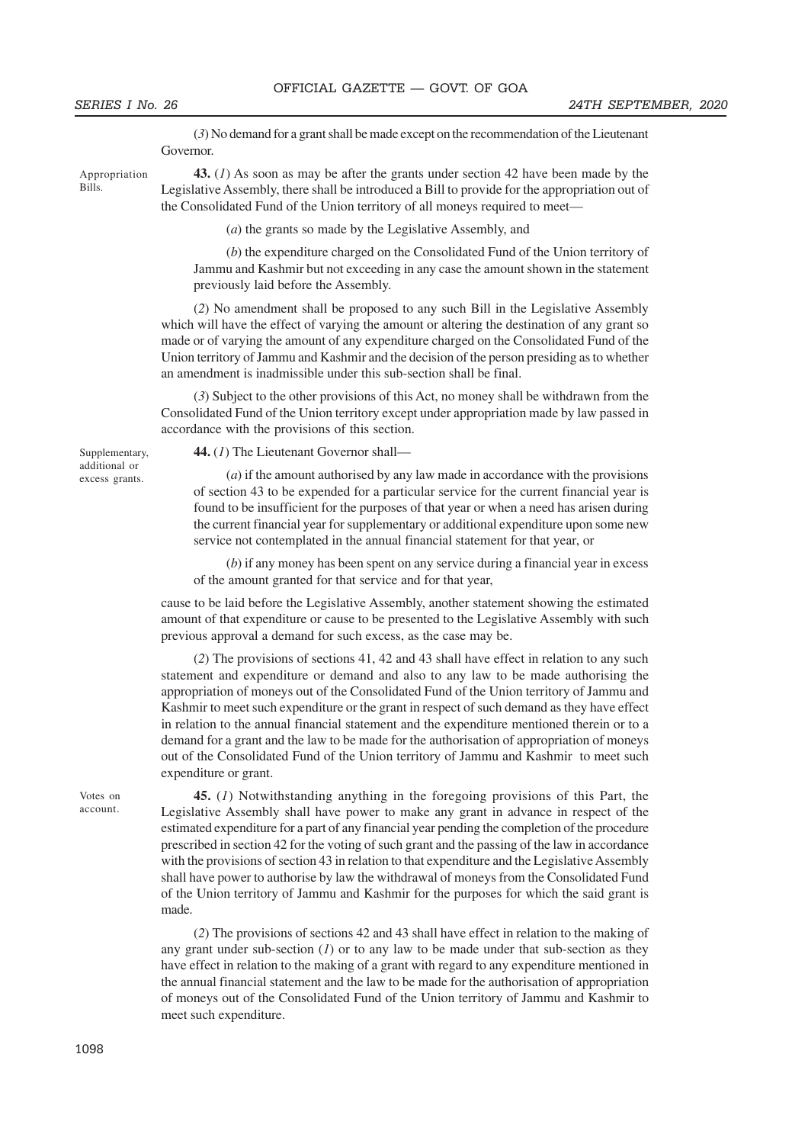(*3*) No demand for a grant shall be made except on the recommendation of the Lieutenant Governor.

Appropriation Bills.

**43.** (*1*) As soon as may be after the grants under section 42 have been made by the Legislative Assembly, there shall be introduced a Bill to provide for the appropriation out of the Consolidated Fund of the Union territory of all moneys required to meet—

(*a*) the grants so made by the Legislative Assembly, and

(*b*) the expenditure charged on the Consolidated Fund of the Union territory of Jammu and Kashmir but not exceeding in any case the amount shown in the statement previously laid before the Assembly.

(*2*) No amendment shall be proposed to any such Bill in the Legislative Assembly which will have the effect of varying the amount or altering the destination of any grant so made or of varying the amount of any expenditure charged on the Consolidated Fund of the Union territory of Jammu and Kashmir and the decision of the person presiding as to whether an amendment is inadmissible under this sub-section shall be final.

(*3*) Subject to the other provisions of this Act, no money shall be withdrawn from the Consolidated Fund of the Union territory except under appropriation made by law passed in accordance with the provisions of this section.

Supplementary, additional or excess grants.

**44.** (*1*) The Lieutenant Governor shall—

(*a*) if the amount authorised by any law made in accordance with the provisions of section 43 to be expended for a particular service for the current financial year is found to be insufficient for the purposes of that year or when a need has arisen during the current financial year for supplementary or additional expenditure upon some new service not contemplated in the annual financial statement for that year, or

(*b*) if any money has been spent on any service during a financial year in excess of the amount granted for that service and for that year,

cause to be laid before the Legislative Assembly, another statement showing the estimated amount of that expenditure or cause to be presented to the Legislative Assembly with such previous approval a demand for such excess, as the case may be.

(*2*) The provisions of sections 41, 42 and 43 shall have effect in relation to any such statement and expenditure or demand and also to any law to be made authorising the appropriation of moneys out of the Consolidated Fund of the Union territory of Jammu and Kashmir to meet such expenditure or the grant in respect of such demand as they have effect in relation to the annual financial statement and the expenditure mentioned therein or to a demand for a grant and the law to be made for the authorisation of appropriation of moneys out of the Consolidated Fund of the Union territory of Jammu and Kashmir to meet such expenditure or grant.

Votes on account.

**45.** (*1*) Notwithstanding anything in the foregoing provisions of this Part, the Legislative Assembly shall have power to make any grant in advance in respect of the estimated expenditure for a part of any financial year pending the completion of the procedure prescribed in section 42 for the voting of such grant and the passing of the law in accordance with the provisions of section 43 in relation to that expenditure and the Legislative Assembly shall have power to authorise by law the withdrawal of moneys from the Consolidated Fund of the Union territory of Jammu and Kashmir for the purposes for which the said grant is made.

(*2*) The provisions of sections 42 and 43 shall have effect in relation to the making of any grant under sub-section (*1*) or to any law to be made under that sub-section as they have effect in relation to the making of a grant with regard to any expenditure mentioned in the annual financial statement and the law to be made for the authorisation of appropriation of moneys out of the Consolidated Fund of the Union territory of Jammu and Kashmir to meet such expenditure.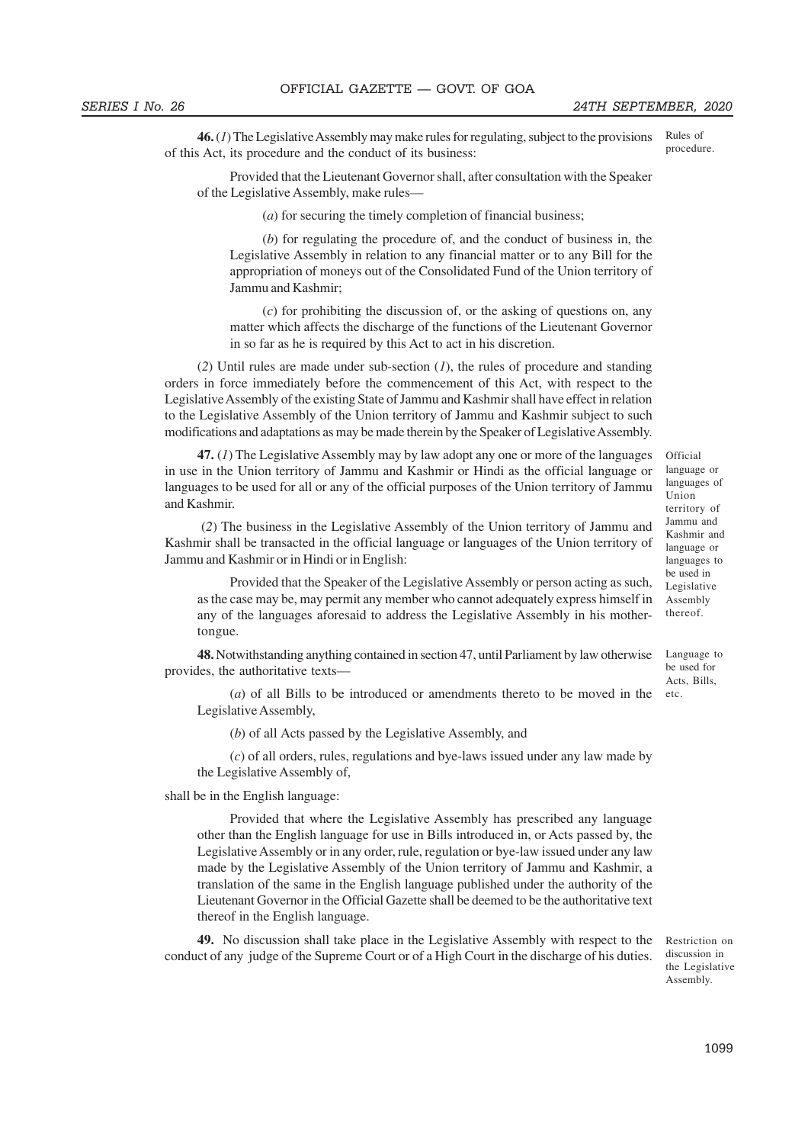**46.** (*1*) The Legislative Assembly may make rules for regulating, subject to the provisions of this Act, its procedure and the conduct of its business: Rules of procedure.

Provided that the Lieutenant Governor shall, after consultation with the Speaker of the Legislative Assembly, make rules—

(*a*) for securing the timely completion of financial business;

(*b*) for regulating the procedure of, and the conduct of business in, the Legislative Assembly in relation to any financial matter or to any Bill for the appropriation of moneys out of the Consolidated Fund of the Union territory of Jammu and Kashmir;

(*c*) for prohibiting the discussion of, or the asking of questions on, any matter which affects the discharge of the functions of the Lieutenant Governor in so far as he is required by this Act to act in his discretion.

(*2*) Until rules are made under sub-section (*1*), the rules of procedure and standing orders in force immediately before the commencement of this Act, with respect to the Legislative Assembly of the existing State of Jammu and Kashmir shall have effect in relation to the Legislative Assembly of the Union territory of Jammu and Kashmir subject to such modifications and adaptations as may be made therein by the Speaker of Legislative Assembly.

**47.** (*1*) The Legislative Assembly may by law adopt any one or more of the languages in use in the Union territory of Jammu and Kashmir or Hindi as the official language or languages to be used for all or any of the official purposes of the Union territory of Jammu and Kashmir.

 (*2*) The business in the Legislative Assembly of the Union territory of Jammu and Kashmir shall be transacted in the official language or languages of the Union territory of Jammu and Kashmir or in Hindi or in English:

Provided that the Speaker of the Legislative Assembly or person acting as such, as the case may be, may permit any member who cannot adequately express himself in any of the languages aforesaid to address the Legislative Assembly in his mothertongue.

**48.** Notwithstanding anything contained in section 47, until Parliament by law otherwise provides, the authoritative texts—

(*a*) of all Bills to be introduced or amendments thereto to be moved in the Legislative Assembly,

(*b*) of all Acts passed by the Legislative Assembly, and

(*c*) of all orders, rules, regulations and bye-laws issued under any law made by the Legislative Assembly of,

shall be in the English language:

Provided that where the Legislative Assembly has prescribed any language other than the English language for use in Bills introduced in, or Acts passed by, the Legislative Assembly or in any order, rule, regulation or bye-law issued under any law made by the Legislative Assembly of the Union territory of Jammu and Kashmir, a translation of the same in the English language published under the authority of the Lieutenant Governor in the Official Gazette shall be deemed to be the authoritative text thereof in the English language.

**49.** No discussion shall take place in the Legislative Assembly with respect to the conduct of any judge of the Supreme Court or of a High Court in the discharge of his duties.

Restriction on discussion in the Legislative Assembly.

Official language or languages of Union territory of Jammu and Kashmir and language or languages to be used in Legislative Assembly thereof.

Language to be used for Acts, Bills, etc.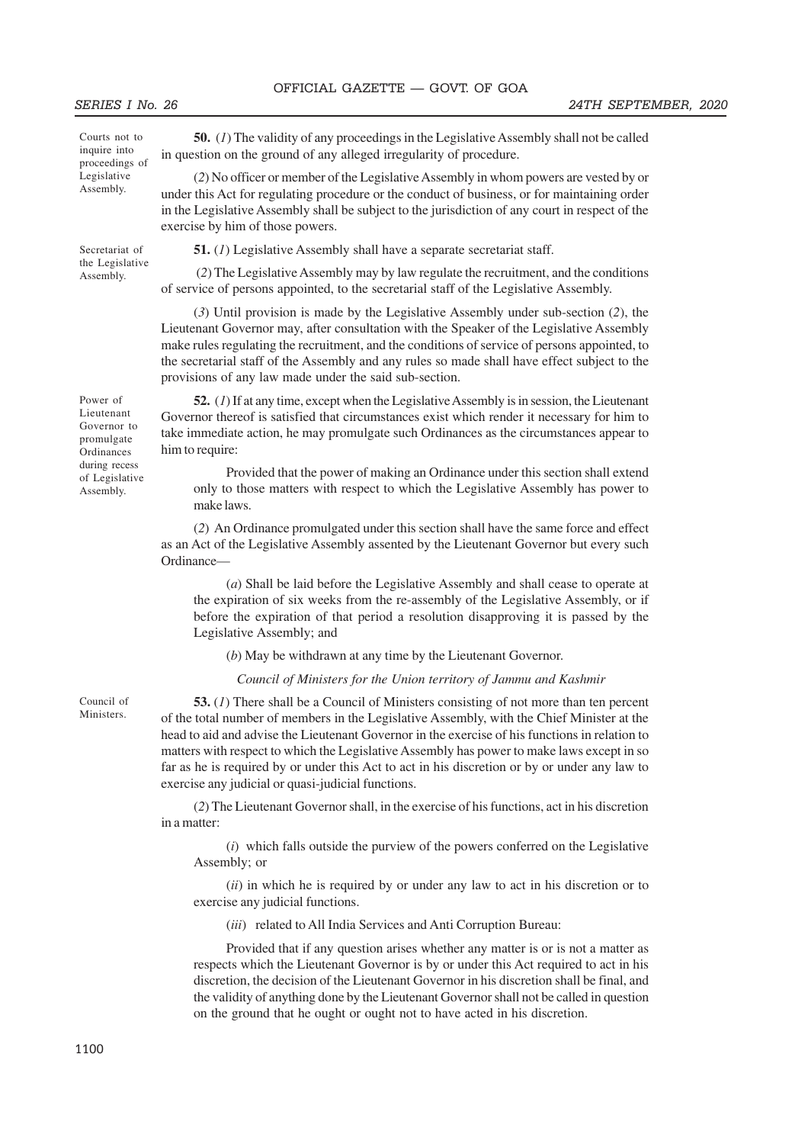Courts not to inquire into proceedings of **Legislative** Assembly.

Secretariat of the Legislative Assembly.

Power of Lieutenant Governor to promulgate **Ordinances** during recess of Legislative Assembly.

**50.** (*1*) The validity of any proceedings in the Legislative Assembly shall not be called in question on the ground of any alleged irregularity of procedure.

(*2*) No officer or member of the Legislative Assembly in whom powers are vested by or under this Act for regulating procedure or the conduct of business, or for maintaining order in the Legislative Assembly shall be subject to the jurisdiction of any court in respect of the exercise by him of those powers.

**51.** (*1*) Legislative Assembly shall have a separate secretariat staff.

 (*2*) The Legislative Assembly may by law regulate the recruitment, and the conditions of service of persons appointed, to the secretarial staff of the Legislative Assembly.

(*3*) Until provision is made by the Legislative Assembly under sub-section (*2*), the Lieutenant Governor may, after consultation with the Speaker of the Legislative Assembly make rules regulating the recruitment, and the conditions of service of persons appointed, to the secretarial staff of the Assembly and any rules so made shall have effect subject to the provisions of any law made under the said sub-section.

**52.** (*1*) If at any time, except when the Legislative Assembly is in session, the Lieutenant Governor thereof is satisfied that circumstances exist which render it necessary for him to take immediate action, he may promulgate such Ordinances as the circumstances appear to him to require:

Provided that the power of making an Ordinance under this section shall extend only to those matters with respect to which the Legislative Assembly has power to make laws.

(*2*) An Ordinance promulgated under this section shall have the same force and effect as an Act of the Legislative Assembly assented by the Lieutenant Governor but every such Ordinance—

(*a*) Shall be laid before the Legislative Assembly and shall cease to operate at the expiration of six weeks from the re-assembly of the Legislative Assembly, or if before the expiration of that period a resolution disapproving it is passed by the Legislative Assembly; and

(*b*) May be withdrawn at any time by the Lieutenant Governor.

*Council of Ministers for the Union territory of Jammu and Kashmir*

**53.** (*1*) There shall be a Council of Ministers consisting of not more than ten percent of the total number of members in the Legislative Assembly, with the Chief Minister at the head to aid and advise the Lieutenant Governor in the exercise of his functions in relation to matters with respect to which the Legislative Assembly has power to make laws except in so far as he is required by or under this Act to act in his discretion or by or under any law to exercise any judicial or quasi-judicial functions.

(*2*) The Lieutenant Governor shall, in the exercise of his functions, act in his discretion in a matter:

(*i*) which falls outside the purview of the powers conferred on the Legislative Assembly; or

(*ii*) in which he is required by or under any law to act in his discretion or to exercise any judicial functions.

(*iii*) related to All India Services and Anti Corruption Bureau:

Provided that if any question arises whether any matter is or is not a matter as respects which the Lieutenant Governor is by or under this Act required to act in his discretion, the decision of the Lieutenant Governor in his discretion shall be final, and the validity of anything done by the Lieutenant Governor shall not be called in question on the ground that he ought or ought not to have acted in his discretion.

Council of **Ministers**.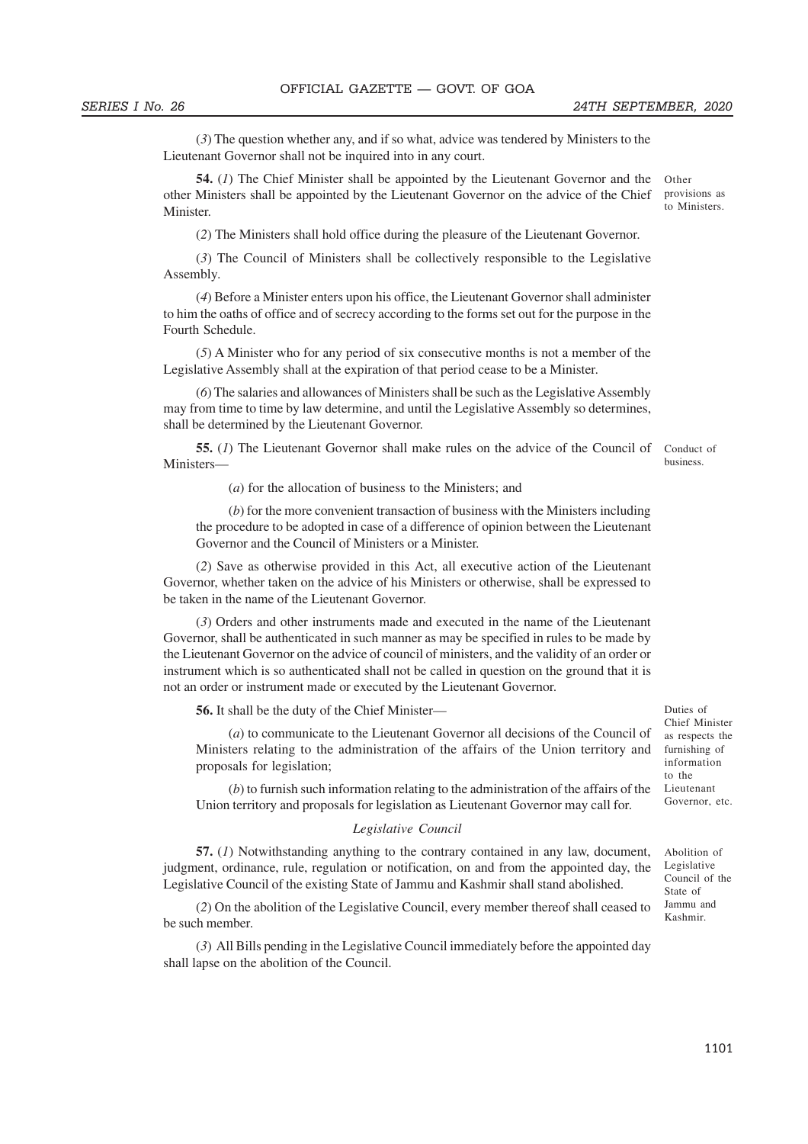(*3*) The question whether any, and if so what, advice was tendered by Ministers to the Lieutenant Governor shall not be inquired into in any court.

**54.** (*1*) The Chief Minister shall be appointed by the Lieutenant Governor and the other Ministers shall be appointed by the Lieutenant Governor on the advice of the Chief **Minister** Other provisions as to Ministers.

(*2*) The Ministers shall hold office during the pleasure of the Lieutenant Governor.

(*3*) The Council of Ministers shall be collectively responsible to the Legislative Assembly.

(*4*) Before a Minister enters upon his office, the Lieutenant Governor shall administer to him the oaths of office and of secrecy according to the forms set out for the purpose in the Fourth Schedule.

(*5*) A Minister who for any period of six consecutive months is not a member of the Legislative Assembly shall at the expiration of that period cease to be a Minister.

(*6*) The salaries and allowances of Ministers shall be such as the Legislative Assembly may from time to time by law determine, and until the Legislative Assembly so determines, shall be determined by the Lieutenant Governor.

**55.** (1) The Lieutenant Governor shall make rules on the advice of the Council of Conduct of Ministers business.

(*a*) for the allocation of business to the Ministers; and

(*b*) for the more convenient transaction of business with the Ministers including the procedure to be adopted in case of a difference of opinion between the Lieutenant Governor and the Council of Ministers or a Minister.

(*2*) Save as otherwise provided in this Act, all executive action of the Lieutenant Governor, whether taken on the advice of his Ministers or otherwise, shall be expressed to be taken in the name of the Lieutenant Governor.

(*3*) Orders and other instruments made and executed in the name of the Lieutenant Governor, shall be authenticated in such manner as may be specified in rules to be made by the Lieutenant Governor on the advice of council of ministers, and the validity of an order or instrument which is so authenticated shall not be called in question on the ground that it is not an order or instrument made or executed by the Lieutenant Governor.

**56.** It shall be the duty of the Chief Minister—

(*a*) to communicate to the Lieutenant Governor all decisions of the Council of Ministers relating to the administration of the affairs of the Union territory and proposals for legislation;

(*b*) to furnish such information relating to the administration of the affairs of the Union territory and proposals for legislation as Lieutenant Governor may call for.

#### *Legislative Council*

**57.** (*1*) Notwithstanding anything to the contrary contained in any law, document, judgment, ordinance, rule, regulation or notification, on and from the appointed day, the Legislative Council of the existing State of Jammu and Kashmir shall stand abolished.

(*2*) On the abolition of the Legislative Council, every member thereof shall ceased to be such member.

(*3*) All Bills pending in the Legislative Council immediately before the appointed day shall lapse on the abolition of the Council.

Duties of Chief Minister as respects the furnishing of information to the Lieutenant Governor, etc.

Abolition of Legislative Council of the State of Jammu and Kashmir.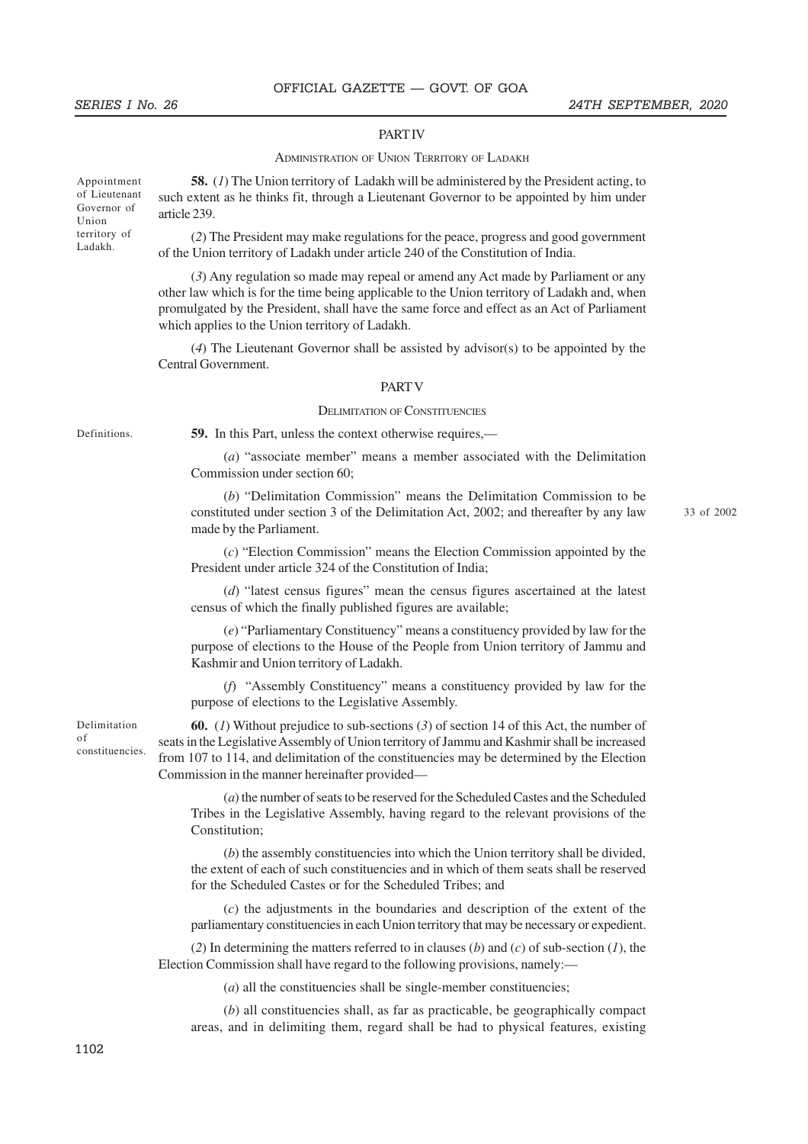#### **PART IV**

#### ADMINISTRATION OF UNION TERRITORY OF LADAKH

Appointment of Lieutenant Governor of Union territory of Ladakh.

**58.** (*1*) The Union territory of Ladakh will be administered by the President acting, to such extent as he thinks fit, through a Lieutenant Governor to be appointed by him under article 239.

(*2*) The President may make regulations for the peace, progress and good government of the Union territory of Ladakh under article 240 of the Constitution of India.

(*3*) Any regulation so made may repeal or amend any Act made by Parliament or any other law which is for the time being applicable to the Union territory of Ladakh and, when promulgated by the President, shall have the same force and effect as an Act of Parliament which applies to the Union territory of Ladakh.

(*4*) The Lieutenant Governor shall be assisted by advisor(s) to be appointed by the Central Government.

#### PART V

#### DELIMITATION OF CONSTITUENCIES

Definitions.

**59.** In this Part, unless the context otherwise requires,—

(*a*) "associate member" means a member associated with the Delimitation Commission under section 60;

(*b*) "Delimitation Commission" means the Delimitation Commission to be constituted under section 3 of the Delimitation Act, 2002; and thereafter by any law made by the Parliament.

33 of 2002. 2

(*c*) "Election Commission" means the Election Commission appointed by the President under article 324 of the Constitution of India;

(*d*) "latest census figures" mean the census figures ascertained at the latest census of which the finally published figures are available;

(*e*) "Parliamentary Constituency" means a constituency provided by law for the purpose of elections to the House of the People from Union territory of Jammu and Kashmir and Union territory of Ladakh.

(*f*) "Assembly Constituency" means a constituency provided by law for the purpose of elections to the Legislative Assembly.

**60.** (*1*) Without prejudice to sub-sections (*3*) of section 14 of this Act, the number of seats in the Legislative Assembly of Union territory of Jammu and Kashmir shall be increased from 107 to 114, and delimitation of the constituencies may be determined by the Election Commission in the manner hereinafter provided—

(*a*) the number of seats to be reserved for the Scheduled Castes and the Scheduled Tribes in the Legislative Assembly, having regard to the relevant provisions of the Constitution;

(*b*) the assembly constituencies into which the Union territory shall be divided, the extent of each of such constituencies and in which of them seats shall be reserved for the Scheduled Castes or for the Scheduled Tribes; and

(*c*) the adjustments in the boundaries and description of the extent of the parliamentary constituencies in each Union territory that may be necessary or expedient.

(*2*) In determining the matters referred to in clauses (*b*) and (*c*) of sub-section (*1*), the Election Commission shall have regard to the following provisions, namely:—

(*a*) all the constituencies shall be single-member constituencies;

(*b*) all constituencies shall, as far as practicable, be geographically compact areas, and in delimiting them, regard shall be had to physical features, existing

Delimitation of constituencies.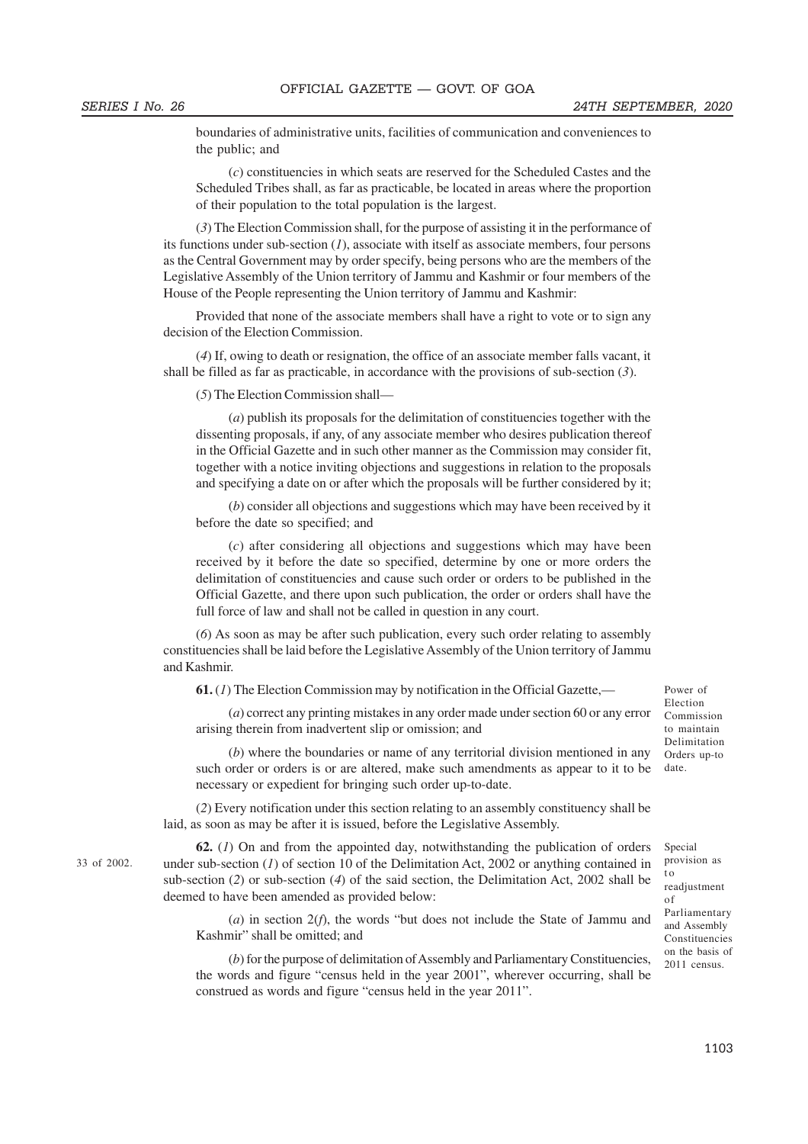33 of 2002.

boundaries of administrative units, facilities of communication and conveniences to the public; and

(*c*) constituencies in which seats are reserved for the Scheduled Castes and the Scheduled Tribes shall, as far as practicable, be located in areas where the proportion of their population to the total population is the largest.

(*3*) The Election Commission shall, for the purpose of assisting it in the performance of its functions under sub-section (*1*), associate with itself as associate members, four persons as the Central Government may by order specify, being persons who are the members of the Legislative Assembly of the Union territory of Jammu and Kashmir or four members of the House of the People representing the Union territory of Jammu and Kashmir:

Provided that none of the associate members shall have a right to vote or to sign any decision of the Election Commission.

(*4*) If, owing to death or resignation, the office of an associate member falls vacant, it shall be filled as far as practicable, in accordance with the provisions of sub-section (*3*).

(*5*) The Election Commission shall—

(*a*) publish its proposals for the delimitation of constituencies together with the dissenting proposals, if any, of any associate member who desires publication thereof in the Official Gazette and in such other manner as the Commission may consider fit, together with a notice inviting objections and suggestions in relation to the proposals and specifying a date on or after which the proposals will be further considered by it;

(*b*) consider all objections and suggestions which may have been received by it before the date so specified; and

(*c*) after considering all objections and suggestions which may have been received by it before the date so specified, determine by one or more orders the delimitation of constituencies and cause such order or orders to be published in the Official Gazette, and there upon such publication, the order or orders shall have the full force of law and shall not be called in question in any court.

(*6*) As soon as may be after such publication, every such order relating to assembly constituencies shall be laid before the Legislative Assembly of the Union territory of Jammu and Kashmir.

**61.** (*1*) The Election Commission may by notification in the Official Gazette,—

(*a*) correct any printing mistakes in any order made under section 60 or any error arising therein from inadvertent slip or omission; and

(*b*) where the boundaries or name of any territorial division mentioned in any such order or orders is or are altered, make such amendments as appear to it to be necessary or expedient for bringing such order up-to-date.

(*2*) Every notification under this section relating to an assembly constituency shall be laid, as soon as may be after it is issued, before the Legislative Assembly.

**62.** (*1*) On and from the appointed day, notwithstanding the publication of orders under sub-section (*1*) of section 10 of the Delimitation Act, 2002 or anything contained in sub-section (*2*) or sub-section (*4*) of the said section, the Delimitation Act, 2002 shall be deemed to have been amended as provided below:

(*a*) in section 2(*f*), the words "but does not include the State of Jammu and Kashmir" shall be omitted; and

(*b*) for the purpose of delimitation of Assembly and Parliamentary Constituencies, the words and figure "census held in the year 2001", wherever occurring, shall be construed as words and figure "census held in the year 2011".

Power of Election Commission to maintain Delimitation Orders up-to date.

Special provision as t o readjustment of Parliamentary and Assembly Constituencies on the basis of 2011 census.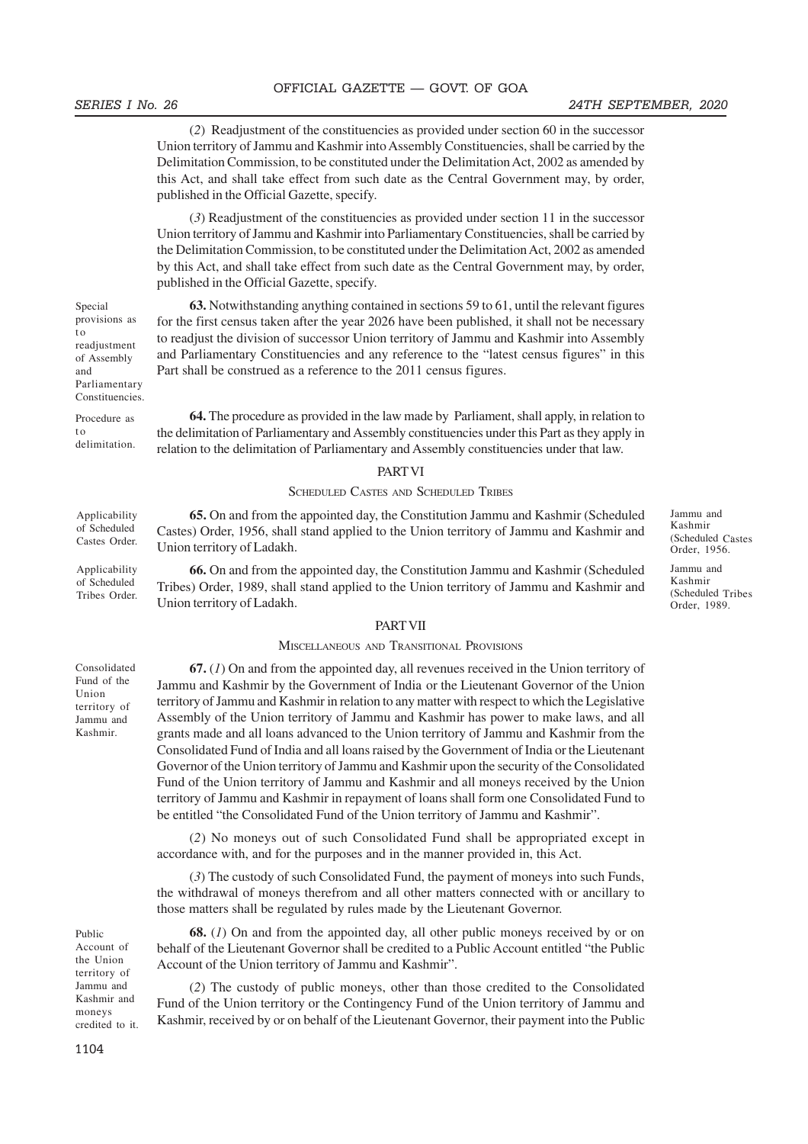#### SERIES I No. 26 24TH SEPTEMBER, 2020

Jammu and Kashmir

Jammu and Kashmir (Scheduled Tribes) TribesOrder, 1989.

(Scheduled Castes) Castes Order, 1956.

(*2*) Readjustment of the constituencies as provided under section 60 in the successor Union territory of Jammu and Kashmir into Assembly Constituencies, shall be carried by the Delimitation Commission, to be constituted under the Delimitation Act, 2002 as amended by this Act, and shall take effect from such date as the Central Government may, by order, published in the Official Gazette, specify.

(*3*) Readjustment of the constituencies as provided under section 11 in the successor Union territory of Jammu and Kashmir into Parliamentary Constituencies, shall be carried by the Delimitation Commission, to be constituted under the Delimitation Act, 2002 as amended by this Act, and shall take effect from such date as the Central Government may, by order, published in the Official Gazette, specify.

**63.** Notwithstanding anything contained in sections 59 to 61, until the relevant figures for the first census taken after the year 2026 have been published, it shall not be necessary to readjust the division of successor Union territory of Jammu and Kashmir into Assembly and Parliamentary Constituencies and any reference to the "latest census figures" in this Part shall be construed as a reference to the 2011 census figures.

**64.** The procedure as provided in the law made by Parliament, shall apply, in relation to the delimitation of Parliamentary and Assembly constituencies under this Part as they apply in relation to the delimitation of Parliamentary and Assembly constituencies under that law.

#### PART VI

#### SCHEDULED CASTES AND SCHEDULED TRIBES

**65.** On and from the appointed day, the Constitution Jammu and Kashmir (Scheduled Castes) Order, 1956, shall stand applied to the Union territory of Jammu and Kashmir and Union territory of Ladakh. Applicability of Scheduled

> **66.** On and from the appointed day, the Constitution Jammu and Kashmir (Scheduled Tribes) Order, 1989, shall stand applied to the Union territory of Jammu and Kashmir and Union territory of Ladakh.

#### PART VII

#### MISCELLANEOUS AND TRANSITIONAL PROVISIONS

**67.** (*1*) On and from the appointed day, all revenues received in the Union territory of Jammu and Kashmir by the Government of India or the Lieutenant Governor of the Union territory of Jammu and Kashmir in relation to any matter with respect to which the Legislative Assembly of the Union territory of Jammu and Kashmir has power to make laws, and all grants made and all loans advanced to the Union territory of Jammu and Kashmir from the Consolidated Fund of India and all loans raised by the Government of India or the Lieutenant Governor of the Union territory of Jammu and Kashmir upon the security of the Consolidated Fund of the Union territory of Jammu and Kashmir and all moneys received by the Union territory of Jammu and Kashmir in repayment of loans shall form one Consolidated Fund to be entitled "the Consolidated Fund of the Union territory of Jammu and Kashmir".

(*2*) No moneys out of such Consolidated Fund shall be appropriated except in accordance with, and for the purposes and in the manner provided in, this Act.

(*3*) The custody of such Consolidated Fund, the payment of moneys into such Funds, the withdrawal of moneys therefrom and all other matters connected with or ancillary to those matters shall be regulated by rules made by the Lieutenant Governor.

**68.** (*1*) On and from the appointed day, all other public moneys received by or on behalf of the Lieutenant Governor shall be credited to a Public Account entitled "the Public Account of the Union territory of Jammu and Kashmir".

(*2*) The custody of public moneys, other than those credited to the Consolidated Fund of the Union territory or the Contingency Fund of the Union territory of Jammu and Kashmir, received by or on behalf of the Lieutenant Governor, their payment into the Public

Special provisions as t o readjustment of Assembly and Parliamentary Constituencies.

Procedure as  $t<sub>0</sub>$ delimitation.

Castes Order. Applicability

of Scheduled Tribes Order.

Consolidated Fund of the Union territory of Jammu and Kashmir.

Public Account of the Union territory of Jammu and Kashmir and moneys credited to it.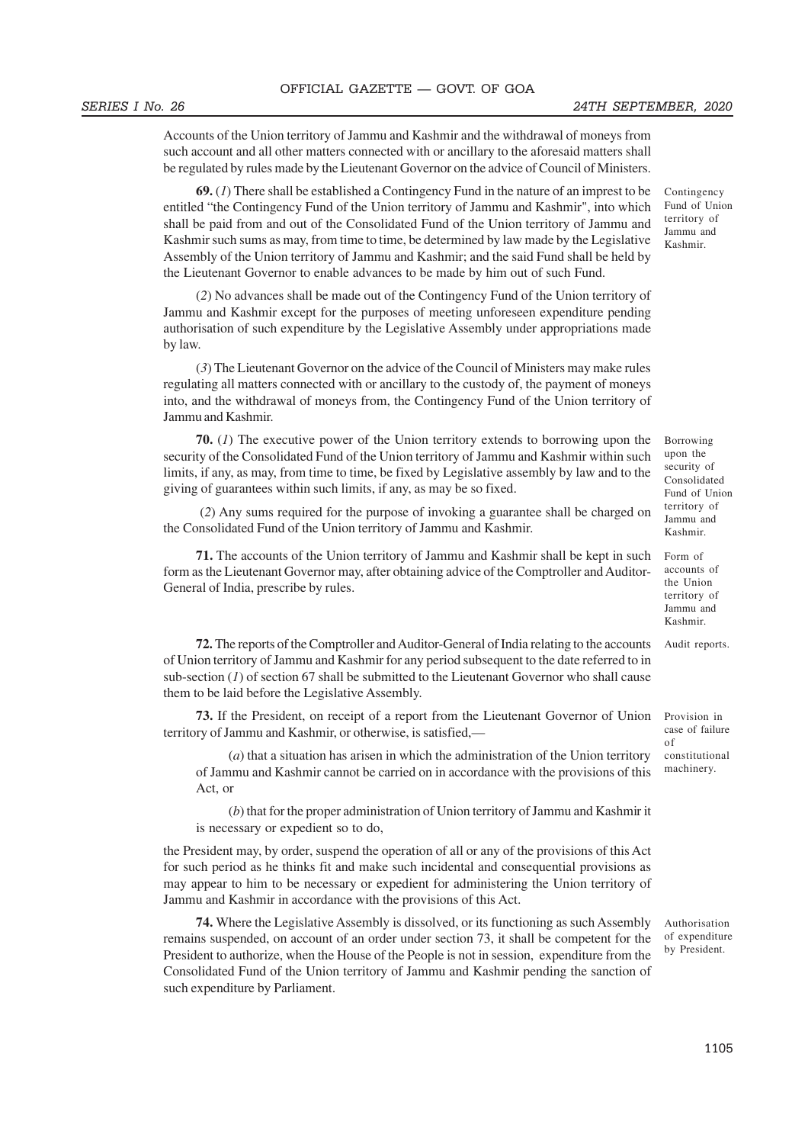Accounts of the Union territory of Jammu and Kashmir and the withdrawal of moneys from such account and all other matters connected with or ancillary to the aforesaid matters shall be regulated by rules made by the Lieutenant Governor on the advice of Council of Ministers.

**69.** (*1*) There shall be established a Contingency Fund in the nature of an imprest to be entitled "the Contingency Fund of the Union territory of Jammu and Kashmir", into which shall be paid from and out of the Consolidated Fund of the Union territory of Jammu and Kashmir such sums as may, from time to time, be determined by law made by the Legislative Assembly of the Union territory of Jammu and Kashmir; and the said Fund shall be held by the Lieutenant Governor to enable advances to be made by him out of such Fund.

(*2*) No advances shall be made out of the Contingency Fund of the Union territory of Jammu and Kashmir except for the purposes of meeting unforeseen expenditure pending authorisation of such expenditure by the Legislative Assembly under appropriations made by law.

(*3*) The Lieutenant Governor on the advice of the Council of Ministers may make rules regulating all matters connected with or ancillary to the custody of, the payment of moneys into, and the withdrawal of moneys from, the Contingency Fund of the Union territory of Jammu and Kashmir.

**70.** (*1*) The executive power of the Union territory extends to borrowing upon the security of the Consolidated Fund of the Union territory of Jammu and Kashmir within such limits, if any, as may, from time to time, be fixed by Legislative assembly by law and to the giving of guarantees within such limits, if any, as may be so fixed.

 (*2*) Any sums required for the purpose of invoking a guarantee shall be charged on the Consolidated Fund of the Union territory of Jammu and Kashmir.

**71.** The accounts of the Union territory of Jammu and Kashmir shall be kept in such form as the Lieutenant Governor may, after obtaining advice of the Comptroller and Auditor-General of India, prescribe by rules.

**72.** The reports of the Comptroller and Auditor-General of India relating to the accounts of Union territory of Jammu and Kashmir for any period subsequent to the date referred to in sub-section  $(1)$  of section 67 shall be submitted to the Lieutenant Governor who shall cause them to be laid before the Legislative Assembly.

**73.** If the President, on receipt of a report from the Lieutenant Governor of Union territory of Jammu and Kashmir, or otherwise, is satisfied,—

(*a*) that a situation has arisen in which the administration of the Union territory of Jammu and Kashmir cannot be carried on in accordance with the provisions of this Act, or

(*b*) that for the proper administration of Union territory of Jammu and Kashmir it is necessary or expedient so to do,

the President may, by order, suspend the operation of all or any of the provisions of this Act for such period as he thinks fit and make such incidental and consequential provisions as may appear to him to be necessary or expedient for administering the Union territory of Jammu and Kashmir in accordance with the provisions of this Act.

**74.** Where the Legislative Assembly is dissolved, or its functioning as such Assembly remains suspended, on account of an order under section 73, it shall be competent for the President to authorize, when the House of the People is not in session, expenditure from the Consolidated Fund of the Union territory of Jammu and Kashmir pending the sanction of such expenditure by Parliament.

Contingency Fund of Union territory of Jammu and Kashmir.

Borrowing upon the security of Consolidated Fund of Union territory of Jammu and Kashmir.

Form of accounts of the Union territory of Jammu and Kashmir.

Audit reports.

Provision in case of failure of constitutional machinery.

Authorisation of expenditure by President.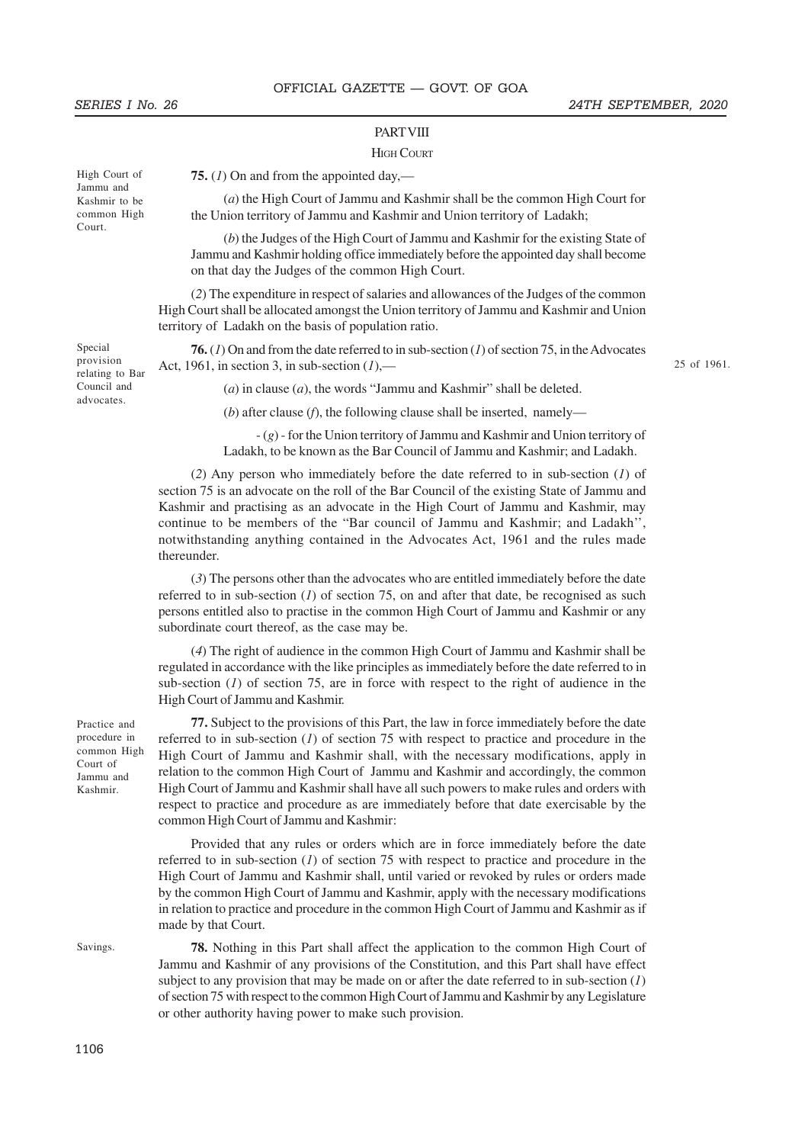High Court of Jammu and Kashmir to be common High Court.

#### SERIES I No. 26 24TH SEPTEMBER, 2020

#### **PART VIII**

#### **HIGH COURT**

**75.** (*1*) On and from the appointed day,—

(*a*) the High Court of Jammu and Kashmir shall be the common High Court for the Union territory of Jammu and Kashmir and Union territory of Ladakh;

(*b*) the Judges of the High Court of Jammu and Kashmir for the existing State of Jammu and Kashmir holding office immediately before the appointed day shall become on that day the Judges of the common High Court.

(*2*) The expenditure in respect of salaries and allowances of the Judges of the common High Court shall be allocated amongst the Union territory of Jammu and Kashmir and Union territory of Ladakh on the basis of population ratio.

**76.** (*1*) On and from the date referred to in sub-section (*1*) of section 75, in the Advocates Act, 1961, in section 3, in sub-section (*1*),—

25 of 1961.

(*a*) in clause (*a*), the words "Jammu and Kashmir" shall be deleted.

(*b*) after clause (*f*), the following clause shall be inserted, namely—

- (*g*) - for the Union territory of Jammu and Kashmir and Union territory of Ladakh, to be known as the Bar Council of Jammu and Kashmir; and Ladakh.

(*2*) Any person who immediately before the date referred to in sub-section (*1*) of section 75 is an advocate on the roll of the Bar Council of the existing State of Jammu and Kashmir and practising as an advocate in the High Court of Jammu and Kashmir, may continue to be members of the "Bar council of Jammu and Kashmir; and Ladakh'', notwithstanding anything contained in the Advocates Act, 1961 and the rules made thereunder.

(*3*) The persons other than the advocates who are entitled immediately before the date referred to in sub-section  $(1)$  of section 75, on and after that date, be recognised as such persons entitled also to practise in the common High Court of Jammu and Kashmir or any subordinate court thereof, as the case may be.

(*4*) The right of audience in the common High Court of Jammu and Kashmir shall be regulated in accordance with the like principles as immediately before the date referred to in sub-section (*1*) of section 75, are in force with respect to the right of audience in the High Court of Jammu and Kashmir.

**77.** Subject to the provisions of this Part, the law in force immediately before the date referred to in sub-section (*1*) of section 75 with respect to practice and procedure in the High Court of Jammu and Kashmir shall, with the necessary modifications, apply in relation to the common High Court of Jammu and Kashmir and accordingly, the common High Court of Jammu and Kashmir shall have all such powers to make rules and orders with respect to practice and procedure as are immediately before that date exercisable by the common High Court of Jammu and Kashmir:

Provided that any rules or orders which are in force immediately before the date referred to in sub-section (*1*) of section 75 with respect to practice and procedure in the High Court of Jammu and Kashmir shall, until varied or revoked by rules or orders made by the common High Court of Jammu and Kashmir, apply with the necessary modifications in relation to practice and procedure in the common High Court of Jammu and Kashmir as if made by that Court.

subject to any provision that may be made on or after the date referred to in sub-section (*1*) of section 75 with respect to the common High Court of Jammu and Kashmir by any Legislature

or other authority having power to make such provision.

**78.** Nothing in this Part shall affect the application to the common High Court of

Jammu and Kashmir of any provisions of the Constitution, and this Part shall have effect Savings.

Practice and procedure in common High Court of Jammu and Kashmir.

Special provision relating to Bar Council and advocates.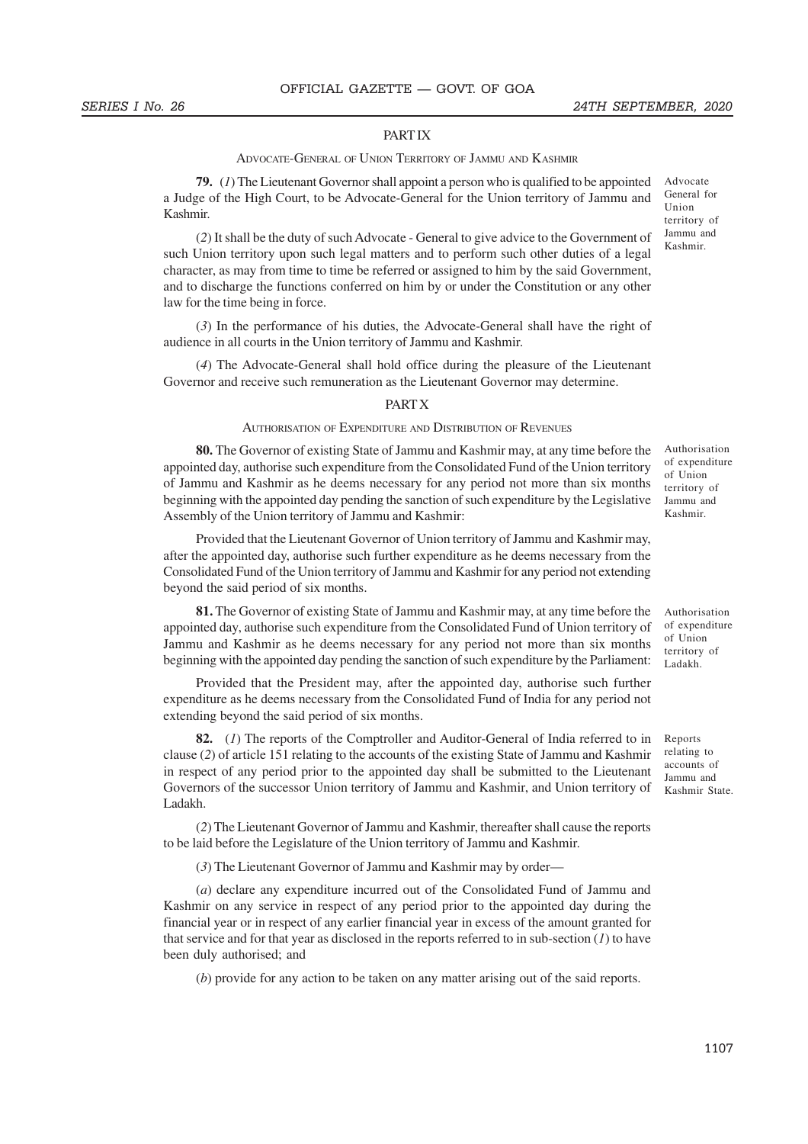#### PART IX

#### ADVOCATE-GENERAL OF UNION TERRITORY OF JAMMU AND KASHMIR

**79.** (*1*) The Lieutenant Governor shall appoint a person who is qualified to be appointed a Judge of the High Court, to be Advocate-General for the Union territory of Jammu and Kashmir.

(*2*) It shall be the duty of such Advocate - General to give advice to the Government of such Union territory upon such legal matters and to perform such other duties of a legal character, as may from time to time be referred or assigned to him by the said Government, and to discharge the functions conferred on him by or under the Constitution or any other law for the time being in force.

(*3*) In the performance of his duties, the Advocate-General shall have the right of audience in all courts in the Union territory of Jammu and Kashmir.

(*4*) The Advocate-General shall hold office during the pleasure of the Lieutenant Governor and receive such remuneration as the Lieutenant Governor may determine.

#### PART X

#### AUTHORISATION OF EXPENDITURE AND DISTRIBUTION OF REVENUES

**80.** The Governor of existing State of Jammu and Kashmir may, at any time before the appointed day, authorise such expenditure from the Consolidated Fund of the Union territory of Jammu and Kashmir as he deems necessary for any period not more than six months beginning with the appointed day pending the sanction of such expenditure by the Legislative Assembly of the Union territory of Jammu and Kashmir:

Provided that the Lieutenant Governor of Union territory of Jammu and Kashmir may, after the appointed day, authorise such further expenditure as he deems necessary from the Consolidated Fund of the Union territory of Jammu and Kashmir for any period not extending beyond the said period of six months.

**81.** The Governor of existing State of Jammu and Kashmir may, at any time before the appointed day, authorise such expenditure from the Consolidated Fund of Union territory of Jammu and Kashmir as he deems necessary for any period not more than six months beginning with the appointed day pending the sanction of such expenditure by the Parliament:

Provided that the President may, after the appointed day, authorise such further expenditure as he deems necessary from the Consolidated Fund of India for any period not extending beyond the said period of six months.

**82.** (*1*) The reports of the Comptroller and Auditor-General of India referred to in clause (*2*) of article 151 relating to the accounts of the existing State of Jammu and Kashmir in respect of any period prior to the appointed day shall be submitted to the Lieutenant Governors of the successor Union territory of Jammu and Kashmir, and Union territory of Ladakh.

(*2*) The Lieutenant Governor of Jammu and Kashmir, thereafter shall cause the reports to be laid before the Legislature of the Union territory of Jammu and Kashmir.

(*3*) The Lieutenant Governor of Jammu and Kashmir may by order—

(*a*) declare any expenditure incurred out of the Consolidated Fund of Jammu and Kashmir on any service in respect of any period prior to the appointed day during the financial year or in respect of any earlier financial year in excess of the amount granted for that service and for that year as disclosed in the reports referred to in sub-section (*1*) to have been duly authorised; and

(*b*) provide for any action to be taken on any matter arising out of the said reports.

Advocate General for Union territory of Jammu and Kashmir.

Authorisation of expenditure of Union territory of Jammu and Kashmir.

Authorisation of expenditure of Union territory of Ladakh.

Reports relating to accounts of Jammu and Kashmir State.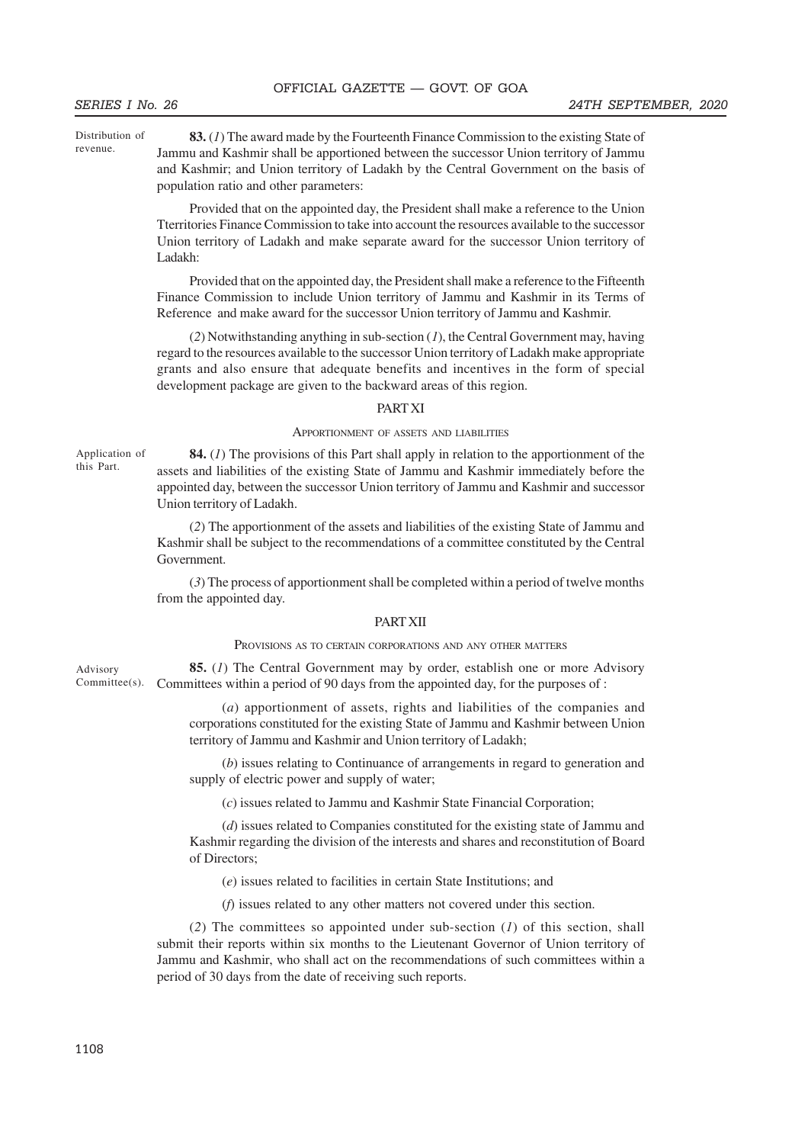Distribution of revenue.

**83.** (*1*) The award made by the Fourteenth Finance Commission to the existing State of Jammu and Kashmir shall be apportioned between the successor Union territory of Jammu and Kashmir; and Union territory of Ladakh by the Central Government on the basis of population ratio and other parameters:

Provided that on the appointed day, the President shall make a reference to the Union Tterritories Finance Commission to take into account the resources available to the successor Union territory of Ladakh and make separate award for the successor Union territory of Ladakh:

Provided that on the appointed day, the President shall make a reference to the Fifteenth Finance Commission to include Union territory of Jammu and Kashmir in its Terms of Reference and make award for the successor Union territory of Jammu and Kashmir.

(*2*) Notwithstanding anything in sub-section (*1*), the Central Government may, having regard to the resources available to the successor Union territory of Ladakh make appropriate grants and also ensure that adequate benefits and incentives in the form of special development package are given to the backward areas of this region.

#### PART XI

#### APPORTIONMENT OF ASSETS AND LIABILITIES

Application of this Part.

**84.** (*1*) The provisions of this Part shall apply in relation to the apportionment of the assets and liabilities of the existing State of Jammu and Kashmir immediately before the appointed day, between the successor Union territory of Jammu and Kashmir and successor Union territory of Ladakh.

(*2*) The apportionment of the assets and liabilities of the existing State of Jammu and Kashmir shall be subject to the recommendations of a committee constituted by the Central Government.

(*3*) The process of apportionment shall be completed within a period of twelve months from the appointed day.

#### PART XII

#### PROVISIONS AS TO CERTAIN CORPORATIONS AND ANY OTHER MATTERS

**85.** (*1*) The Central Government may by order, establish one or more Advisory Committees within a period of 90 days from the appointed day, for the purposes of : Advisory Committee(s).

> (*a*) apportionment of assets, rights and liabilities of the companies and corporations constituted for the existing State of Jammu and Kashmir between Union territory of Jammu and Kashmir and Union territory of Ladakh;

> (*b*) issues relating to Continuance of arrangements in regard to generation and supply of electric power and supply of water;

(*c*) issues related to Jammu and Kashmir State Financial Corporation;

(*d*) issues related to Companies constituted for the existing state of Jammu and Kashmir regarding the division of the interests and shares and reconstitution of Board of Directors;

(*e*) issues related to facilities in certain State Institutions; and

(*f*) issues related to any other matters not covered under this section.

(*2*) The committees so appointed under sub-section (*1*) of this section, shall submit their reports within six months to the Lieutenant Governor of Union territory of Jammu and Kashmir, who shall act on the recommendations of such committees within a period of 30 days from the date of receiving such reports.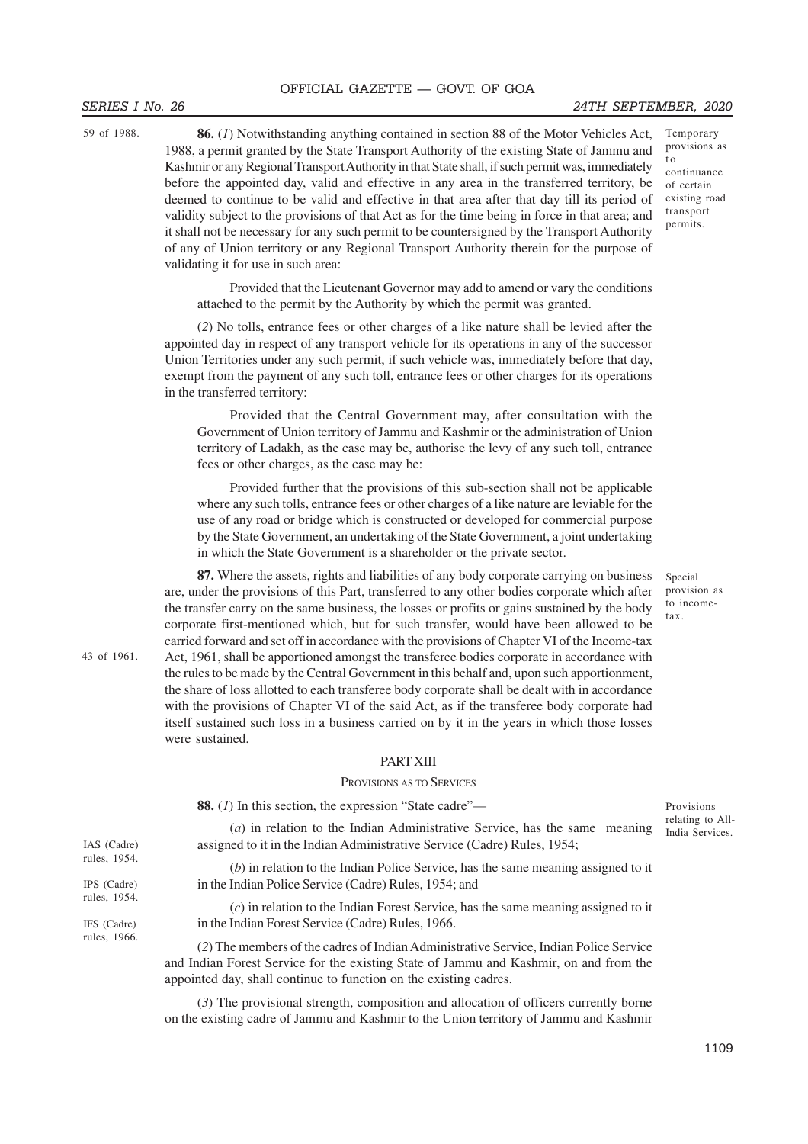#### SERIES I No. 26 24TH SEPTEMBER, 2020

t o continuance

Temporary provisions as

59 of 1988.

**86.** (*1*) Notwithstanding anything contained in section 88 of the Motor Vehicles Act, 1988, a permit granted by the State Transport Authority of the existing State of Jammu and Kashmir or any Regional Transport Authority in that State shall, if such permit was, immediately before the appointed day, valid and effective in any area in the transferred territory, be deemed to continue to be valid and effective in that area after that day till its period of validity subject to the provisions of that Act as for the time being in force in that area; and it shall not be necessary for any such permit to be countersigned by the Transport Authority of any of Union territory or any Regional Transport Authority therein for the purpose of validating it for use in such area:

of certain existing road transport permits.

Provided that the Lieutenant Governor may add to amend or vary the conditions attached to the permit by the Authority by which the permit was granted.

(*2*) No tolls, entrance fees or other charges of a like nature shall be levied after the appointed day in respect of any transport vehicle for its operations in any of the successor Union Territories under any such permit, if such vehicle was, immediately before that day, exempt from the payment of any such toll, entrance fees or other charges for its operations in the transferred territory:

Provided that the Central Government may, after consultation with the Government of Union territory of Jammu and Kashmir or the administration of Union territory of Ladakh, as the case may be, authorise the levy of any such toll, entrance fees or other charges, as the case may be:

Provided further that the provisions of this sub-section shall not be applicable where any such tolls, entrance fees or other charges of a like nature are leviable for the use of any road or bridge which is constructed or developed for commercial purpose by the State Government, an undertaking of the State Government, a joint undertaking in which the State Government is a shareholder or the private sector.

**87.** Where the assets, rights and liabilities of any body corporate carrying on business are, under the provisions of this Part, transferred to any other bodies corporate which after the transfer carry on the same business, the losses or profits or gains sustained by the body corporate first-mentioned which, but for such transfer, would have been allowed to be carried forward and set off in accordance with the provisions of Chapter VI of the Income-tax Act, 1961, shall be apportioned amongst the transferee bodies corporate in accordance with the rules to be made by the Central Government in this behalf and, upon such apportionment, the share of loss allotted to each transferee body corporate shall be dealt with in accordance with the provisions of Chapter VI of the said Act, as if the transferee body corporate had itself sustained such loss in a business carried on by it in the years in which those losses were sustained.

#### PART XIII

#### PROVISIONS AS TO SERVICES

**88.** (*1*) In this section, the expression "State cadre"— (*a*) in relation to the Indian Administrative Service, has the same meaning assigned to it in the Indian Administrative Service (Cadre) Rules, 1954; (*b*) in relation to the Indian Police Service, has the same meaning assigned to it in the Indian Police Service (Cadre) Rules, 1954; and (*c*) in relation to the Indian Forest Service, has the same meaning assigned to it in the Indian Forest Service (Cadre) Rules, 1966. (*2*) The members of the cadres of Indian Administrative Service, Indian Police Service and Indian Forest Service for the existing State of Jammu and Kashmir, on and from the appointed day, shall continue to function on the existing cadres. Provisions relating to All-India Services. IAS (Cadre) rules, 1954. IPS (Cadre) rules, 1954. IFS (Cadre) rules, 1966.

> (*3*) The provisional strength, composition and allocation of officers currently borne on the existing cadre of Jammu and Kashmir to the Union territory of Jammu and Kashmir

Special provision as to incometax.

43 of 1961.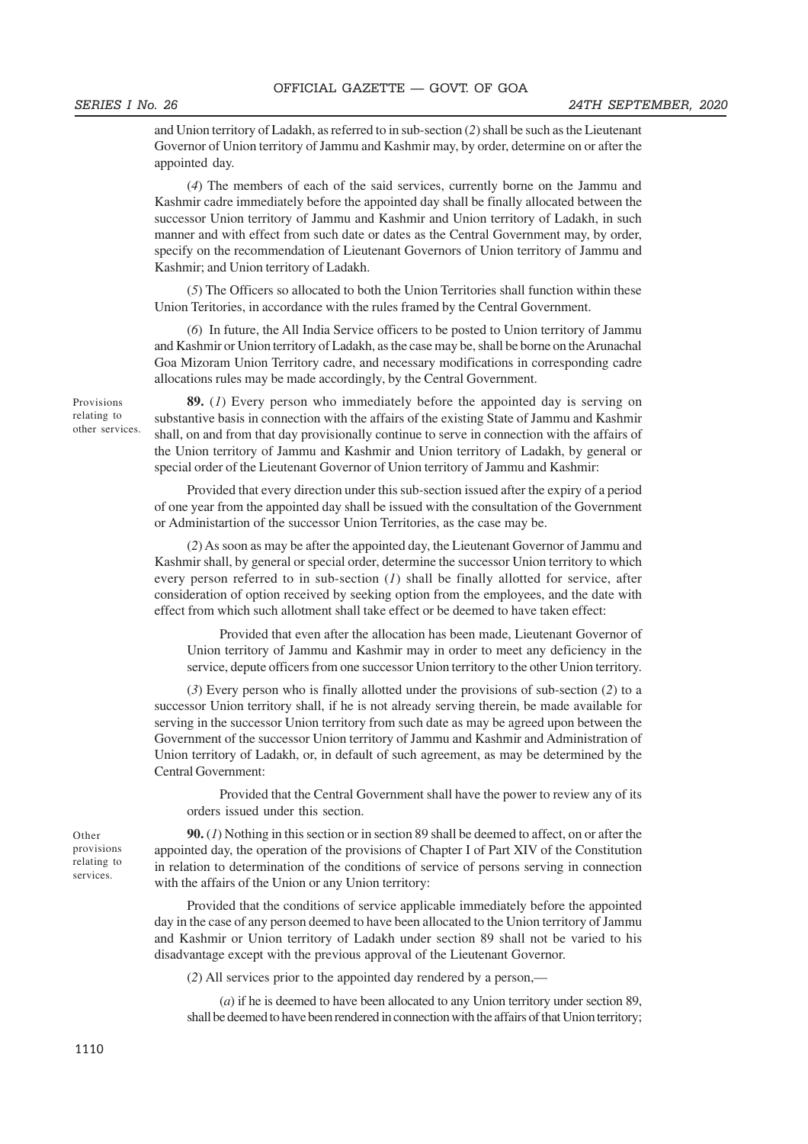and Union territory of Ladakh, as referred to in sub-section (*2*) shall be such as the Lieutenant Governor of Union territory of Jammu and Kashmir may, by order, determine on or after the appointed day.

(*4*) The members of each of the said services, currently borne on the Jammu and Kashmir cadre immediately before the appointed day shall be finally allocated between the successor Union territory of Jammu and Kashmir and Union territory of Ladakh, in such manner and with effect from such date or dates as the Central Government may, by order, specify on the recommendation of Lieutenant Governors of Union territory of Jammu and Kashmir; and Union territory of Ladakh.

(*5*) The Officers so allocated to both the Union Territories shall function within these Union Teritories, in accordance with the rules framed by the Central Government.

(*6*) In future, the All India Service officers to be posted to Union territory of Jammu and Kashmir or Union territory of Ladakh, as the case may be, shall be borne on the Arunachal Goa Mizoram Union Territory cadre, and necessary modifications in corresponding cadre allocations rules may be made accordingly, by the Central Government.

Provisions relating to other services.

**89.** (*1*) Every person who immediately before the appointed day is serving on substantive basis in connection with the affairs of the existing State of Jammu and Kashmir shall, on and from that day provisionally continue to serve in connection with the affairs of the Union territory of Jammu and Kashmir and Union territory of Ladakh, by general or special order of the Lieutenant Governor of Union territory of Jammu and Kashmir:

Provided that every direction under this sub-section issued after the expiry of a period of one year from the appointed day shall be issued with the consultation of the Government or Administartion of the successor Union Territories, as the case may be.

(*2*) As soon as may be after the appointed day, the Lieutenant Governor of Jammu and Kashmir shall, by general or special order, determine the successor Union territory to which every person referred to in sub-section (*1*) shall be finally allotted for service, after consideration of option received by seeking option from the employees, and the date with effect from which such allotment shall take effect or be deemed to have taken effect:

Provided that even after the allocation has been made, Lieutenant Governor of Union territory of Jammu and Kashmir may in order to meet any deficiency in the service, depute officers from one successor Union territory to the other Union territory.

(*3*) Every person who is finally allotted under the provisions of sub-section (*2*) to a successor Union territory shall, if he is not already serving therein, be made available for serving in the successor Union territory from such date as may be agreed upon between the Government of the successor Union territory of Jammu and Kashmir and Administration of Union territory of Ladakh, or, in default of such agreement, as may be determined by the Central Government:

Provided that the Central Government shall have the power to review any of its orders issued under this section.

**90.** (*1*) Nothing in this section or in section 89 shall be deemed to affect, on or after the appointed day, the operation of the provisions of Chapter I of Part XIV of the Constitution in relation to determination of the conditions of service of persons serving in connection with the affairs of the Union or any Union territory:

Provided that the conditions of service applicable immediately before the appointed day in the case of any person deemed to have been allocated to the Union territory of Jammu and Kashmir or Union territory of Ladakh under section 89 shall not be varied to his disadvantage except with the previous approval of the Lieutenant Governor.

(*2*) All services prior to the appointed day rendered by a person,—

(*a*) if he is deemed to have been allocated to any Union territory under section 89, shall be deemed to have been rendered in connection with the affairs of that Union territory;

Other provisions relating to services.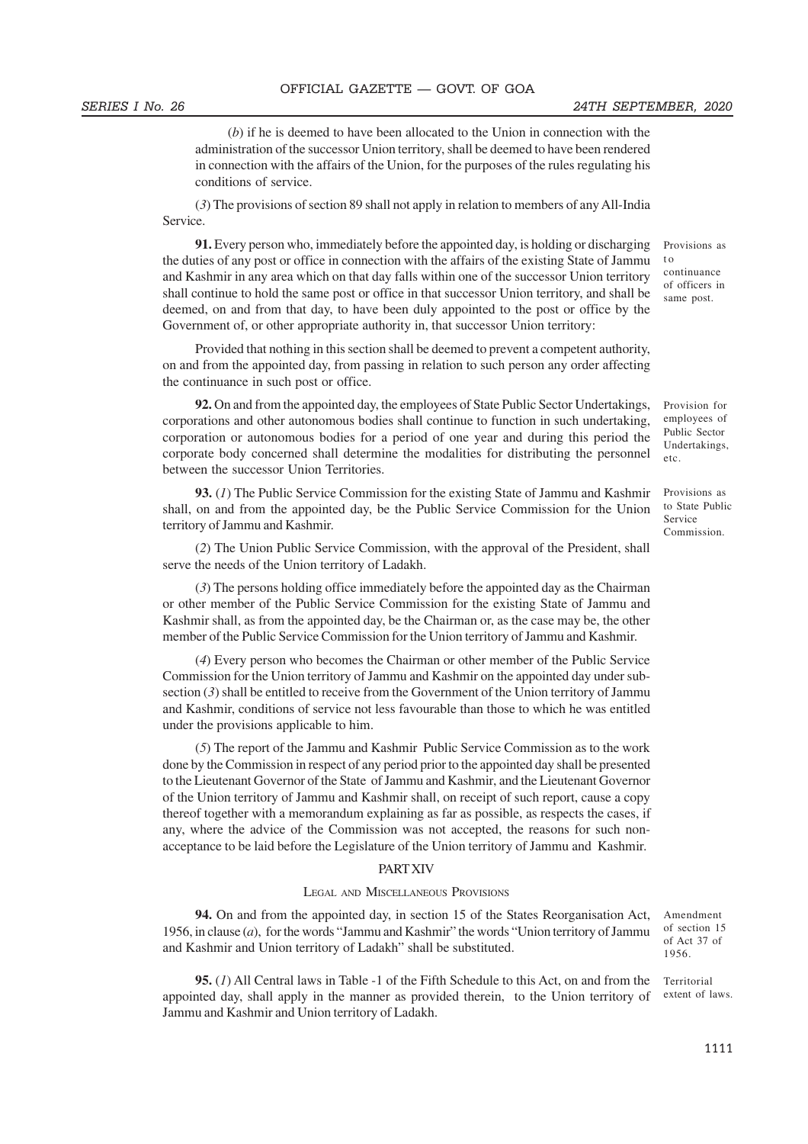(*b*) if he is deemed to have been allocated to the Union in connection with the administration of the successor Union territory, shall be deemed to have been rendered in connection with the affairs of the Union, for the purposes of the rules regulating his conditions of service.

(*3*) The provisions of section 89 shall not apply in relation to members of any All-India Service.

**91.** Every person who, immediately before the appointed day, is holding or discharging the duties of any post or office in connection with the affairs of the existing State of Jammu and Kashmir in any area which on that day falls within one of the successor Union territory shall continue to hold the same post or office in that successor Union territory, and shall be deemed, on and from that day, to have been duly appointed to the post or office by the Government of, or other appropriate authority in, that successor Union territory:

Provided that nothing in this section shall be deemed to prevent a competent authority, on and from the appointed day, from passing in relation to such person any order affecting the continuance in such post or office.

**92.** On and from the appointed day, the employees of State Public Sector Undertakings, corporations and other autonomous bodies shall continue to function in such undertaking, corporation or autonomous bodies for a period of one year and during this period the corporate body concerned shall determine the modalities for distributing the personnel between the successor Union Territories.

**93.** (*1*) The Public Service Commission for the existing State of Jammu and Kashmir shall, on and from the appointed day, be the Public Service Commission for the Union territory of Jammu and Kashmir.

(*2*) The Union Public Service Commission, with the approval of the President, shall serve the needs of the Union territory of Ladakh.

(*3*) The persons holding office immediately before the appointed day as the Chairman or other member of the Public Service Commission for the existing State of Jammu and Kashmir shall, as from the appointed day, be the Chairman or, as the case may be, the other member of the Public Service Commission for the Union territory of Jammu and Kashmir.

(*4*) Every person who becomes the Chairman or other member of the Public Service Commission for the Union territory of Jammu and Kashmir on the appointed day under subsection (*3*) shall be entitled to receive from the Government of the Union territory of Jammu and Kashmir, conditions of service not less favourable than those to which he was entitled under the provisions applicable to him.

(*5*) The report of the Jammu and Kashmir Public Service Commission as to the work done by the Commission in respect of any period prior to the appointed day shall be presented to the Lieutenant Governor of the State of Jammu and Kashmir, and the Lieutenant Governor of the Union territory of Jammu and Kashmir shall, on receipt of such report, cause a copy thereof together with a memorandum explaining as far as possible, as respects the cases, if any, where the advice of the Commission was not accepted, the reasons for such nonacceptance to be laid before the Legislature of the Union territory of Jammu and Kashmir.

#### PART XIV

#### LEGAL AND MISCELLANEOUS PROVISIONS

**94.** On and from the appointed day, in section 15 of the States Reorganisation Act, 1956, in clause (*a*), for the words "Jammu and Kashmir" the words "Union territory of Jammu and Kashmir and Union territory of Ladakh" shall be substituted.

**95.** (*1*) All Central laws in Table -1 of the Fifth Schedule to this Act, on and from the appointed day, shall apply in the manner as provided therein, to the Union territory of Jammu and Kashmir and Union territory of Ladakh.

Provisions as t o continuance of officers in same post.

Provision for employees of Public Sector Undertakings, etc.

Provisions as to State Public Service Commission.

Amendment of section 15 of Act 37 of 1956.

Territorial extent of laws.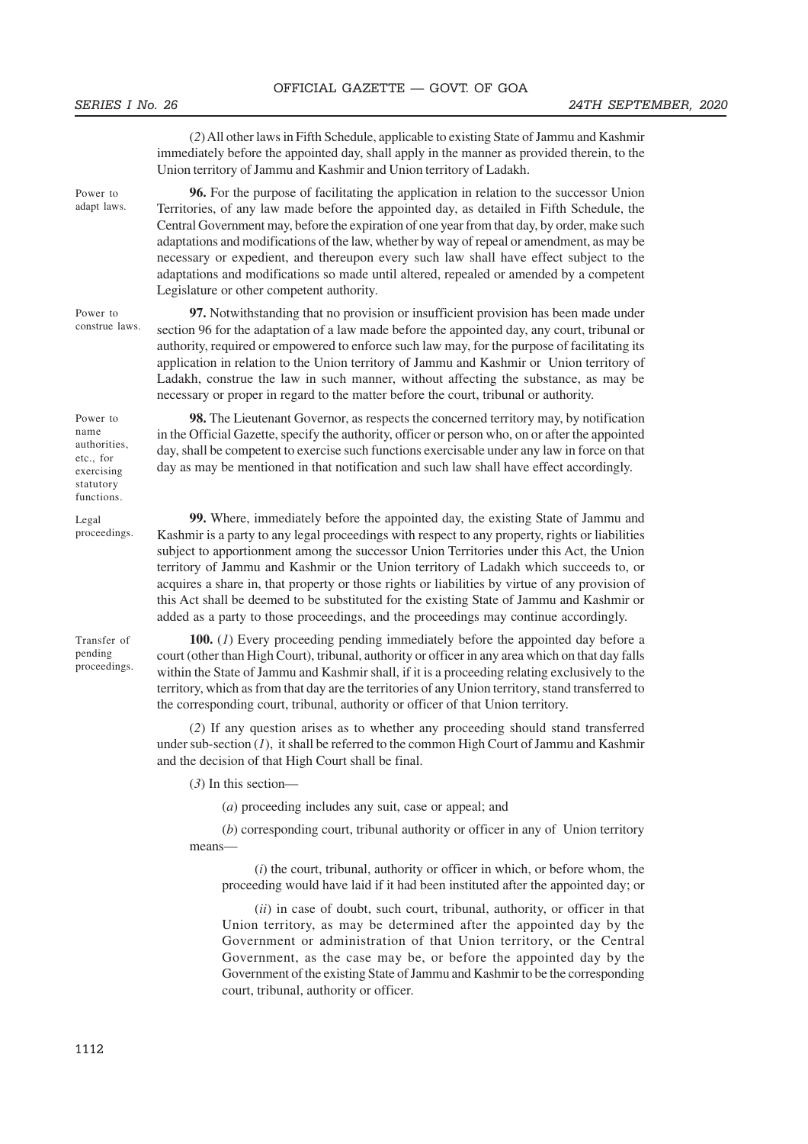(*2*) All other laws in Fifth Schedule, applicable to existing State of Jammu and Kashmir immediately before the appointed day, shall apply in the manner as provided therein, to the Union territory of Jammu and Kashmir and Union territory of Ladakh. **96.** For the purpose of facilitating the application in relation to the successor Union Territories, of any law made before the appointed day, as detailed in Fifth Schedule, the Central Government may, before the expiration of one year from that day, by order, make such adaptations and modifications of the law, whether by way of repeal or amendment, as may be necessary or expedient, and thereupon every such law shall have effect subject to the adaptations and modifications so made until altered, repealed or amended by a competent Legislature or other competent authority. **97.** Notwithstanding that no provision or insufficient provision has been made under section 96 for the adaptation of a law made before the appointed day, any court, tribunal or authority, required or empowered to enforce such law may, for the purpose of facilitating its application in relation to the Union territory of Jammu and Kashmir or Union territory of Ladakh, construe the law in such manner, without affecting the substance, as may be necessary or proper in regard to the matter before the court, tribunal or authority. **98.** The Lieutenant Governor, as respects the concerned territory may, by notification in the Official Gazette, specify the authority, officer or person who, on or after the appointed day, shall be competent to exercise such functions exercisable under any law in force on that day as may be mentioned in that notification and such law shall have effect accordingly. **99.** Where, immediately before the appointed day, the existing State of Jammu and Kashmir is a party to any legal proceedings with respect to any property, rights or liabilities subject to apportionment among the successor Union Territories under this Act, the Union territory of Jammu and Kashmir or the Union territory of Ladakh which succeeds to, or acquires a share in, that property or those rights or liabilities by virtue of any provision of this Act shall be deemed to be substituted for the existing State of Jammu and Kashmir or added as a party to those proceedings, and the proceedings may continue accordingly. **100.** (*1*) Every proceeding pending immediately before the appointed day before a court (other than High Court), tribunal, authority or officer in any area which on that day falls within the State of Jammu and Kashmir shall, if it is a proceeding relating exclusively to the territory, which as from that day are the territories of any Union territory, stand transferred to the corresponding court, tribunal, authority or officer of that Union territory. (*2*) If any question arises as to whether any proceeding should stand transferred under sub-section (*1*), it shall be referred to the common High Court of Jammu and Kashmir and the decision of that High Court shall be final. Power to adapt laws. Power to construe laws. Power to name authorities, etc., for exercising statutory functions. Legal proceedings. Transfer of pending proceedings.

(*3*) In this section—

(*a*) proceeding includes any suit, case or appeal; and

(*b*) corresponding court, tribunal authority or officer in any of Union territory means—

(*i*) the court, tribunal, authority or officer in which, or before whom, the proceeding would have laid if it had been instituted after the appointed day; or

(*ii*) in case of doubt, such court, tribunal, authority, or officer in that Union territory, as may be determined after the appointed day by the Government or administration of that Union territory, or the Central Government, as the case may be, or before the appointed day by the Government of the existing State of Jammu and Kashmir to be the corresponding court, tribunal, authority or officer.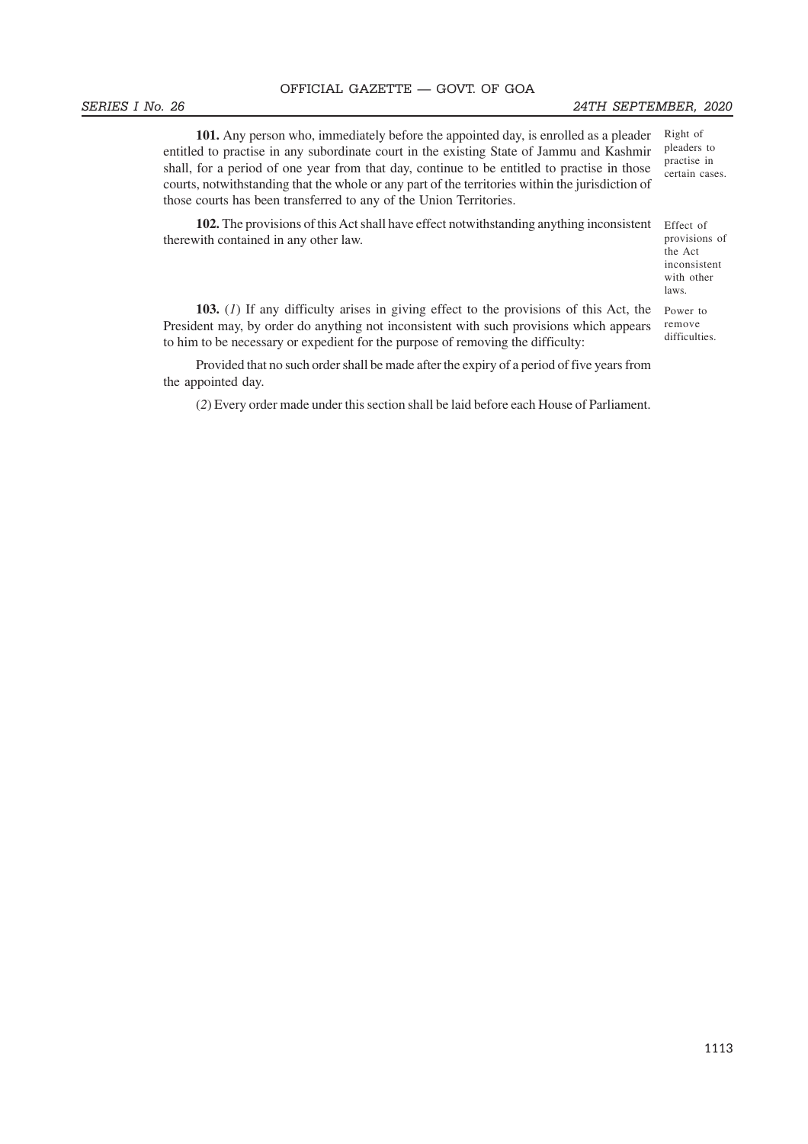#### SERIES I No. 26 24TH SEPTEMBER, 2020

Right of pleaders to practise in certain cases.

**101.** Any person who, immediately before the appointed day, is enrolled as a pleader entitled to practise in any subordinate court in the existing State of Jammu and Kashmir shall, for a period of one year from that day, continue to be entitled to practise in those courts, notwithstanding that the whole or any part of the territories within the jurisdiction of those courts has been transferred to any of the Union Territories.

**102.** The provisions of this Act shall have effect notwithstanding anything inconsistent therewith contained in any other law.

Effect of provisions of the Act inconsistent with other laws.

**103.** (*1*) If any difficulty arises in giving effect to the provisions of this Act, the President may, by order do anything not inconsistent with such provisions which appears to him to be necessary or expedient for the purpose of removing the difficulty: Power to remove difficulties.

Provided that no such order shall be made after the expiry of a period of five years from the appointed day.

(*2*) Every order made under this section shall be laid before each House of Parliament.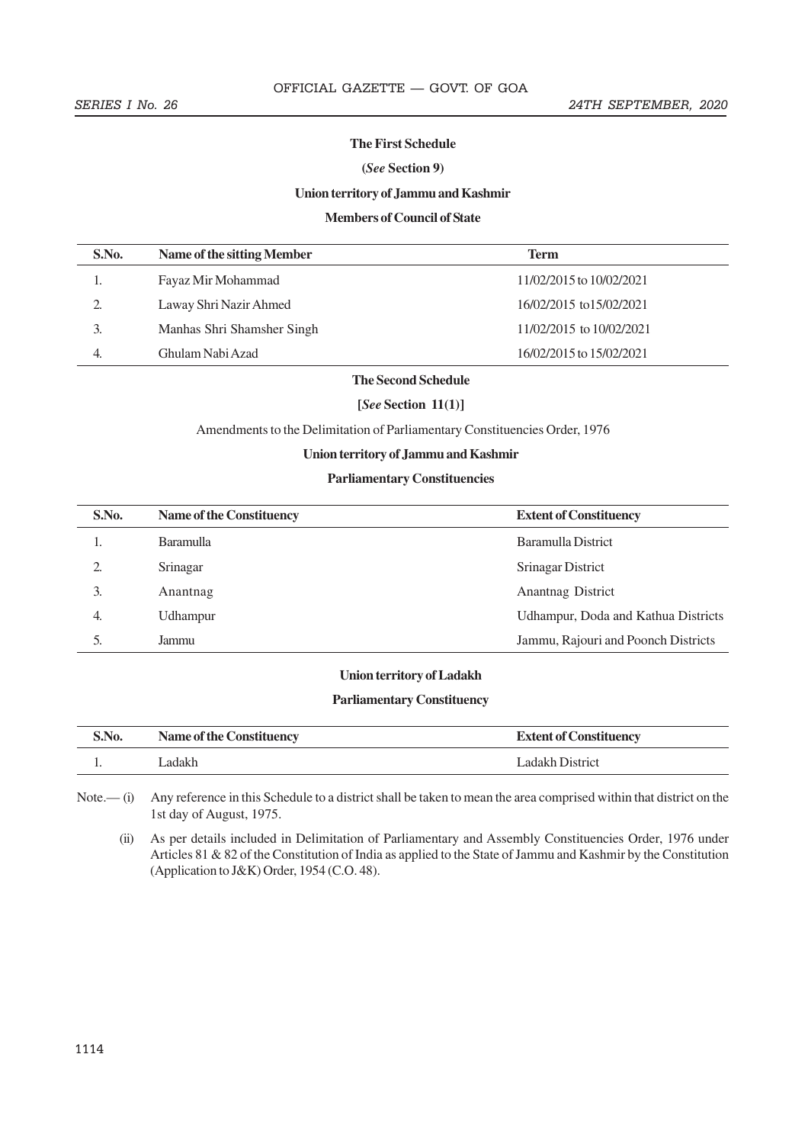#### **The First Schedule**

### **(***See* **Section 9)**

### **Union territory of Jammu and Kashmir**

### **Members of Council of State**

| S.No. | Name of the sitting Member | <b>Term</b>              |
|-------|----------------------------|--------------------------|
|       | Fayaz Mir Mohammad         | 11/02/2015 to 10/02/2021 |
| 2.    | Laway Shri Nazir Ahmed     | 16/02/2015 to 15/02/2021 |
|       | Manhas Shri Shamsher Singh | 11/02/2015 to 10/02/2021 |
|       | Ghulam Nabi Azad           | 16/02/2015 to 15/02/2021 |
|       |                            |                          |

# **The Second Schedule**

### **[***See* **Section 11(1)]**

Amendments to the Delimitation of Parliamentary Constituencies Order, 1976

#### **Union territory of Jammu and Kashmir**

### **Parliamentary Constituencies**

| S.No. | <b>Name of the Constituency</b> | <b>Extent of Constituency</b>       |
|-------|---------------------------------|-------------------------------------|
| ı.    | <b>Baramulla</b>                | Baramulla District                  |
| 2.    | Srinagar                        | Srinagar District                   |
| 3.    | Anantnag                        | Anantnag District                   |
| 4.    | Udhampur                        | Udhampur, Doda and Kathua Districts |
| 5.    | Jammu                           | Jammu, Rajouri and Poonch Districts |

#### **Union territory of Ladakh**

#### **Parliamentary Constituency**

| S.No. | Name of the Constituency | <b>Extent of Constituency</b> |
|-------|--------------------------|-------------------------------|
|       | Ladakh                   | Ladakh District               |

Note.— (i) Any reference in this Schedule to a district shall be taken to mean the area comprised within that district on the 1st day of August, 1975.

(ii) As per details included in Delimitation of Parliamentary and Assembly Constituencies Order, 1976 under Articles 81 & 82 of the Constitution of India as applied to the State of Jammu and Kashmir by the Constitution (Application to J&K) Order, 1954 (C.O. 48).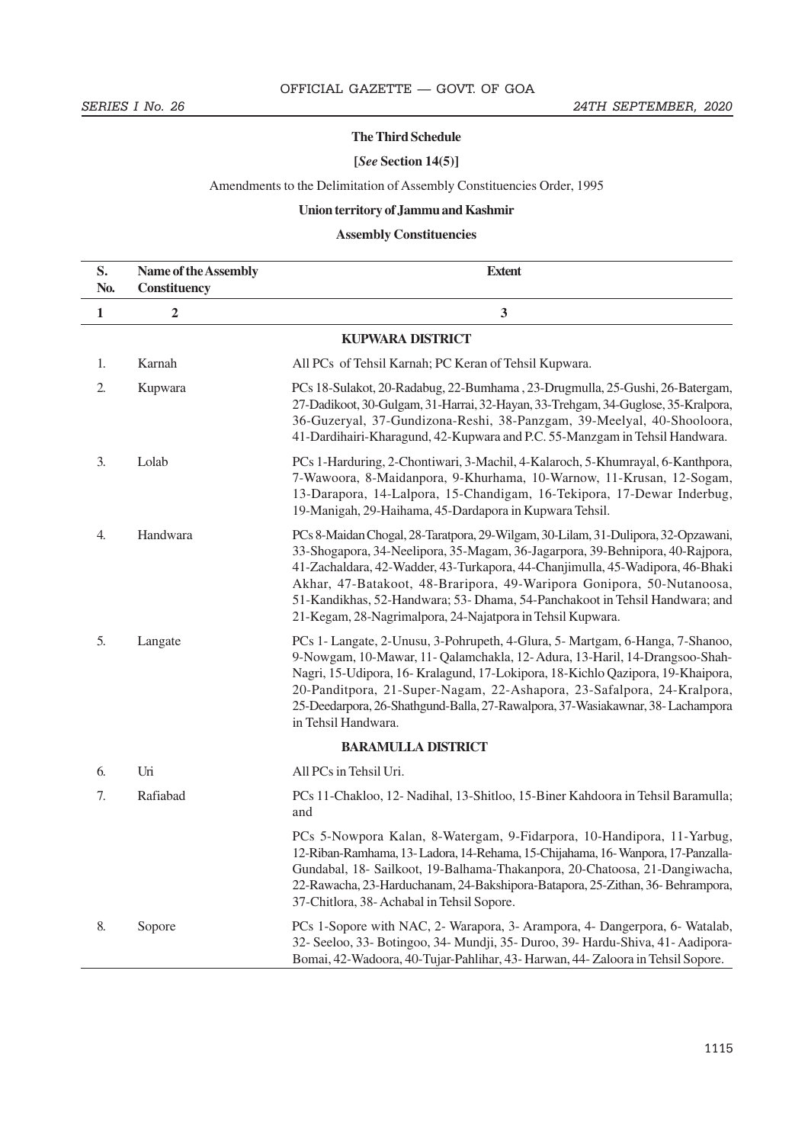#### **The Third Schedule**

### **[***See* **Section 14(5)]**

# Amendments to the Delimitation of Assembly Constituencies Order, 1995

# **Union territory of Jammu and Kashmir**

# **Assembly Constituencies**

| S.<br>No.    | Name of the Assembly<br>Constituency | <b>Extent</b>                                                                                                                                                                                                                                                                                                                                                                                                                                                             |
|--------------|--------------------------------------|---------------------------------------------------------------------------------------------------------------------------------------------------------------------------------------------------------------------------------------------------------------------------------------------------------------------------------------------------------------------------------------------------------------------------------------------------------------------------|
| $\mathbf{1}$ | 2                                    | $\mathbf{3}$                                                                                                                                                                                                                                                                                                                                                                                                                                                              |
|              |                                      | <b>KUPWARA DISTRICT</b>                                                                                                                                                                                                                                                                                                                                                                                                                                                   |
| 1.           | Karnah                               | All PCs of Tehsil Karnah; PC Keran of Tehsil Kupwara.                                                                                                                                                                                                                                                                                                                                                                                                                     |
| 2.           | Kupwara                              | PCs 18-Sulakot, 20-Radabug, 22-Bumhama, 23-Drugmulla, 25-Gushi, 26-Batergam,<br>27-Dadikoot, 30-Gulgam, 31-Harrai, 32-Hayan, 33-Trehgam, 34-Guglose, 35-Kralpora,<br>36-Guzeryal, 37-Gundizona-Reshi, 38-Panzgam, 39-Meelyal, 40-Shooloora,<br>41-Dardihairi-Kharagund, 42-Kupwara and P.C. 55-Manzgam in Tehsil Handwara.                                                                                                                                                |
| 3.           | Lolab                                | PCs 1-Harduring, 2-Chontiwari, 3-Machil, 4-Kalaroch, 5-Khumrayal, 6-Kanthpora,<br>7-Wawoora, 8-Maidanpora, 9-Khurhama, 10-Warnow, 11-Krusan, 12-Sogam,<br>13-Darapora, 14-Lalpora, 15-Chandigam, 16-Tekipora, 17-Dewar Inderbug,<br>19-Manigah, 29-Haihama, 45-Dardapora in Kupwara Tehsil.                                                                                                                                                                               |
| 4.           | Handwara                             | PCs 8-Maidan Chogal, 28-Taratpora, 29-Wilgam, 30-Lilam, 31-Dulipora, 32-Opzawani,<br>33-Shogapora, 34-Neelipora, 35-Magam, 36-Jagarpora, 39-Behnipora, 40-Rajpora,<br>41-Zachaldara, 42-Wadder, 43-Turkapora, 44-Chanjimulla, 45-Wadipora, 46-Bhaki<br>Akhar, 47-Batakoot, 48-Braripora, 49-Waripora Gonipora, 50-Nutanoosa,<br>51-Kandikhas, 52-Handwara; 53- Dhama, 54-Panchakoot in Tehsil Handwara; and<br>21-Kegam, 28-Nagrimalpora, 24-Najatpora in Tehsil Kupwara. |
| 5.           | Langate                              | PCs 1- Langate, 2-Unusu, 3-Pohrupeth, 4-Glura, 5- Martgam, 6-Hanga, 7-Shanoo,<br>9-Nowgam, 10-Mawar, 11- Qalamchakla, 12-Adura, 13-Haril, 14-Drangsoo-Shah-<br>Nagri, 15-Udipora, 16-Kralagund, 17-Lokipora, 18-Kichlo Qazipora, 19-Khaipora,<br>20-Panditpora, 21-Super-Nagam, 22-Ashapora, 23-Safalpora, 24-Kralpora,<br>25-Deedarpora, 26-Shathgund-Balla, 27-Rawalpora, 37-Wasiakawnar, 38-Lachampora<br>in Tehsil Handwara.                                          |
|              |                                      | <b>BARAMULLA DISTRICT</b>                                                                                                                                                                                                                                                                                                                                                                                                                                                 |
| 6.           | Uri                                  | All PCs in Tehsil Uri.                                                                                                                                                                                                                                                                                                                                                                                                                                                    |
| 7.           | Rafiabad                             | PCs 11-Chakloo, 12- Nadihal, 13-Shitloo, 15-Biner Kahdoora in Tehsil Baramulla;<br>and                                                                                                                                                                                                                                                                                                                                                                                    |
|              |                                      | PCs 5-Nowpora Kalan, 8-Watergam, 9-Fidarpora, 10-Handipora, 11-Yarbug,<br>12-Riban-Ramhama, 13-Ladora, 14-Rehama, 15-Chijahama, 16-Wanpora, 17-Panzalla-<br>Gundabal, 18- Sailkoot, 19-Balhama-Thakanpora, 20-Chatoosa, 21-Dangiwacha,<br>22-Rawacha, 23-Harduchanam, 24-Bakshipora-Batapora, 25-Zithan, 36-Behrampora,<br>37-Chitlora, 38- Achabal in Tehsil Sopore.                                                                                                     |
| 8.           | Sopore                               | PCs 1-Sopore with NAC, 2- Warapora, 3- Arampora, 4- Dangerpora, 6- Watalab,<br>32- Seeloo, 33- Botingoo, 34- Mundji, 35- Duroo, 39- Hardu-Shiva, 41- Aadipora-<br>Bomai, 42-Wadoora, 40-Tujar-Pahlihar, 43- Harwan, 44- Zaloora in Tehsil Sopore.                                                                                                                                                                                                                         |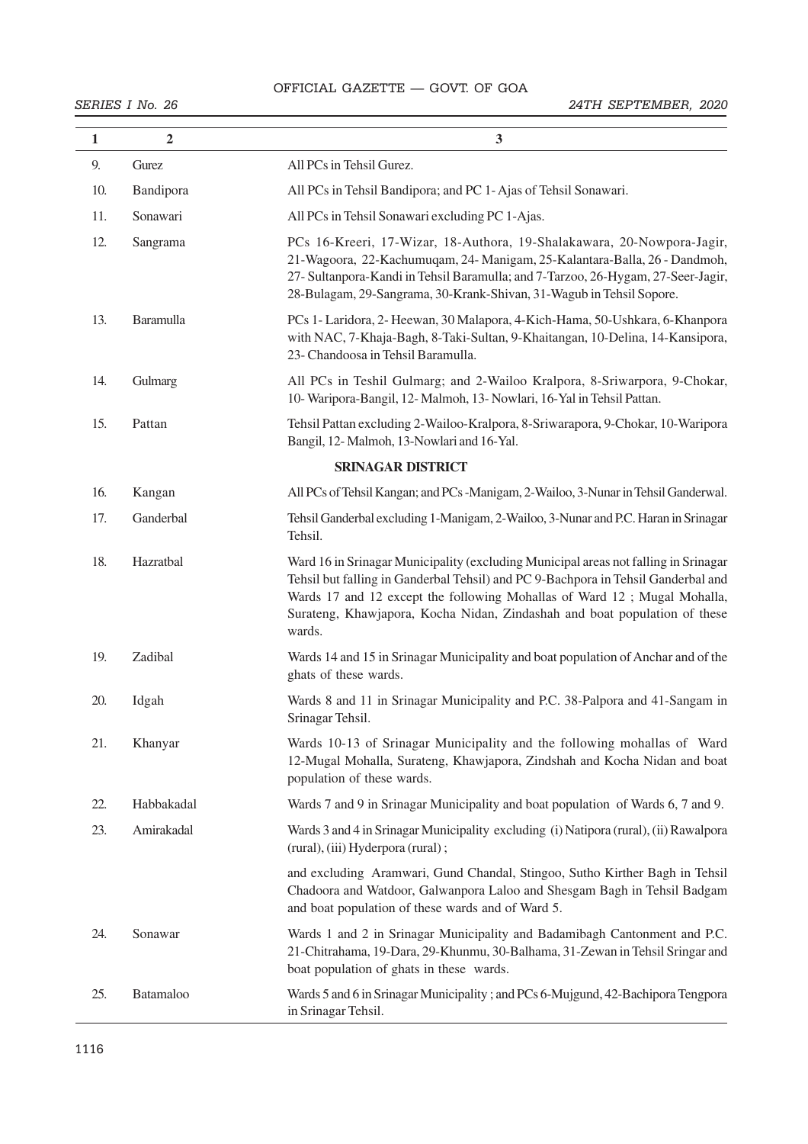# OFFICIAL GAZETTE — GOVT. OF GOA 30 THE GAZETTE OF INDIA EXTRAORDINARY [PART II—

| $\mathbf{1}$ | $\overline{2}$ | $\mathbf{3}$                                                                                                                                                                                                                                                                                                                                |
|--------------|----------------|---------------------------------------------------------------------------------------------------------------------------------------------------------------------------------------------------------------------------------------------------------------------------------------------------------------------------------------------|
| 9.           | Gurez          | All PCs in Tehsil Gurez.                                                                                                                                                                                                                                                                                                                    |
| 10.          | Bandipora      | All PCs in Tehsil Bandipora; and PC 1-Ajas of Tehsil Sonawari.                                                                                                                                                                                                                                                                              |
| 11.          | Sonawari       | All PCs in Tehsil Sonawari excluding PC 1-Ajas.                                                                                                                                                                                                                                                                                             |
| 12.          | Sangrama       | PCs 16-Kreeri, 17-Wizar, 18-Authora, 19-Shalakawara, 20-Nowpora-Jagir,<br>21-Wagoora, 22-Kachumuqam, 24-Manigam, 25-Kalantara-Balla, 26 - Dandmoh,<br>27- Sultanpora-Kandi in Tehsil Baramulla; and 7-Tarzoo, 26-Hygam, 27-Seer-Jagir,<br>28-Bulagam, 29-Sangrama, 30-Krank-Shivan, 31-Wagub in Tehsil Sopore.                              |
| 13.          | Baramulla      | PCs 1- Laridora, 2- Heewan, 30 Malapora, 4-Kich-Hama, 50-Ushkara, 6-Khanpora<br>with NAC, 7-Khaja-Bagh, 8-Taki-Sultan, 9-Khaitangan, 10-Delina, 14-Kansipora,<br>23- Chandoosa in Tehsil Baramulla.                                                                                                                                         |
| 14.          | Gulmarg        | All PCs in Teshil Gulmarg; and 2-Wailoo Kralpora, 8-Sriwarpora, 9-Chokar,<br>10- Waripora-Bangil, 12- Malmoh, 13- Nowlari, 16-Yal in Tehsil Pattan.                                                                                                                                                                                         |
| 15.          | Pattan         | Tehsil Pattan excluding 2-Wailoo-Kralpora, 8-Sriwarapora, 9-Chokar, 10-Waripora<br>Bangil, 12-Malmoh, 13-Nowlari and 16-Yal.                                                                                                                                                                                                                |
|              |                | <b>SRINAGAR DISTRICT</b>                                                                                                                                                                                                                                                                                                                    |
| 16.          | Kangan         | All PCs of Tehsil Kangan; and PCs -Manigam, 2-Wailoo, 3-Nunar in Tehsil Ganderwal.                                                                                                                                                                                                                                                          |
| 17.          | Ganderbal      | Tehsil Ganderbal excluding 1-Manigam, 2-Wailoo, 3-Nunar and P.C. Haran in Srinagar<br>Tehsil.                                                                                                                                                                                                                                               |
| 18.          | Hazratbal      | Ward 16 in Srinagar Municipality (excluding Municipal areas not falling in Srinagar<br>Tehsil but falling in Ganderbal Tehsil) and PC 9-Bachpora in Tehsil Ganderbal and<br>Wards 17 and 12 except the following Mohallas of Ward 12; Mugal Mohalla,<br>Surateng, Khawjapora, Kocha Nidan, Zindashah and boat population of these<br>wards. |
| 19.          | Zadibal        | Wards 14 and 15 in Srinagar Municipality and boat population of Anchar and of the<br>ghats of these wards.                                                                                                                                                                                                                                  |
| 20.          | Idgah          | Wards 8 and 11 in Srinagar Municipality and P.C. 38-Palpora and 41-Sangam in<br>Srinagar Tehsil.                                                                                                                                                                                                                                            |
| 21.          | Khanyar        | Wards 10-13 of Srinagar Municipality and the following mohallas of Ward<br>12-Mugal Mohalla, Surateng, Khawjapora, Zindshah and Kocha Nidan and boat<br>population of these wards.                                                                                                                                                          |
| 22.          | Habbakadal     | Wards 7 and 9 in Srinagar Municipality and boat population of Wards 6, 7 and 9.                                                                                                                                                                                                                                                             |
| 23.          | Amirakadal     | Wards 3 and 4 in Srinagar Municipality excluding (i) Natipora (rural), (ii) Rawalpora<br>(rural), (iii) Hyderpora (rural);                                                                                                                                                                                                                  |
|              |                | and excluding Aramwari, Gund Chandal, Stingoo, Sutho Kirther Bagh in Tehsil<br>Chadoora and Watdoor, Galwanpora Laloo and Shesgam Bagh in Tehsil Badgam<br>and boat population of these wards and of Ward 5.                                                                                                                                |
| 24.          | Sonawar        | Wards 1 and 2 in Srinagar Municipality and Badamibagh Cantonment and P.C.<br>21-Chitrahama, 19-Dara, 29-Khunmu, 30-Balhama, 31-Zewan in Tehsil Sringar and<br>boat population of ghats in these wards.                                                                                                                                      |
| 25.          | Batamaloo      | Wards 5 and 6 in Srinagar Municipality; and PCs 6-Mujgund, 42-Bachipora Tengpora<br>in Srinagar Tehsil.                                                                                                                                                                                                                                     |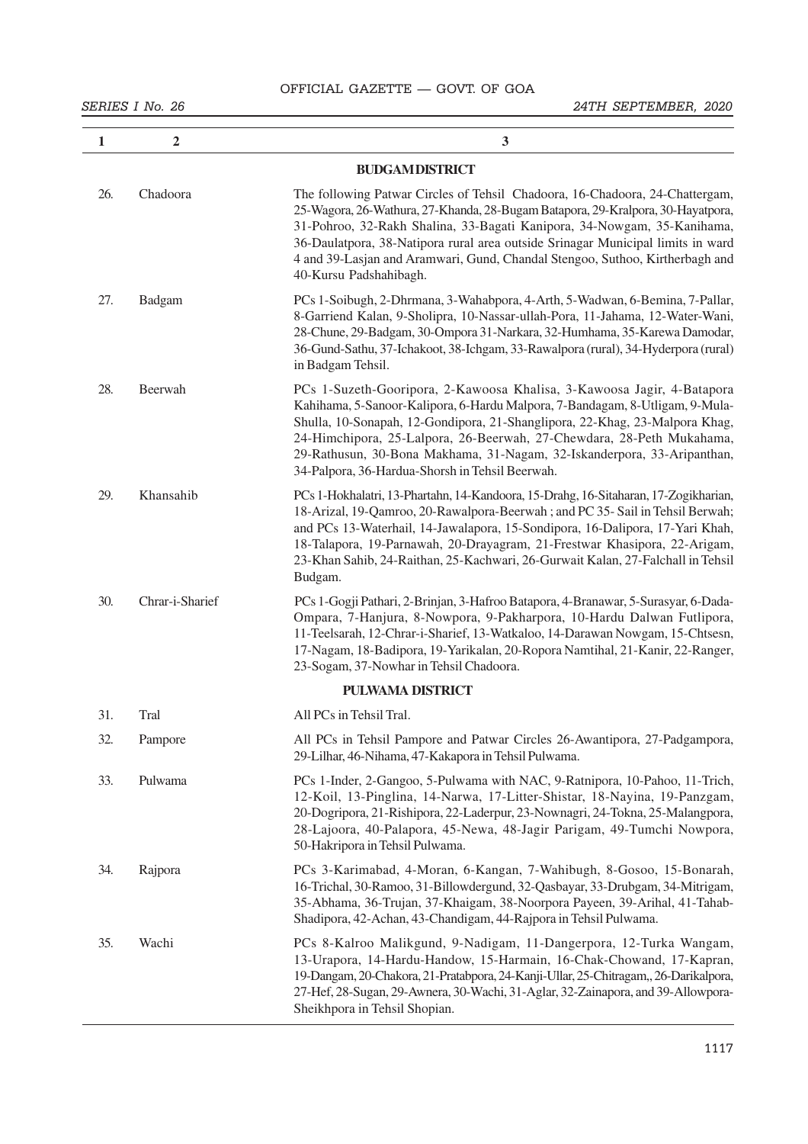| $\mathbf{1}$ | $\overline{2}$  | $\mathbf{3}$                                                                                                                                                                                                                                                                                                                                                                                                                                 |
|--------------|-----------------|----------------------------------------------------------------------------------------------------------------------------------------------------------------------------------------------------------------------------------------------------------------------------------------------------------------------------------------------------------------------------------------------------------------------------------------------|
|              |                 | <b>BUDGAM DISTRICT</b>                                                                                                                                                                                                                                                                                                                                                                                                                       |
| 26.          | Chadoora        | The following Patwar Circles of Tehsil Chadoora, 16-Chadoora, 24-Chattergam,<br>25-Wagora, 26-Wathura, 27-Khanda, 28-Bugam Batapora, 29-Kralpora, 30-Hayatpora,<br>31-Pohroo, 32-Rakh Shalina, 33-Bagati Kanipora, 34-Nowgam, 35-Kanihama,<br>36-Daulatpora, 38-Natipora rural area outside Srinagar Municipal limits in ward<br>4 and 39-Lasjan and Aramwari, Gund, Chandal Stengoo, Suthoo, Kirtherbagh and<br>40-Kursu Padshahibagh.      |
| 27.          | Badgam          | PCs 1-Soibugh, 2-Dhrmana, 3-Wahabpora, 4-Arth, 5-Wadwan, 6-Bemina, 7-Pallar,<br>8-Garriend Kalan, 9-Sholipra, 10-Nassar-ullah-Pora, 11-Jahama, 12-Water-Wani,<br>28-Chune, 29-Badgam, 30-Ompora 31-Narkara, 32-Humhama, 35-Karewa Damodar,<br>36-Gund-Sathu, 37-Ichakoot, 38-Ichgam, 33-Rawalpora (rural), 34-Hyderpora (rural)<br>in Badgam Tehsil.                                                                                         |
| 28.          | Beerwah         | PCs 1-Suzeth-Gooripora, 2-Kawoosa Khalisa, 3-Kawoosa Jagir, 4-Batapora<br>Kahihama, 5-Sanoor-Kalipora, 6-Hardu Malpora, 7-Bandagam, 8-Utligam, 9-Mula-<br>Shulla, 10-Sonapah, 12-Gondipora, 21-Shanglipora, 22-Khag, 23-Malpora Khag,<br>24-Himchipora, 25-Lalpora, 26-Beerwah, 27-Chewdara, 28-Peth Mukahama,<br>29-Rathusun, 30-Bona Makhama, 31-Nagam, 32-Iskanderpora, 33-Aripanthan,<br>34-Palpora, 36-Hardua-Shorsh in Tehsil Beerwah. |
| 29.          | Khansahib       | PCs 1-Hokhalatri, 13-Phartahn, 14-Kandoora, 15-Drahg, 16-Sitaharan, 17-Zogikharian,<br>18-Arizal, 19-Qamroo, 20-Rawalpora-Beerwah; and PC 35-Sail in Tehsil Berwah;<br>and PCs 13-Waterhail, 14-Jawalapora, 15-Sondipora, 16-Dalipora, 17-Yari Khah,<br>18-Talapora, 19-Parnawah, 20-Drayagram, 21-Frestwar Khasipora, 22-Arigam,<br>23-Khan Sahib, 24-Raithan, 25-Kachwari, 26-Gurwait Kalan, 27-Falchall in Tehsil<br>Budgam.              |
| 30.          | Chrar-i-Sharief | PCs 1-Gogji Pathari, 2-Brinjan, 3-Hafroo Batapora, 4-Branawar, 5-Surasyar, 6-Dada-<br>Ompara, 7-Hanjura, 8-Nowpora, 9-Pakharpora, 10-Hardu Dalwan Futlipora,<br>11-Teelsarah, 12-Chrar-i-Sharief, 13-Watkaloo, 14-Darawan Nowgam, 15-Chtsesn,<br>17-Nagam, 18-Badipora, 19-Yarikalan, 20-Ropora Namtihal, 21-Kanir, 22-Ranger,<br>23-Sogam, 37-Nowhar in Tehsil Chadoora.                                                                    |
|              |                 | <b>PULWAMA DISTRICT</b>                                                                                                                                                                                                                                                                                                                                                                                                                      |
| 31.          | Tral            | All PCs in Tehsil Tral.                                                                                                                                                                                                                                                                                                                                                                                                                      |
| 32.          | Pampore         | All PCs in Tehsil Pampore and Patwar Circles 26-Awantipora, 27-Padgampora,<br>29-Lilhar, 46-Nihama, 47-Kakapora in Tehsil Pulwama.                                                                                                                                                                                                                                                                                                           |
| 33.          | Pulwama         | PCs 1-Inder, 2-Gangoo, 5-Pulwama with NAC, 9-Ratnipora, 10-Pahoo, 11-Trich,<br>12-Koil, 13-Pinglina, 14-Narwa, 17-Litter-Shistar, 18-Nayina, 19-Panzgam,<br>20-Dogripora, 21-Rishipora, 22-Laderpur, 23-Nownagri, 24-Tokna, 25-Malangpora,<br>28-Lajoora, 40-Palapora, 45-Newa, 48-Jagir Parigam, 49-Tumchi Nowpora,<br>50-Hakripora in Tehsil Pulwama.                                                                                      |
| 34.          | Rajpora         | PCs 3-Karimabad, 4-Moran, 6-Kangan, 7-Wahibugh, 8-Gosoo, 15-Bonarah,<br>16-Trichal, 30-Ramoo, 31-Billowdergund, 32-Qasbayar, 33-Drubgam, 34-Mitrigam,<br>35-Abhama, 36-Trujan, 37-Khaigam, 38-Noorpora Payeen, 39-Arihal, 41-Tahab-<br>Shadipora, 42-Achan, 43-Chandigam, 44-Rajpora in Tehsil Pulwama.                                                                                                                                      |
| 35.          | Wachi           | PCs 8-Kalroo Malikgund, 9-Nadigam, 11-Dangerpora, 12-Turka Wangam,<br>13-Urapora, 14-Hardu-Handow, 15-Harmain, 16-Chak-Chowand, 17-Kapran,<br>19-Dangam, 20-Chakora, 21-Pratabpora, 24-Kanji-Ullar, 25-Chitragam,, 26-Darikalpora,<br>27-Hef, 28-Sugan, 29-Awnera, 30-Wachi, 31-Aglar, 32-Zainapora, and 39-Allowpora-<br>Sheikhpora in Tehsil Shopian.                                                                                      |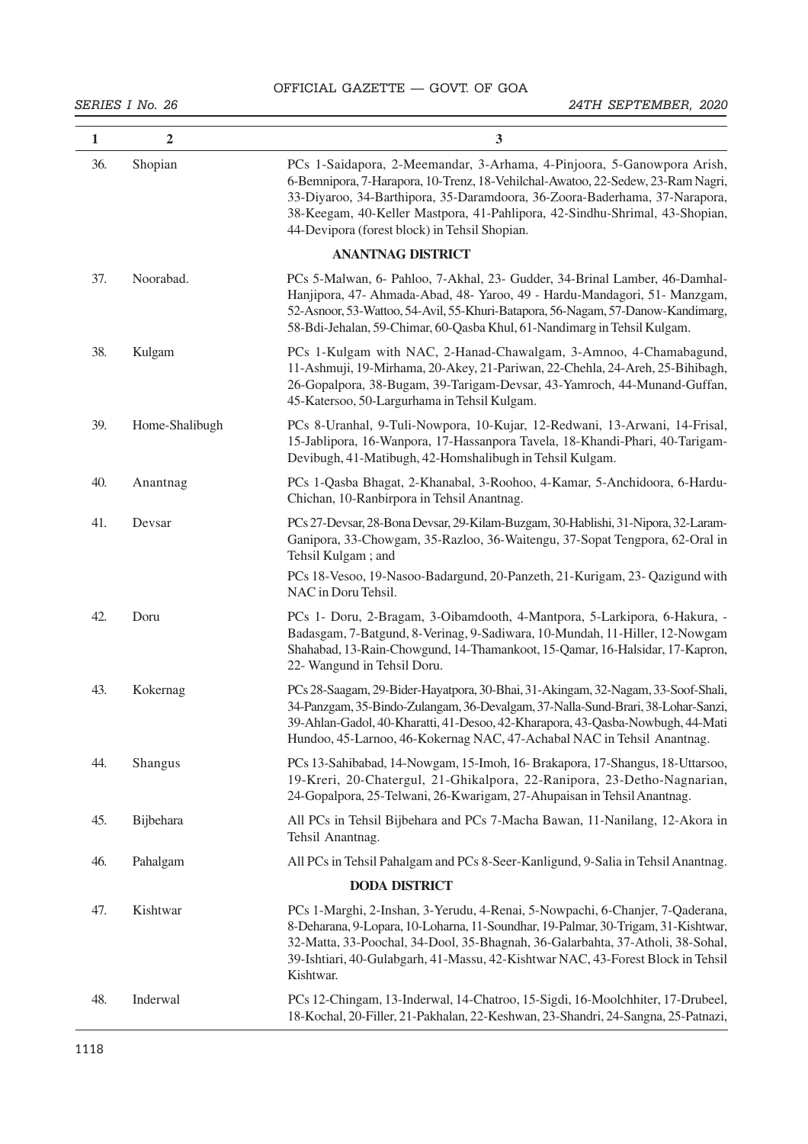OFFICIAL GAZETTE — GOVT. OF GOA

| $\mathbf{1}$ | $\overline{2}$ | 3                                                                                                                                                                                                                                                                                                                                                                       |
|--------------|----------------|-------------------------------------------------------------------------------------------------------------------------------------------------------------------------------------------------------------------------------------------------------------------------------------------------------------------------------------------------------------------------|
| 36.          | Shopian        | PCs 1-Saidapora, 2-Meemandar, 3-Arhama, 4-Pinjoora, 5-Ganowpora Arish,<br>6-Bemnipora, 7-Harapora, 10-Trenz, 18-Vehilchal-Awatoo, 22-Sedew, 23-Ram Nagri,<br>33-Diyaroo, 34-Barthipora, 35-Daramdoora, 36-Zoora-Baderhama, 37-Narapora,<br>38-Keegam, 40-Keller Mastpora, 41-Pahlipora, 42-Sindhu-Shrimal, 43-Shopian,<br>44-Devipora (forest block) in Tehsil Shopian. |
|              |                | <b>ANANTNAG DISTRICT</b>                                                                                                                                                                                                                                                                                                                                                |
| 37.          | Noorabad.      | PCs 5-Malwan, 6- Pahloo, 7-Akhal, 23- Gudder, 34-Brinal Lamber, 46-Damhal-<br>Hanjipora, 47- Ahmada-Abad, 48- Yaroo, 49 - Hardu-Mandagori, 51- Manzgam,<br>52-Asnoor, 53-Wattoo, 54-Avil, 55-Khuri-Batapora, 56-Nagam, 57-Danow-Kandimarg,<br>58-Bdi-Jehalan, 59-Chimar, 60-Qasba Khul, 61-Nandimarg in Tehsil Kulgam.                                                  |
| 38.          | Kulgam         | PCs 1-Kulgam with NAC, 2-Hanad-Chawalgam, 3-Amnoo, 4-Chamabagund,<br>11-Ashmuji, 19-Mirhama, 20-Akey, 21-Pariwan, 22-Chehla, 24-Areh, 25-Bihibagh,<br>26-Gopalpora, 38-Bugam, 39-Tarigam-Devsar, 43-Yamroch, 44-Munand-Guffan,<br>45-Katersoo, 50-Largurhama in Tehsil Kulgam.                                                                                          |
| 39.          | Home-Shalibugh | PCs 8-Uranhal, 9-Tuli-Nowpora, 10-Kujar, 12-Redwani, 13-Arwani, 14-Frisal,<br>15-Jablipora, 16-Wanpora, 17-Hassanpora Tavela, 18-Khandi-Phari, 40-Tarigam-<br>Devibugh, 41-Matibugh, 42-Homshalibugh in Tehsil Kulgam.                                                                                                                                                  |
| 40.          | Anantnag       | PCs 1-Qasba Bhagat, 2-Khanabal, 3-Roohoo, 4-Kamar, 5-Anchidoora, 6-Hardu-<br>Chichan, 10-Ranbirpora in Tehsil Anantnag.                                                                                                                                                                                                                                                 |
| 41.          | Devsar         | PCs 27-Devsar, 28-Bona Devsar, 29-Kilam-Buzgam, 30-Hablishi, 31-Nipora, 32-Laram-<br>Ganipora, 33-Chowgam, 35-Razloo, 36-Waitengu, 37-Sopat Tengpora, 62-Oral in<br>Tehsil Kulgam; and                                                                                                                                                                                  |
|              |                | PCs 18-Vesoo, 19-Nasoo-Badargund, 20-Panzeth, 21-Kurigam, 23- Qazigund with<br>NAC in Doru Tehsil.                                                                                                                                                                                                                                                                      |
| 42.          | Doru           | PCs 1- Doru, 2-Bragam, 3-Oibamdooth, 4-Mantpora, 5-Larkipora, 6-Hakura, -<br>Badasgam, 7-Batgund, 8-Verinag, 9-Sadiwara, 10-Mundah, 11-Hiller, 12-Nowgam<br>Shahabad, 13-Rain-Chowgund, 14-Thamankoot, 15-Qamar, 16-Halsidar, 17-Kapron,<br>22- Wangund in Tehsil Doru.                                                                                                 |
| 43.          | Kokernag       | PCs 28-Saagam, 29-Bider-Hayatpora, 30-Bhai, 31-Akingam, 32-Nagam, 33-Soof-Shali,<br>34-Panzgam, 35-Bindo-Zulangam, 36-Devalgam, 37-Nalla-Sund-Brari, 38-Lohar-Sanzi,<br>39-Ahlan-Gadol, 40-Kharatti, 41-Desoo, 42-Kharapora, 43-Qasba-Nowbugh, 44-Mati<br>Hundoo, 45-Larnoo, 46-Kokernag NAC, 47-Achabal NAC in Tehsil Anantnag.                                        |
| 44.          | Shangus        | PCs 13-Sahibabad, 14-Nowgam, 15-Imoh, 16-Brakapora, 17-Shangus, 18-Uttarsoo,<br>19-Kreri, 20-Chatergul, 21-Ghikalpora, 22-Ranipora, 23-Detho-Nagnarian,<br>24-Gopalpora, 25-Telwani, 26-Kwarigam, 27-Ahupaisan in Tehsil Anantnag.                                                                                                                                      |
| 45.          | Bijbehara      | All PCs in Tehsil Bijbehara and PCs 7-Macha Bawan, 11-Nanilang, 12-Akora in<br>Tehsil Anantnag.                                                                                                                                                                                                                                                                         |
| 46.          | Pahalgam       | All PCs in Tehsil Pahalgam and PCs 8-Seer-Kanligund, 9-Salia in Tehsil Anantnag.                                                                                                                                                                                                                                                                                        |
|              |                | <b>DODA DISTRICT</b>                                                                                                                                                                                                                                                                                                                                                    |
| 47.          | Kishtwar       | PCs 1-Marghi, 2-Inshan, 3-Yerudu, 4-Renai, 5-Nowpachi, 6-Chanjer, 7-Qaderana,<br>8-Deharana, 9-Lopara, 10-Loharna, 11-Soundhar, 19-Palmar, 30-Trigam, 31-Kishtwar,<br>32-Matta, 33-Poochal, 34-Dool, 35-Bhagnah, 36-Galarbahta, 37-Atholi, 38-Sohal,<br>39-Ishtiari, 40-Gulabgarh, 41-Massu, 42-Kishtwar NAC, 43-Forest Block in Tehsil<br>Kishtwar.                    |
| 48.          | Inderwal       | PCs 12-Chingam, 13-Inderwal, 14-Chatroo, 15-Sigdi, 16-Moolchhiter, 17-Drubeel,<br>18-Kochal, 20-Filler, 21-Pakhalan, 22-Keshwan, 23-Shandri, 24-Sangna, 25-Patnazi,                                                                                                                                                                                                     |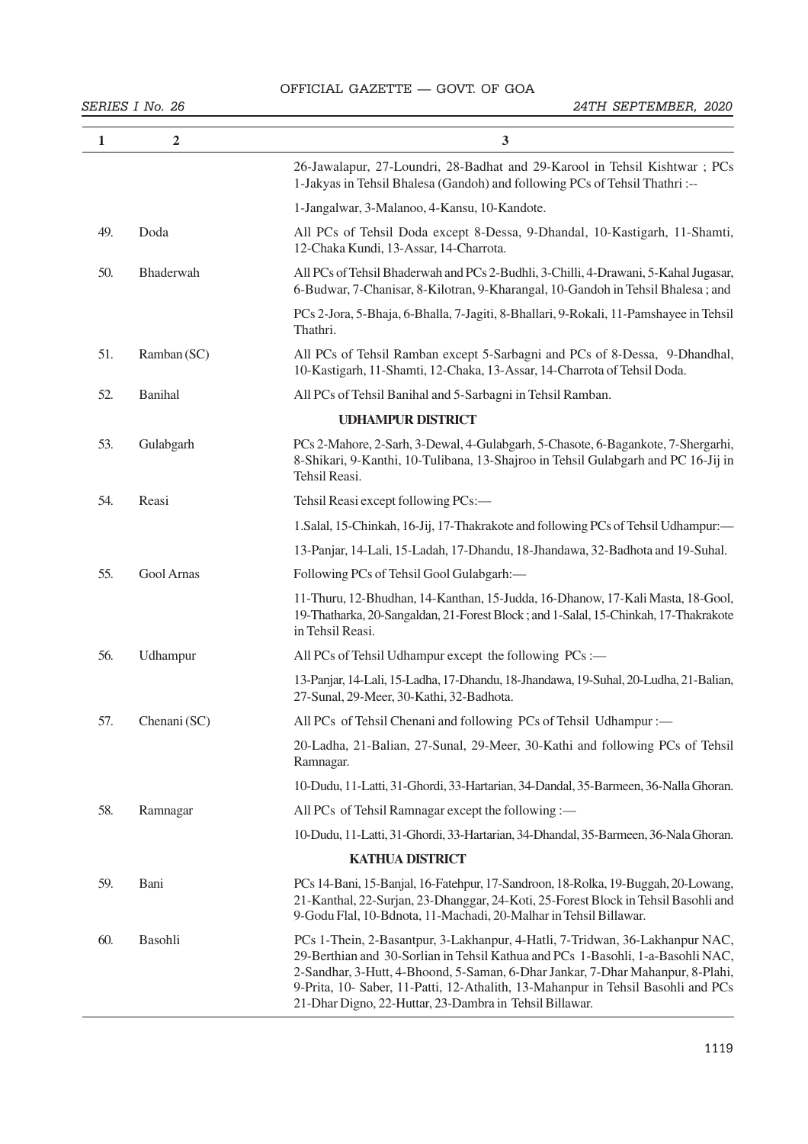# OFFICIAL GAZETTE - GOVT. OF GOA

| 1   | $\overline{2}$ | 3                                                                                                                                                                                                                                                                                                                                                                                                |
|-----|----------------|--------------------------------------------------------------------------------------------------------------------------------------------------------------------------------------------------------------------------------------------------------------------------------------------------------------------------------------------------------------------------------------------------|
|     |                | 26-Jawalapur, 27-Loundri, 28-Badhat and 29-Karool in Tehsil Kishtwar; PCs<br>1-Jakyas in Tehsil Bhalesa (Gandoh) and following PCs of Tehsil Thathri:--                                                                                                                                                                                                                                          |
|     |                | 1-Jangalwar, 3-Malanoo, 4-Kansu, 10-Kandote.                                                                                                                                                                                                                                                                                                                                                     |
| 49. | Doda           | All PCs of Tehsil Doda except 8-Dessa, 9-Dhandal, 10-Kastigarh, 11-Shamti,<br>12-Chaka Kundi, 13-Assar, 14-Charrota.                                                                                                                                                                                                                                                                             |
| 50. | Bhaderwah      | All PCs of Tehsil Bhaderwah and PCs 2-Budhli, 3-Chilli, 4-Drawani, 5-Kahal Jugasar,<br>6-Budwar, 7-Chanisar, 8-Kilotran, 9-Kharangal, 10-Gandoh in Tehsil Bhalesa; and                                                                                                                                                                                                                           |
|     |                | PCs 2-Jora, 5-Bhaja, 6-Bhalla, 7-Jagiti, 8-Bhallari, 9-Rokali, 11-Pamshayee in Tehsil<br>Thathri.                                                                                                                                                                                                                                                                                                |
| 51. | Ramban (SC)    | All PCs of Tehsil Ramban except 5-Sarbagni and PCs of 8-Dessa, 9-Dhandhal,<br>10-Kastigarh, 11-Shamti, 12-Chaka, 13-Assar, 14-Charrota of Tehsil Doda.                                                                                                                                                                                                                                           |
| 52. | Banihal        | All PCs of Tehsil Banihal and 5-Sarbagni in Tehsil Ramban.                                                                                                                                                                                                                                                                                                                                       |
|     |                | <b>UDHAMPUR DISTRICT</b>                                                                                                                                                                                                                                                                                                                                                                         |
| 53. | Gulabgarh      | PCs 2-Mahore, 2-Sarh, 3-Dewal, 4-Gulabgarh, 5-Chasote, 6-Bagankote, 7-Shergarhi,<br>8-Shikari, 9-Kanthi, 10-Tulibana, 13-Shajroo in Tehsil Gulabgarh and PC 16-Jij in<br>Tehsil Reasi.                                                                                                                                                                                                           |
| 54. | Reasi          | Tehsil Reasi except following PCs:-                                                                                                                                                                                                                                                                                                                                                              |
|     |                | 1. Salal, 15-Chinkah, 16-Jij, 17-Thakrakote and following PCs of Tehsil Udhampur:—                                                                                                                                                                                                                                                                                                               |
|     |                | 13-Panjar, 14-Lali, 15-Ladah, 17-Dhandu, 18-Jhandawa, 32-Badhota and 19-Suhal.                                                                                                                                                                                                                                                                                                                   |
| 55. | Gool Arnas     | Following PCs of Tehsil Gool Gulabgarh:-                                                                                                                                                                                                                                                                                                                                                         |
|     |                | 11-Thuru, 12-Bhudhan, 14-Kanthan, 15-Judda, 16-Dhanow, 17-Kali Masta, 18-Gool,<br>19-Thatharka, 20-Sangaldan, 21-Forest Block; and 1-Salal, 15-Chinkah, 17-Thakrakote<br>in Tehsil Reasi.                                                                                                                                                                                                        |
| 56. | Udhampur       | All PCs of Tehsil Udhampur except the following PCs :-                                                                                                                                                                                                                                                                                                                                           |
|     |                | 13-Panjar, 14-Lali, 15-Ladha, 17-Dhandu, 18-Jhandawa, 19-Suhal, 20-Ludha, 21-Balian,<br>27-Sunal, 29-Meer, 30-Kathi, 32-Badhota.                                                                                                                                                                                                                                                                 |
| 57. | Chenani (SC)   | All PCs of Tehsil Chenani and following PCs of Tehsil Udhampur :-                                                                                                                                                                                                                                                                                                                                |
|     |                | 20-Ladha, 21-Balian, 27-Sunal, 29-Meer, 30-Kathi and following PCs of Tehsil<br>Ramnagar.                                                                                                                                                                                                                                                                                                        |
|     |                | 10-Dudu, 11-Latti, 31-Ghordi, 33-Hartarian, 34-Dandal, 35-Barmeen, 36-Nalla Ghoran.                                                                                                                                                                                                                                                                                                              |
| 58. | Ramnagar       | All PCs of Tehsil Ramnagar except the following :-                                                                                                                                                                                                                                                                                                                                               |
|     |                | 10-Dudu, 11-Latti, 31-Ghordi, 33-Hartarian, 34-Dhandal, 35-Barmeen, 36-Nala Ghoran.                                                                                                                                                                                                                                                                                                              |
|     |                | <b>KATHUA DISTRICT</b>                                                                                                                                                                                                                                                                                                                                                                           |
| 59. | Bani           | PCs 14-Bani, 15-Banjal, 16-Fatehpur, 17-Sandroon, 18-Rolka, 19-Buggah, 20-Lowang,<br>21-Kanthal, 22-Surjan, 23-Dhanggar, 24-Koti, 25-Forest Block in Tehsil Basohli and<br>9-Godu Flal, 10-Bdnota, 11-Machadi, 20-Malhar in Tehsil Billawar.                                                                                                                                                     |
| 60. | Basohli        | PCs 1-Thein, 2-Basantpur, 3-Lakhanpur, 4-Hatli, 7-Tridwan, 36-Lakhanpur NAC,<br>29-Berthian and 30-Sorlian in Tehsil Kathua and PCs 1-Basohli, 1-a-Basohli NAC,<br>2-Sandhar, 3-Hutt, 4-Bhoond, 5-Saman, 6-Dhar Jankar, 7-Dhar Mahanpur, 8-Plahi,<br>9-Prita, 10- Saber, 11-Patti, 12-Athalith, 13-Mahanpur in Tehsil Basohli and PCs<br>21-Dhar Digno, 22-Huttar, 23-Dambra in Tehsil Billawar. |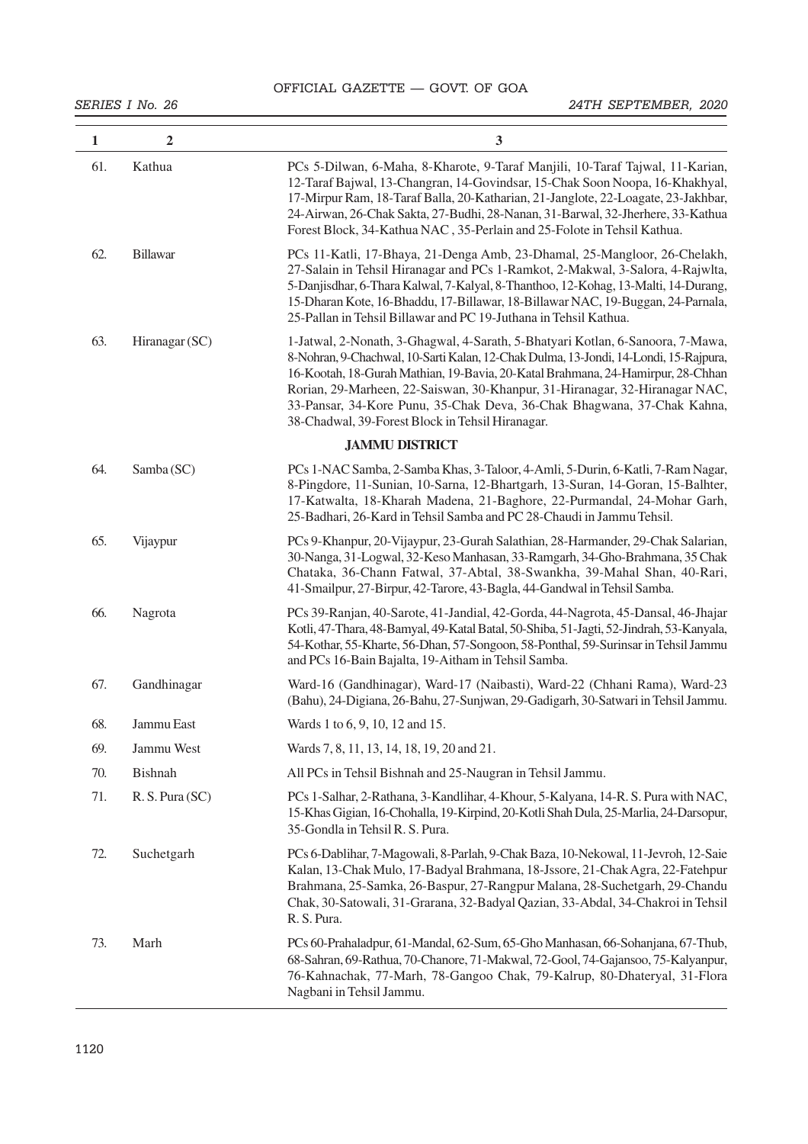| 1   | $\overline{2}$  | $\mathbf{3}$                                                                                                                                                                                                                                                                                                                                                                                                                                                            |
|-----|-----------------|-------------------------------------------------------------------------------------------------------------------------------------------------------------------------------------------------------------------------------------------------------------------------------------------------------------------------------------------------------------------------------------------------------------------------------------------------------------------------|
| 61. | Kathua          | PCs 5-Dilwan, 6-Maha, 8-Kharote, 9-Taraf Manjili, 10-Taraf Tajwal, 11-Karian,<br>12-Taraf Bajwal, 13-Changran, 14-Govindsar, 15-Chak Soon Noopa, 16-Khakhyal,<br>17-Mirpur Ram, 18-Taraf Balla, 20-Katharian, 21-Janglote, 22-Loagate, 23-Jakhbar,<br>24-Airwan, 26-Chak Sakta, 27-Budhi, 28-Nanan, 31-Barwal, 32-Jherhere, 33-Kathua<br>Forest Block, 34-Kathua NAC, 35-Perlain and 25-Folote in Tehsil Kathua.                                                        |
| 62. | Billawar        | PCs 11-Katli, 17-Bhaya, 21-Denga Amb, 23-Dhamal, 25-Mangloor, 26-Chelakh,<br>27-Salain in Tehsil Hiranagar and PCs 1-Ramkot, 2-Makwal, 3-Salora, 4-Rajwlta,<br>5-Danjisdhar, 6-Thara Kalwal, 7-Kalyal, 8-Thanthoo, 12-Kohag, 13-Malti, 14-Durang,<br>15-Dharan Kote, 16-Bhaddu, 17-Billawar, 18-Billawar NAC, 19-Buggan, 24-Parnala,<br>25-Pallan in Tehsil Billawar and PC 19-Juthana in Tehsil Kathua.                                                                |
| 63. | Hiranagar (SC)  | 1-Jatwal, 2-Nonath, 3-Ghagwal, 4-Sarath, 5-Bhatyari Kotlan, 6-Sanoora, 7-Mawa,<br>8-Nohran, 9-Chachwal, 10-Sarti Kalan, 12-Chak Dulma, 13-Jondi, 14-Londi, 15-Rajpura,<br>16-Kootah, 18-Gurah Mathian, 19-Bavia, 20-Katal Brahmana, 24-Hamirpur, 28-Chhan<br>Rorian, 29-Marheen, 22-Saiswan, 30-Khanpur, 31-Hiranagar, 32-Hiranagar NAC,<br>33-Pansar, 34-Kore Punu, 35-Chak Deva, 36-Chak Bhagwana, 37-Chak Kahna,<br>38-Chadwal, 39-Forest Block in Tehsil Hiranagar. |
|     |                 | <b>JAMMU DISTRICT</b>                                                                                                                                                                                                                                                                                                                                                                                                                                                   |
| 64. | Samba (SC)      | PCs 1-NAC Samba, 2-Samba Khas, 3-Taloor, 4-Amli, 5-Durin, 6-Katli, 7-Ram Nagar,<br>8-Pingdore, 11-Sunian, 10-Sarna, 12-Bhartgarh, 13-Suran, 14-Goran, 15-Balhter,<br>17-Katwalta, 18-Kharah Madena, 21-Baghore, 22-Purmandal, 24-Mohar Garh,<br>25-Badhari, 26-Kard in Tehsil Samba and PC 28-Chaudi in Jammu Tehsil.                                                                                                                                                   |
| 65. | Vijaypur        | PCs 9-Khanpur, 20-Vijaypur, 23-Gurah Salathian, 28-Harmander, 29-Chak Salarian,<br>30-Nanga, 31-Logwal, 32-Keso Manhasan, 33-Ramgarh, 34-Gho-Brahmana, 35 Chak<br>Chataka, 36-Chann Fatwal, 37-Abtal, 38-Swankha, 39-Mahal Shan, 40-Rari,<br>41-Smailpur, 27-Birpur, 42-Tarore, 43-Bagla, 44-Gandwal in Tehsil Samba.                                                                                                                                                   |
| 66. | Nagrota         | PCs 39-Ranjan, 40-Sarote, 41-Jandial, 42-Gorda, 44-Nagrota, 45-Dansal, 46-Jhajar<br>Kotli, 47-Thara, 48-Bamyal, 49-Katal Batal, 50-Shiba, 51-Jagti, 52-Jindrah, 53-Kanyala,<br>54-Kothar, 55-Kharte, 56-Dhan, 57-Songoon, 58-Ponthal, 59-Surinsar in Tehsil Jammu<br>and PCs 16-Bain Bajalta, 19-Aitham in Tehsil Samba.                                                                                                                                                |
| 67. | Gandhinagar     | Ward-16 (Gandhinagar), Ward-17 (Naibasti), Ward-22 (Chhani Rama), Ward-23<br>(Bahu), 24-Digiana, 26-Bahu, 27-Sunjwan, 29-Gadigarh, 30-Satwari in Tehsil Jammu.                                                                                                                                                                                                                                                                                                          |
| 68. | Jammu East      | Wards 1 to 6, 9, 10, 12 and 15.                                                                                                                                                                                                                                                                                                                                                                                                                                         |
| 69. | Jammu West      | Wards 7, 8, 11, 13, 14, 18, 19, 20 and 21.                                                                                                                                                                                                                                                                                                                                                                                                                              |
| 70. | <b>Bishnah</b>  | All PCs in Tehsil Bishnah and 25-Naugran in Tehsil Jammu.                                                                                                                                                                                                                                                                                                                                                                                                               |
| 71. | R. S. Pura (SC) | PCs 1-Salhar, 2-Rathana, 3-Kandlihar, 4-Khour, 5-Kalyana, 14-R. S. Pura with NAC,<br>15-Khas Gigian, 16-Chohalla, 19-Kirpind, 20-Kotli Shah Dula, 25-Marlia, 24-Darsopur,<br>35-Gondla in Tehsil R. S. Pura.                                                                                                                                                                                                                                                            |
| 72. | Suchetgarh      | PCs 6-Dablihar, 7-Magowali, 8-Parlah, 9-Chak Baza, 10-Nekowal, 11-Jevroh, 12-Saie<br>Kalan, 13-Chak Mulo, 17-Badyal Brahmana, 18-Jssore, 21-Chak Agra, 22-Fatehpur<br>Brahmana, 25-Samka, 26-Baspur, 27-Rangpur Malana, 28-Suchetgarh, 29-Chandu<br>Chak, 30-Satowali, 31-Grarana, 32-Badyal Qazian, 33-Abdal, 34-Chakroi in Tehsil<br>R. S. Pura.                                                                                                                      |
| 73. | Marh            | PCs 60-Prahaladpur, 61-Mandal, 62-Sum, 65-Gho Manhasan, 66-Sohanjana, 67-Thub,<br>68-Sahran, 69-Rathua, 70-Chanore, 71-Makwal, 72-Gool, 74-Gajansoo, 75-Kalyanpur,<br>76-Kahnachak, 77-Marh, 78-Gangoo Chak, 79-Kalrup, 80-Dhateryal, 31-Flora<br>Nagbani in Tehsil Jammu.                                                                                                                                                                                              |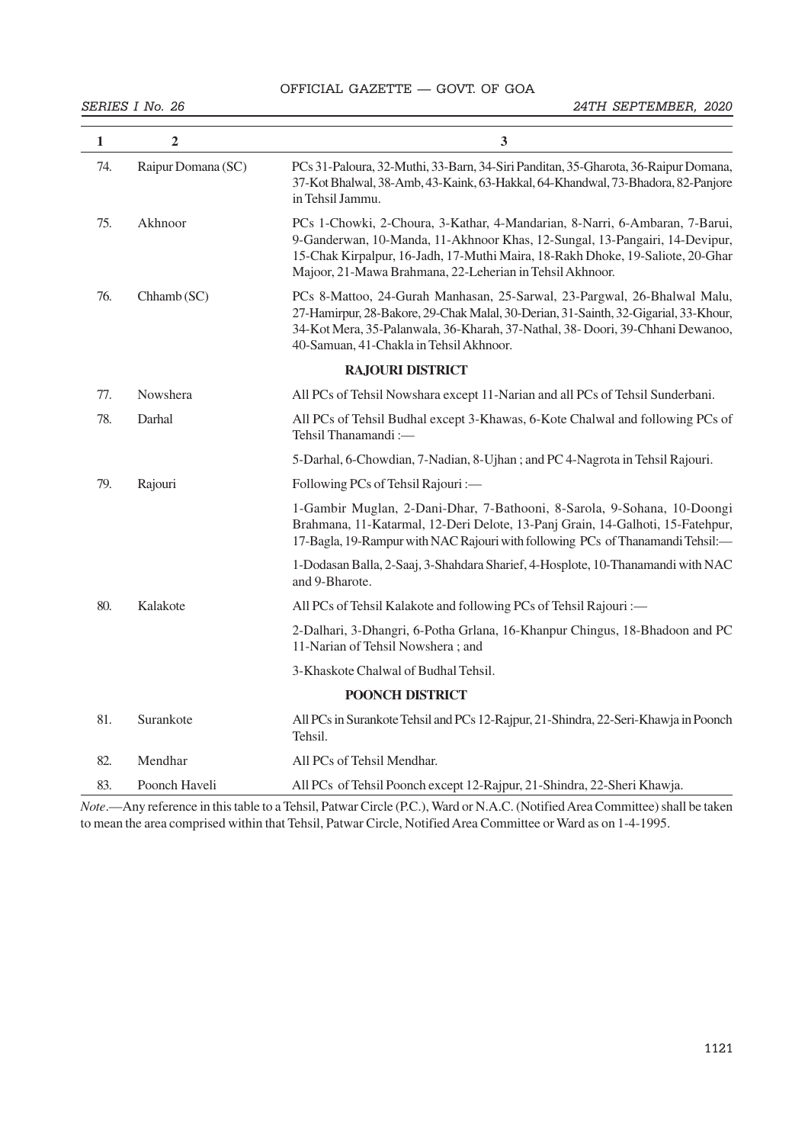# OFFICIAL GAZETTE — GOVT. OF GOA

| $\mathbf{1}$ | $\overline{2}$     | 3                                                                                                                                                                                                                                                                                                        |  |  |  |
|--------------|--------------------|----------------------------------------------------------------------------------------------------------------------------------------------------------------------------------------------------------------------------------------------------------------------------------------------------------|--|--|--|
| 74.          | Raipur Domana (SC) | PCs 31-Paloura, 32-Muthi, 33-Barn, 34-Siri Panditan, 35-Gharota, 36-Raipur Domana,<br>37-Kot Bhalwal, 38-Amb, 43-Kaink, 63-Hakkal, 64-Khandwal, 73-Bhadora, 82-Panjore<br>in Tehsil Jammu.                                                                                                               |  |  |  |
| 75.          | Akhnoor            | PCs 1-Chowki, 2-Choura, 3-Kathar, 4-Mandarian, 8-Narri, 6-Ambaran, 7-Barui,<br>9-Ganderwan, 10-Manda, 11-Akhnoor Khas, 12-Sungal, 13-Pangairi, 14-Devipur,<br>15-Chak Kirpalpur, 16-Jadh, 17-Muthi Maira, 18-Rakh Dhoke, 19-Saliote, 20-Ghar<br>Majoor, 21-Mawa Brahmana, 22-Leherian in Tehsil Akhnoor. |  |  |  |
| 76.          | Chhamb (SC)        | PCs 8-Mattoo, 24-Gurah Manhasan, 25-Sarwal, 23-Pargwal, 26-Bhalwal Malu,<br>27-Hamirpur, 28-Bakore, 29-Chak Malal, 30-Derian, 31-Sainth, 32-Gigarial, 33-Khour,<br>34-Kot Mera, 35-Palanwala, 36-Kharah, 37-Nathal, 38- Doori, 39-Chhani Dewanoo,<br>40-Samuan, 41-Chakla in Tehsil Akhnoor.             |  |  |  |
|              |                    | <b>RAJOURI DISTRICT</b>                                                                                                                                                                                                                                                                                  |  |  |  |
| 77.          | <b>Nowshera</b>    | All PCs of Tehsil Nowshara except 11-Narian and all PCs of Tehsil Sunderbani.                                                                                                                                                                                                                            |  |  |  |
| 78.          | Darhal             | All PCs of Tehsil Budhal except 3-Khawas, 6-Kote Chalwal and following PCs of<br>Tehsil Thanamandi:-                                                                                                                                                                                                     |  |  |  |
|              |                    | 5-Darhal, 6-Chowdian, 7-Nadian, 8-Ujhan; and PC 4-Nagrota in Tehsil Rajouri.                                                                                                                                                                                                                             |  |  |  |
| 79.          | Rajouri            | Following PCs of Tehsil Rajouri :-                                                                                                                                                                                                                                                                       |  |  |  |
|              |                    | 1-Gambir Muglan, 2-Dani-Dhar, 7-Bathooni, 8-Sarola, 9-Sohana, 10-Doongi<br>Brahmana, 11-Katarmal, 12-Deri Delote, 13-Panj Grain, 14-Galhoti, 15-Fatehpur,<br>17-Bagla, 19-Rampur with NAC Rajouri with following PCs of Thanamandi Tehsil:-                                                              |  |  |  |
|              |                    | 1-Dodasan Balla, 2-Saaj, 3-Shahdara Sharief, 4-Hosplote, 10-Thanamandi with NAC<br>and 9-Bharote.                                                                                                                                                                                                        |  |  |  |
| 80.          | Kalakote           | All PCs of Tehsil Kalakote and following PCs of Tehsil Rajouri :-                                                                                                                                                                                                                                        |  |  |  |
|              |                    | 2-Dalhari, 3-Dhangri, 6-Potha Grlana, 16-Khanpur Chingus, 18-Bhadoon and PC<br>11-Narian of Tehsil Nowshera; and                                                                                                                                                                                         |  |  |  |
|              |                    | 3-Khaskote Chalwal of Budhal Tehsil.                                                                                                                                                                                                                                                                     |  |  |  |
|              | POONCH DISTRICT    |                                                                                                                                                                                                                                                                                                          |  |  |  |
| 81.          | Surankote          | All PCs in Surankote Tehsil and PCs 12-Rajpur, 21-Shindra, 22-Seri-Khawja in Poonch<br>Tehsil.                                                                                                                                                                                                           |  |  |  |
| 82.          | Mendhar            | All PCs of Tehsil Mendhar.                                                                                                                                                                                                                                                                               |  |  |  |
| 83.          | Poonch Haveli      | All PCs of Tehsil Poonch except 12-Rajpur, 21-Shindra, 22-Sheri Khawja.                                                                                                                                                                                                                                  |  |  |  |

*Note*.—Any reference in this table to a Tehsil, Patwar Circle (P.C.), Ward or N.A.C. (Notified Area Committee) shall be taken to mean the area comprised within that Tehsil, Patwar Circle, Notified Area Committee or Ward as on 1-4-1995.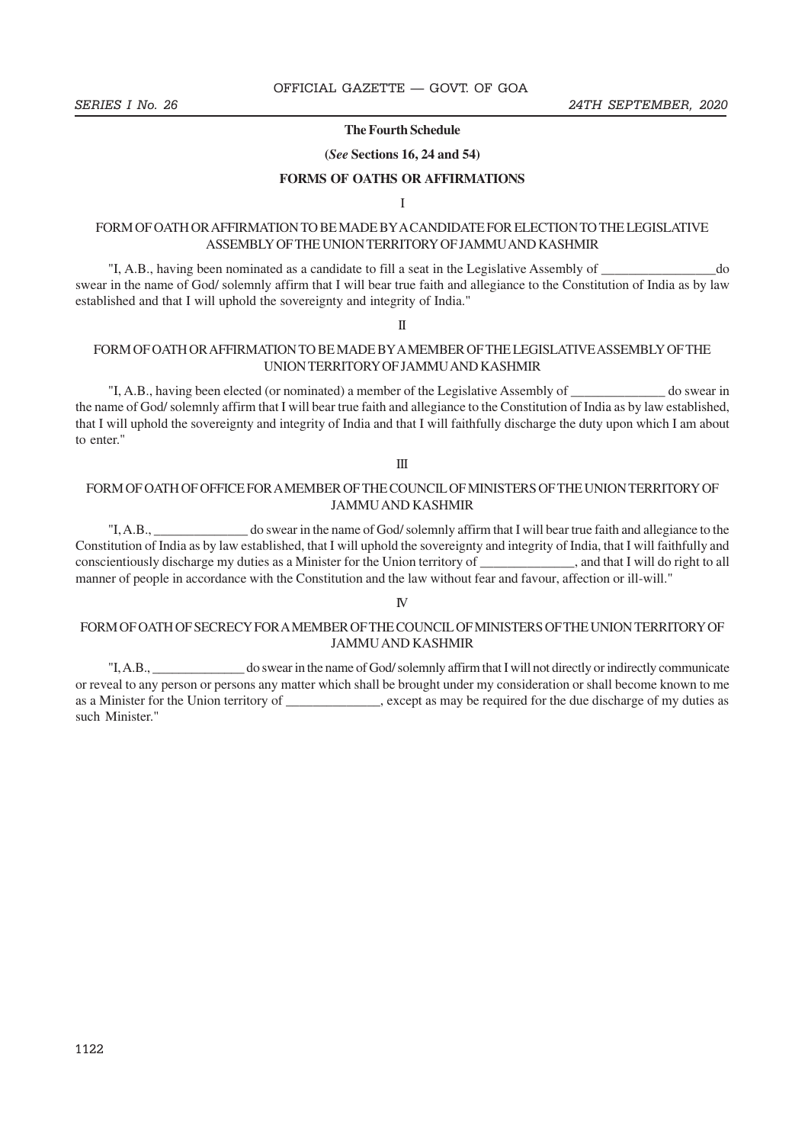#### **The Fourth Schedule**

#### **(***See* **Sections 16, 24 and 54)**

#### **FORMS OF OATHS OR AFFIRMATIONS**

I

### FORM OF OATH OR AFFIRMATION TO BE MADE BY A CANDIDATE FOR ELECTION TO THE LEGISLATIVE ASSEMBLY OF THE UNION TERRITORY OF JAMMU AND KASHMIR

"I, A.B., having been nominated as a candidate to fill a seat in the Legislative Assembly of \_\_\_\_\_\_\_\_\_\_\_\_\_\_\_\_\_do swear in the name of God/ solemnly affirm that I will bear true faith and allegiance to the Constitution of India as by law established and that I will uphold the sovereignty and integrity of India."

II

#### FORM OF OATH OR AFFIRMATION TO BE MADE BY A MEMBER OF THE LEGISLATIVE ASSEMBLY OF THE UNION TERRITORY OF JAMMU AND KASHMIR

"I, A.B., having been elected (or nominated) a member of the Legislative Assembly of \_\_\_\_\_\_\_\_\_\_\_\_\_\_ do swear in the name of God/ solemnly affirm that I will bear true faith and allegiance to the Constitution of India as by law established, that I will uphold the sovereignty and integrity of India and that I will faithfully discharge the duty upon which I am about to enter."

#### III

#### FORM OF OATH OF OFFICE FOR A MEMBER OF THE COUNCIL OF MINISTERS OF THE UNION TERRITORY OF JAMMU AND KASHMIR

"I, A.B., \_\_\_\_\_\_\_\_\_\_\_\_\_\_ do swear in the name of God/ solemnly affirm that I will bear true faith and allegiance to the Constitution of India as by law established, that I will uphold the sovereignty and integrity of India, that I will faithfully and conscientiously discharge my duties as a Minister for the Union territory of \_\_\_\_\_\_\_\_\_\_\_\_\_\_, and that I will do right to all manner of people in accordance with the Constitution and the law without fear and favour, affection or ill-will."

#### IV

### FORM OF OATH OF SECRECY FOR A MEMBER OF THE COUNCIL OF MINISTERS OF THE UNION TERRITORY OF JAMMU AND KASHMIR

"I, A.B., \_\_\_\_\_\_\_\_\_\_\_\_\_\_ do swear in the name of God/ solemnly affirm that I will not directly or indirectly communicate or reveal to any person or persons any matter which shall be brought under my consideration or shall become known to me as a Minister for the Union territory of \_\_\_\_\_\_\_\_\_, except as may be required for the due discharge of my duties as such Minister."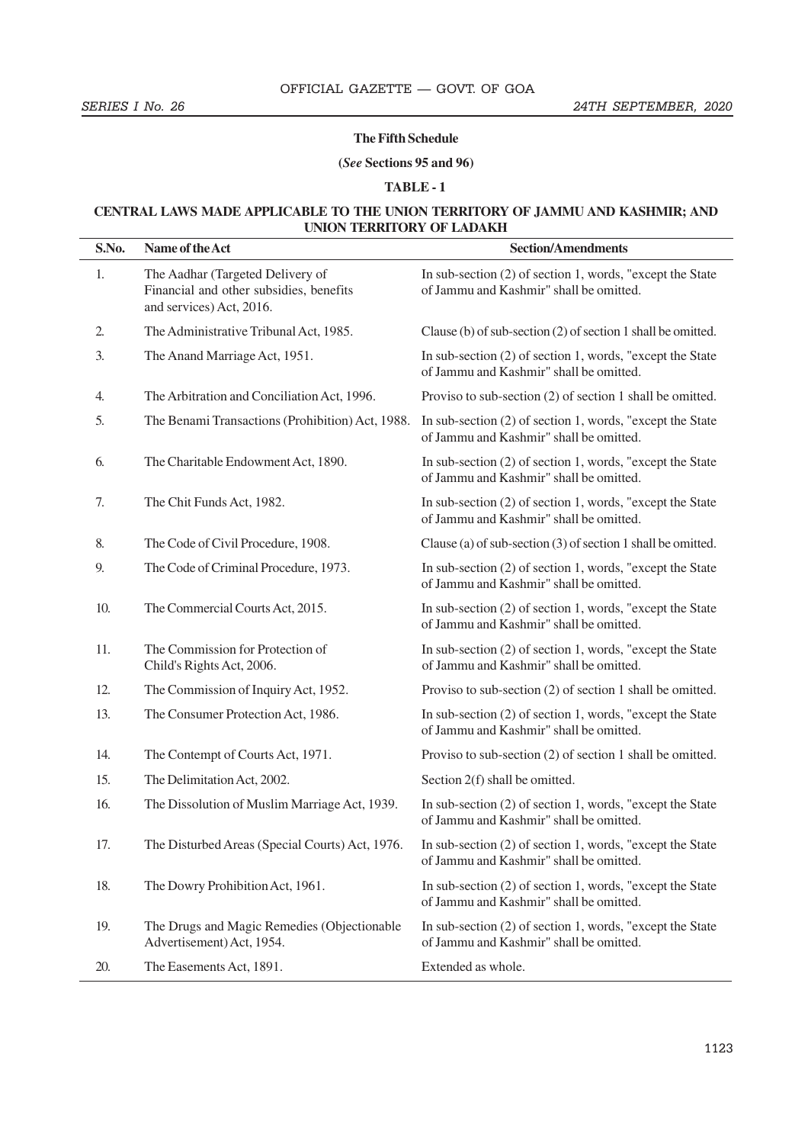#### **The Fifth Schedule**

#### **(***See* **Sections 95 and 96)**

### **TABLE - 1**

### **CENTRAL LAWS MADE APPLICABLE TO THE UNION TERRITORY OF JAMMU AND KASHMIR; AND UNION TERRITORY OF LADAKH**

| S.No. | Name of the Act                                                                                         | <b>Section/Amendments</b>                                                                                                                             |
|-------|---------------------------------------------------------------------------------------------------------|-------------------------------------------------------------------------------------------------------------------------------------------------------|
| 1.    | The Aadhar (Targeted Delivery of<br>Financial and other subsidies, benefits<br>and services) Act, 2016. | In sub-section $(2)$ of section 1, words, "except the State"<br>of Jammu and Kashmir" shall be omitted.                                               |
| 2.    | The Administrative Tribunal Act, 1985.                                                                  | Clause (b) of sub-section (2) of section 1 shall be omitted.                                                                                          |
| 3.    | The Anand Marriage Act, 1951.                                                                           | In sub-section (2) of section 1, words, "except the State"<br>of Jammu and Kashmir" shall be omitted.                                                 |
| 4.    | The Arbitration and Conciliation Act, 1996.                                                             | Proviso to sub-section (2) of section 1 shall be omitted.                                                                                             |
| 5.    | The Benami Transactions (Prohibition) Act, 1988.                                                        | In sub-section (2) of section 1, words, "except the State"<br>of Jammu and Kashmir" shall be omitted.                                                 |
| 6.    | The Charitable Endowment Act, 1890.                                                                     | In sub-section $(2)$ of section 1, words, "except the State"<br>of Jammu and Kashmir" shall be omitted.                                               |
| 7.    | The Chit Funds Act, 1982.                                                                               | In sub-section (2) of section 1, words, "except the State"<br>of Jammu and Kashmir" shall be omitted.                                                 |
| 8.    | The Code of Civil Procedure, 1908.                                                                      | Clause (a) of sub-section (3) of section 1 shall be omitted.                                                                                          |
| 9.    | The Code of Criminal Procedure, 1973.                                                                   | In sub-section (2) of section 1, words, "except the State"<br>of Jammu and Kashmir" shall be omitted.                                                 |
| 10.   | The Commercial Courts Act, 2015.                                                                        | In sub-section $(2)$ of section 1, words, "except the State"<br>of Jammu and Kashmir" shall be omitted.                                               |
| 11.   | The Commission for Protection of<br>Child's Rights Act, 2006.                                           | In sub-section (2) of section 1, words, "except the State"<br>of Jammu and Kashmir" shall be omitted.                                                 |
| 12.   | The Commission of Inquiry Act, 1952.                                                                    | Proviso to sub-section (2) of section 1 shall be omitted.                                                                                             |
| 13.   | The Consumer Protection Act, 1986.                                                                      | In sub-section (2) of section 1, words, "except the State"<br>of Jammu and Kashmir" shall be omitted.                                                 |
| 14.   | The Contempt of Courts Act, 1971.                                                                       | Proviso to sub-section (2) of section 1 shall be omitted.                                                                                             |
| 15.   | The Delimitation Act, 2002.                                                                             | Section 2(f) shall be omitted.                                                                                                                        |
| 16.   | The Dissolution of Muslim Marriage Act, 1939.                                                           | In sub-section (2) of section 1, words, "except the State"<br>of Jammu and Kashmir" shall be omitted.                                                 |
| 17.   |                                                                                                         | The Disturbed Areas (Special Courts) Act, 1976. In sub-section (2) of section 1, words, "except the State"<br>of Jammu and Kashmir" shall be omitted. |
| 18.   | The Dowry Prohibition Act, 1961.                                                                        | In sub-section $(2)$ of section 1, words, "except the State"<br>of Jammu and Kashmir" shall be omitted.                                               |
| 19.   | The Drugs and Magic Remedies (Objectionable<br>Advertisement) Act, 1954.                                | In sub-section (2) of section 1, words, "except the State<br>of Jammu and Kashmir" shall be omitted.                                                  |
| 20.   | The Easements Act, 1891.                                                                                | Extended as whole.                                                                                                                                    |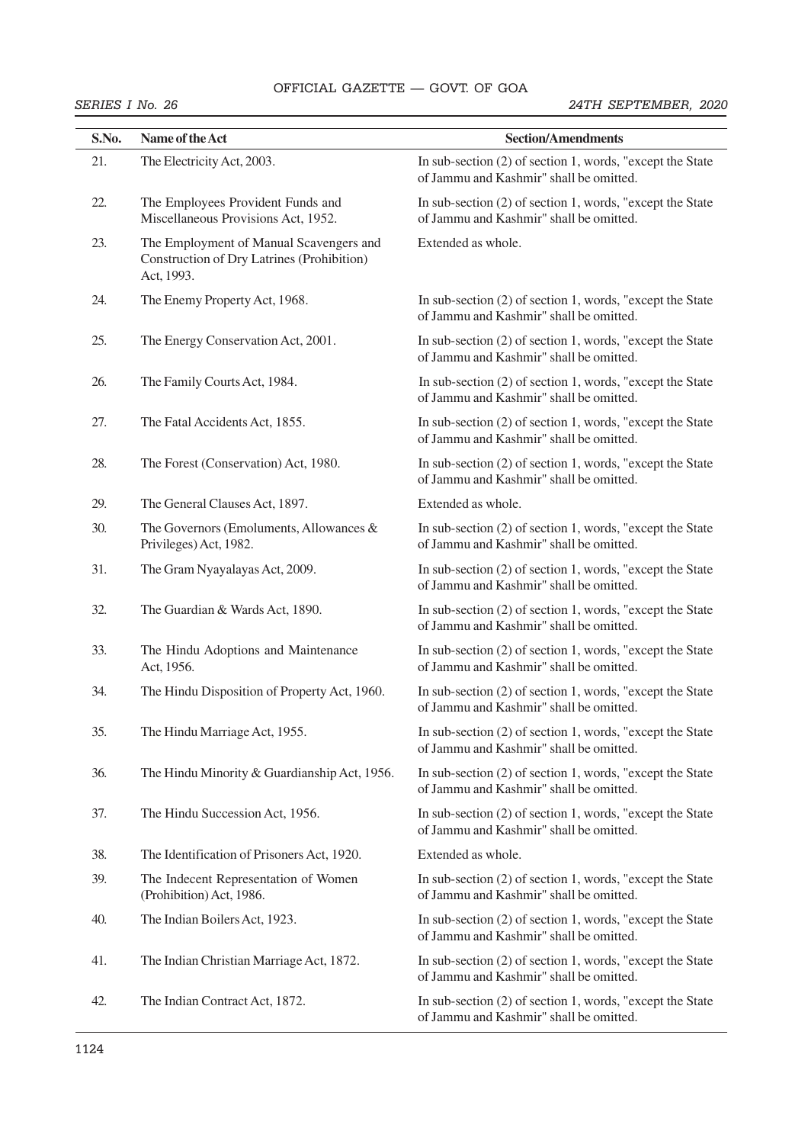# OFFICIAL GAZETTE — GOVT. OF GOA 38 THE GAZETTE OF INDIA EXTRAORDINARY [PART II—

| S.No. | Name of the Act                                                                                     | <b>Section/Amendments</b>                                                                               |
|-------|-----------------------------------------------------------------------------------------------------|---------------------------------------------------------------------------------------------------------|
| 21.   | The Electricity Act, 2003.                                                                          | In sub-section (2) of section 1, words, "except the State"<br>of Jammu and Kashmir" shall be omitted.   |
| 22.   | The Employees Provident Funds and<br>Miscellaneous Provisions Act, 1952.                            | In sub-section $(2)$ of section 1, words, "except the State"<br>of Jammu and Kashmir" shall be omitted. |
| 23.   | The Employment of Manual Scavengers and<br>Construction of Dry Latrines (Prohibition)<br>Act, 1993. | Extended as whole.                                                                                      |
| 24.   | The Enemy Property Act, 1968.                                                                       | In sub-section $(2)$ of section 1, words, "except the State"<br>of Jammu and Kashmir" shall be omitted. |
| 25.   | The Energy Conservation Act, 2001.                                                                  | In sub-section (2) of section 1, words, "except the State<br>of Jammu and Kashmir" shall be omitted.    |
| 26.   | The Family Courts Act, 1984.                                                                        | In sub-section (2) of section 1, words, "except the State<br>of Jammu and Kashmir" shall be omitted.    |
| 27.   | The Fatal Accidents Act, 1855.                                                                      | In sub-section (2) of section 1, words, "except the State<br>of Jammu and Kashmir" shall be omitted.    |
| 28.   | The Forest (Conservation) Act, 1980.                                                                | In sub-section $(2)$ of section 1, words, "except the State"<br>of Jammu and Kashmir" shall be omitted. |
| 29.   | The General Clauses Act, 1897.                                                                      | Extended as whole.                                                                                      |
| 30.   | The Governors (Emoluments, Allowances &<br>Privileges) Act, 1982.                                   | In sub-section (2) of section 1, words, "except the State"<br>of Jammu and Kashmir" shall be omitted.   |
| 31.   | The Gram Nyayalayas Act, 2009.                                                                      | In sub-section $(2)$ of section 1, words, "except the State"<br>of Jammu and Kashmir" shall be omitted. |
| 32.   | The Guardian & Wards Act, 1890.                                                                     | In sub-section (2) of section 1, words, "except the State"<br>of Jammu and Kashmir" shall be omitted.   |
| 33.   | The Hindu Adoptions and Maintenance<br>Act, 1956.                                                   | In sub-section $(2)$ of section 1, words, "except the State"<br>of Jammu and Kashmir" shall be omitted. |
| 34.   | The Hindu Disposition of Property Act, 1960.                                                        | In sub-section (2) of section 1, words, "except the State"<br>of Jammu and Kashmir" shall be omitted.   |
| 35.   | The Hindu Marriage Act, 1955.                                                                       | In sub-section (2) of section 1, words, "except the State"<br>of Jammu and Kashmir" shall be omitted.   |
| 36.   | The Hindu Minority & Guardianship Act, 1956.                                                        | In sub-section (2) of section 1, words, "except the State"<br>of Jammu and Kashmir" shall be omitted.   |
| 37.   | The Hindu Succession Act, 1956.                                                                     | In sub-section $(2)$ of section 1, words, "except the State"<br>of Jammu and Kashmir" shall be omitted. |
| 38.   | The Identification of Prisoners Act, 1920.                                                          | Extended as whole.                                                                                      |
| 39.   | The Indecent Representation of Women<br>(Prohibition) Act, 1986.                                    | In sub-section (2) of section 1, words, "except the State"<br>of Jammu and Kashmir" shall be omitted.   |
| 40.   | The Indian Boilers Act, 1923.                                                                       | In sub-section (2) of section 1, words, "except the State"<br>of Jammu and Kashmir" shall be omitted.   |
| 41.   | The Indian Christian Marriage Act, 1872.                                                            | In sub-section $(2)$ of section 1, words, "except the State"<br>of Jammu and Kashmir" shall be omitted. |
| 42.   | The Indian Contract Act, 1872.                                                                      | In sub-section (2) of section 1, words, "except the State"<br>of Jammu and Kashmir" shall be omitted.   |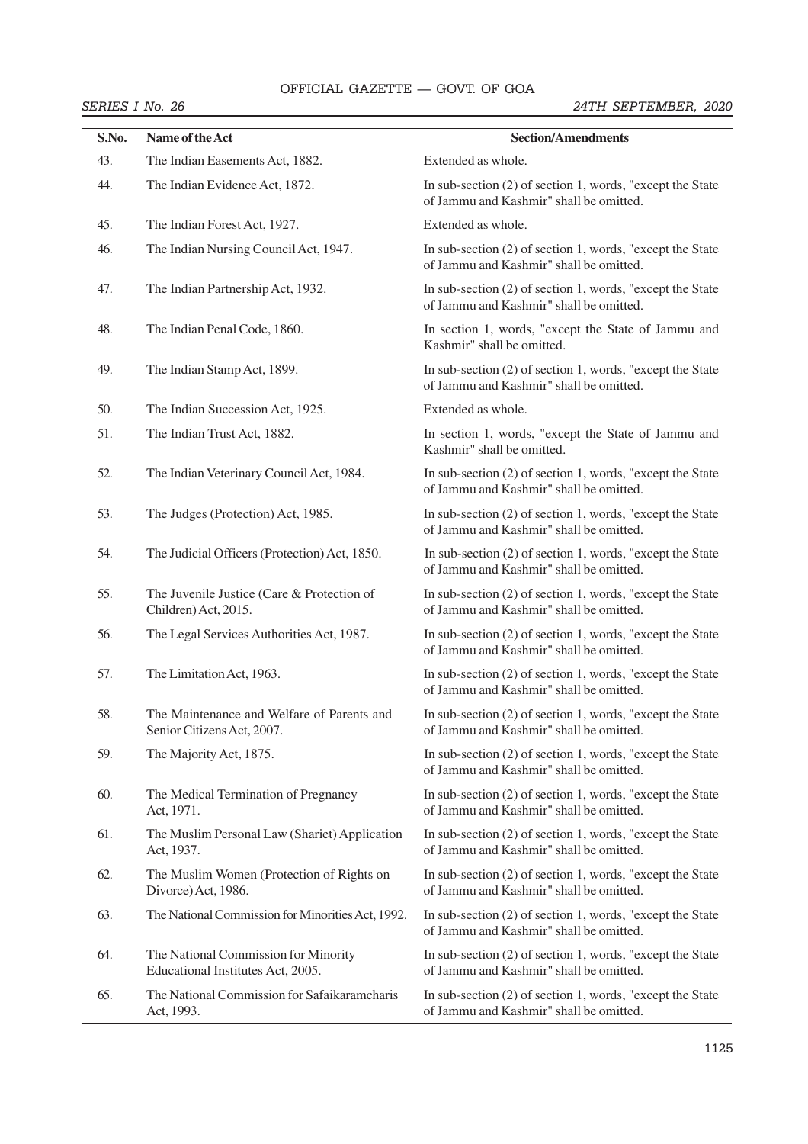# OFFICIAL GAZETTE — GOVT. OF GOA

| S.No. | Name of the Act                                                           | <b>Section/Amendments</b>                                                                               |
|-------|---------------------------------------------------------------------------|---------------------------------------------------------------------------------------------------------|
| 43.   | The Indian Easements Act, 1882.                                           | Extended as whole.                                                                                      |
| 44.   | The Indian Evidence Act, 1872.                                            | In sub-section $(2)$ of section 1, words, "except the State"<br>of Jammu and Kashmir" shall be omitted. |
| 45.   | The Indian Forest Act, 1927.                                              | Extended as whole.                                                                                      |
| 46.   | The Indian Nursing Council Act, 1947.                                     | In sub-section (2) of section 1, words, "except the State<br>of Jammu and Kashmir" shall be omitted.    |
| 47.   | The Indian Partnership Act, 1932.                                         | In sub-section (2) of section 1, words, "except the State<br>of Jammu and Kashmir" shall be omitted.    |
| 48.   | The Indian Penal Code, 1860.                                              | In section 1, words, "except the State of Jammu and<br>Kashmir" shall be omitted.                       |
| 49.   | The Indian Stamp Act, 1899.                                               | In sub-section (2) of section 1, words, "except the State<br>of Jammu and Kashmir" shall be omitted.    |
| 50.   | The Indian Succession Act, 1925.                                          | Extended as whole.                                                                                      |
| 51.   | The Indian Trust Act, 1882.                                               | In section 1, words, "except the State of Jammu and<br>Kashmir" shall be omitted.                       |
| 52.   | The Indian Veterinary Council Act, 1984.                                  | In sub-section (2) of section 1, words, "except the State<br>of Jammu and Kashmir" shall be omitted.    |
| 53.   | The Judges (Protection) Act, 1985.                                        | In sub-section $(2)$ of section 1, words, "except the State"<br>of Jammu and Kashmir" shall be omitted. |
| 54.   | The Judicial Officers (Protection) Act, 1850.                             | In sub-section (2) of section 1, words, "except the State"<br>of Jammu and Kashmir" shall be omitted.   |
| 55.   | The Juvenile Justice (Care & Protection of<br>Children) Act, 2015.        | In sub-section (2) of section 1, words, "except the State<br>of Jammu and Kashmir" shall be omitted.    |
| 56.   | The Legal Services Authorities Act, 1987.                                 | In sub-section (2) of section 1, words, "except the State<br>of Jammu and Kashmir" shall be omitted.    |
| 57.   | The Limitation Act, 1963.                                                 | In sub-section $(2)$ of section 1, words, "except the State"<br>of Jammu and Kashmir" shall be omitted. |
| 58.   | The Maintenance and Welfare of Parents and<br>Senior Citizens Act, 2007.  | In sub-section (2) of section 1, words, "except the State"<br>of Jammu and Kashmir" shall be omitted.   |
| 59.   | The Majority Act, 1875.                                                   | In sub-section (2) of section 1, words, "except the State"<br>of Jammu and Kashmir" shall be omitted.   |
| 60.   | The Medical Termination of Pregnancy<br>Act, 1971.                        | In sub-section (2) of section 1, words, "except the State<br>of Jammu and Kashmir" shall be omitted.    |
| 61.   | The Muslim Personal Law (Shariet) Application<br>Act, 1937.               | In sub-section (2) of section 1, words, "except the State"<br>of Jammu and Kashmir" shall be omitted.   |
| 62.   | The Muslim Women (Protection of Rights on<br>Divorce) Act, 1986.          | In sub-section (2) of section 1, words, "except the State"<br>of Jammu and Kashmir" shall be omitted.   |
| 63.   | The National Commission for Minorities Act, 1992.                         | In sub-section (2) of section 1, words, "except the State<br>of Jammu and Kashmir" shall be omitted.    |
| 64.   | The National Commission for Minority<br>Educational Institutes Act, 2005. | In sub-section (2) of section 1, words, "except the State"<br>of Jammu and Kashmir" shall be omitted.   |
| 65.   | The National Commission for Safaikaramcharis<br>Act, 1993.                | In sub-section $(2)$ of section 1, words, "except the State"<br>of Jammu and Kashmir" shall be omitted. |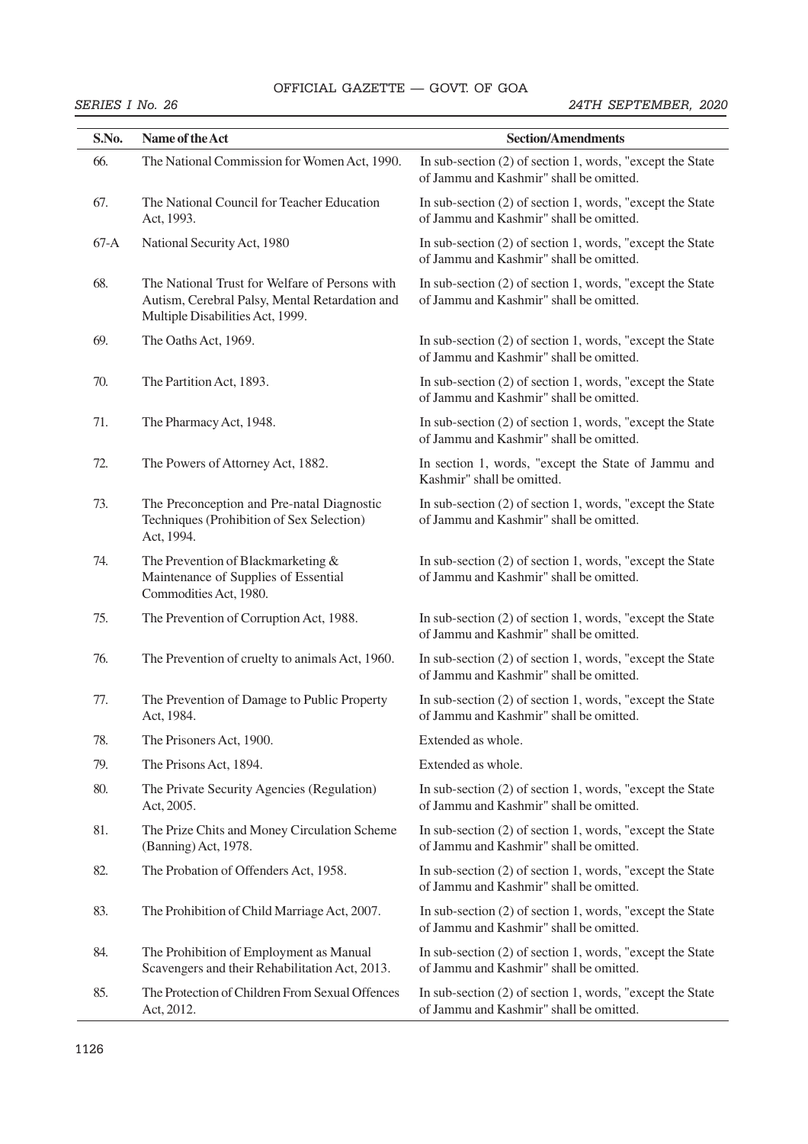# OFFICIAL GAZETTE — GOVT. OF GOA 40 THE GAZETTE OF INDIA EXTRAORDINARY [PART II—

| SERIES I No. 26 |                                                                                                                                      | 24TH SEPTEMBER, 2020                                                                                    |  |
|-----------------|--------------------------------------------------------------------------------------------------------------------------------------|---------------------------------------------------------------------------------------------------------|--|
| S.No.           | Name of the Act                                                                                                                      | <b>Section/Amendments</b>                                                                               |  |
| 66.             | The National Commission for Women Act, 1990.                                                                                         | In sub-section $(2)$ of section 1, words, "except the State"<br>of Jammu and Kashmir" shall be omitted. |  |
| 67.             | The National Council for Teacher Education<br>Act, 1993.                                                                             | In sub-section (2) of section 1, words, "except the State"<br>of Jammu and Kashmir" shall be omitted.   |  |
| $67-A$          | National Security Act, 1980                                                                                                          | In sub-section (2) of section 1, words, "except the State<br>of Jammu and Kashmir" shall be omitted.    |  |
| 68.             | The National Trust for Welfare of Persons with<br>Autism, Cerebral Palsy, Mental Retardation and<br>Multiple Disabilities Act, 1999. | In sub-section (2) of section 1, words, "except the State"<br>of Jammu and Kashmir" shall be omitted.   |  |
| 69.             | The Oaths Act, 1969.                                                                                                                 | In sub-section (2) of section 1, words, "except the State"<br>of Jammu and Kashmir" shall be omitted.   |  |
| 70.             | The Partition Act, 1893.                                                                                                             | In sub-section (2) of section 1, words, "except the State"<br>of Jammu and Kashmir" shall be omitted.   |  |
| 71.             | The Pharmacy Act, 1948.                                                                                                              | In sub-section $(2)$ of section 1, words, "except the State"<br>of Jammu and Kashmir" shall be omitted. |  |
| 72.             | The Powers of Attorney Act, 1882.                                                                                                    | In section 1, words, "except the State of Jammu and<br>Kashmir" shall be omitted.                       |  |
| 73.             | The Preconception and Pre-natal Diagnostic<br>Techniques (Prohibition of Sex Selection)<br>Act, 1994.                                | In sub-section $(2)$ of section 1, words, "except the State"<br>of Jammu and Kashmir" shall be omitted. |  |
| 74.             | The Prevention of Blackmarketing &<br>Maintenance of Supplies of Essential<br>Commodities Act, 1980.                                 | In sub-section $(2)$ of section 1, words, "except the State"<br>of Jammu and Kashmir" shall be omitted. |  |
| 75.             | The Prevention of Corruption Act, 1988.                                                                                              | In sub-section $(2)$ of section 1, words, "except the State"<br>of Jammu and Kashmir" shall be omitted. |  |
| 76.             | The Prevention of cruelty to animals Act, 1960.                                                                                      | In sub-section $(2)$ of section 1, words, "except the State"<br>of Jammu and Kashmir" shall be omitted. |  |
| 77.             | The Prevention of Damage to Public Property<br>Act, 1984.                                                                            | In sub-section (2) of section 1, words, "except the State<br>of Jammu and Kashmir" shall be omitted.    |  |
| 78.             | The Prisoners Act, 1900.                                                                                                             | Extended as whole.                                                                                      |  |
| 79.             | The Prisons Act, 1894.                                                                                                               | Extended as whole.                                                                                      |  |
| 80.             | The Private Security Agencies (Regulation)<br>Act, 2005.                                                                             | In sub-section $(2)$ of section 1, words, "except the State"<br>of Jammu and Kashmir" shall be omitted. |  |
| 81.             | The Prize Chits and Money Circulation Scheme<br>(Banning) Act, 1978.                                                                 | In sub-section (2) of section 1, words, "except the State"<br>of Jammu and Kashmir" shall be omitted.   |  |
| 82.             | The Probation of Offenders Act, 1958.                                                                                                | In sub-section $(2)$ of section 1, words, "except the State"<br>of Jammu and Kashmir" shall be omitted. |  |
| 83.             | The Prohibition of Child Marriage Act, 2007.                                                                                         | In sub-section (2) of section 1, words, "except the State"<br>of Jammu and Kashmir" shall be omitted.   |  |
| 84.             | The Prohibition of Employment as Manual<br>Scavengers and their Rehabilitation Act, 2013.                                            | In sub-section $(2)$ of section 1, words, "except the State"<br>of Jammu and Kashmir" shall be omitted. |  |
| 85.             | The Protection of Children From Sexual Offences<br>Act, 2012.                                                                        | In sub-section (2) of section 1, words, "except the State"<br>of Jammu and Kashmir" shall be omitted.   |  |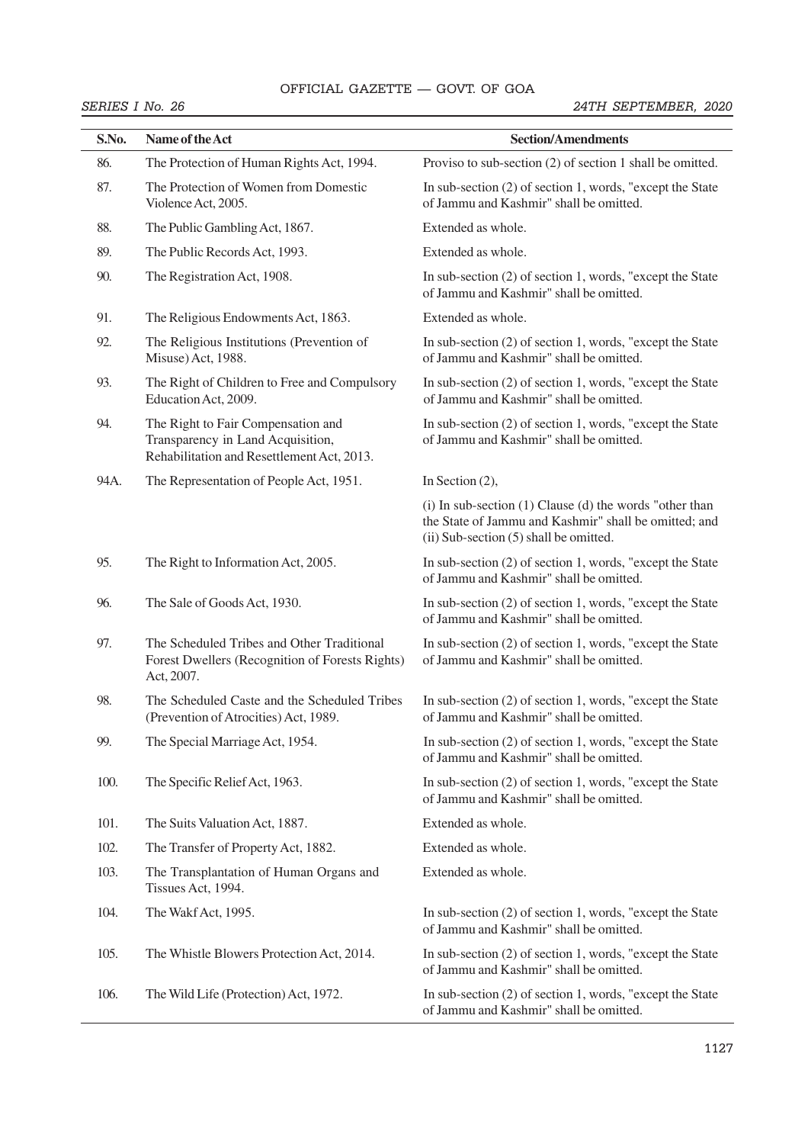# OFFICIAL GAZETTE — GOVT. OF GOA **SECTRAORDINARY 61999**

| S.No. | Name of the Act                                                                                                       | <b>Section/Amendments</b>                                                                                                                                        |
|-------|-----------------------------------------------------------------------------------------------------------------------|------------------------------------------------------------------------------------------------------------------------------------------------------------------|
| 86.   | The Protection of Human Rights Act, 1994.                                                                             | Proviso to sub-section (2) of section 1 shall be omitted.                                                                                                        |
| 87.   | The Protection of Women from Domestic<br>Violence Act, 2005.                                                          | In sub-section $(2)$ of section 1, words, "except the State"<br>of Jammu and Kashmir" shall be omitted.                                                          |
| 88.   | The Public Gambling Act, 1867.                                                                                        | Extended as whole.                                                                                                                                               |
| 89.   | The Public Records Act, 1993.                                                                                         | Extended as whole.                                                                                                                                               |
| 90.   | The Registration Act, 1908.                                                                                           | In sub-section (2) of section 1, words, "except the State"<br>of Jammu and Kashmir" shall be omitted.                                                            |
| 91.   | The Religious Endowments Act, 1863.                                                                                   | Extended as whole.                                                                                                                                               |
| 92.   | The Religious Institutions (Prevention of<br>Misuse) Act, 1988.                                                       | In sub-section (2) of section 1, words, "except the State"<br>of Jammu and Kashmir" shall be omitted.                                                            |
| 93.   | The Right of Children to Free and Compulsory<br>Education Act, 2009.                                                  | In sub-section $(2)$ of section 1, words, "except the State"<br>of Jammu and Kashmir" shall be omitted.                                                          |
| 94.   | The Right to Fair Compensation and<br>Transparency in Land Acquisition,<br>Rehabilitation and Resettlement Act, 2013. | In sub-section (2) of section 1, words, "except the State"<br>of Jammu and Kashmir" shall be omitted.                                                            |
| 94A.  | The Representation of People Act, 1951.                                                                               | In Section $(2)$ ,                                                                                                                                               |
|       |                                                                                                                       | $(i)$ In sub-section $(1)$ Clause $(d)$ the words "other than<br>the State of Jammu and Kashmir" shall be omitted; and<br>(ii) Sub-section (5) shall be omitted. |
| 95.   | The Right to Information Act, 2005.                                                                                   | In sub-section (2) of section 1, words, "except the State"<br>of Jammu and Kashmir" shall be omitted.                                                            |
| 96.   | The Sale of Goods Act, 1930.                                                                                          | In sub-section $(2)$ of section 1, words, "except the State"<br>of Jammu and Kashmir" shall be omitted.                                                          |
| 97.   | The Scheduled Tribes and Other Traditional<br>Forest Dwellers (Recognition of Forests Rights)<br>Act, 2007.           | In sub-section (2) of section 1, words, "except the State"<br>of Jammu and Kashmir" shall be omitted.                                                            |
| 98.   | The Scheduled Caste and the Scheduled Tribes<br>(Prevention of Atrocities) Act, 1989.                                 | In sub-section (2) of section 1, words, "except the State<br>of Jammu and Kashmir" shall be omitted.                                                             |
| 99.   | The Special Marriage Act, 1954.                                                                                       | In sub-section (2) of section 1, words, "except the State"<br>of Jammu and Kashmir" shall be omitted.                                                            |
| 100.  | The Specific Relief Act, 1963.                                                                                        | In sub-section $(2)$ of section 1, words, "except the State"<br>of Jammu and Kashmir" shall be omitted.                                                          |
| 101.  | The Suits Valuation Act, 1887.                                                                                        | Extended as whole.                                                                                                                                               |
| 102.  | The Transfer of Property Act, 1882.                                                                                   | Extended as whole.                                                                                                                                               |
| 103.  | The Transplantation of Human Organs and<br>Tissues Act, 1994.                                                         | Extended as whole.                                                                                                                                               |
| 104.  | The Wakf Act, 1995.                                                                                                   | In sub-section (2) of section 1, words, "except the State"<br>of Jammu and Kashmir" shall be omitted.                                                            |
| 105.  | The Whistle Blowers Protection Act, 2014.                                                                             | In sub-section (2) of section 1, words, "except the State"<br>of Jammu and Kashmir" shall be omitted.                                                            |
| 106.  | The Wild Life (Protection) Act, 1972.                                                                                 | In sub-section $(2)$ of section 1, words, "except the State"<br>of Jammu and Kashmir" shall be omitted.                                                          |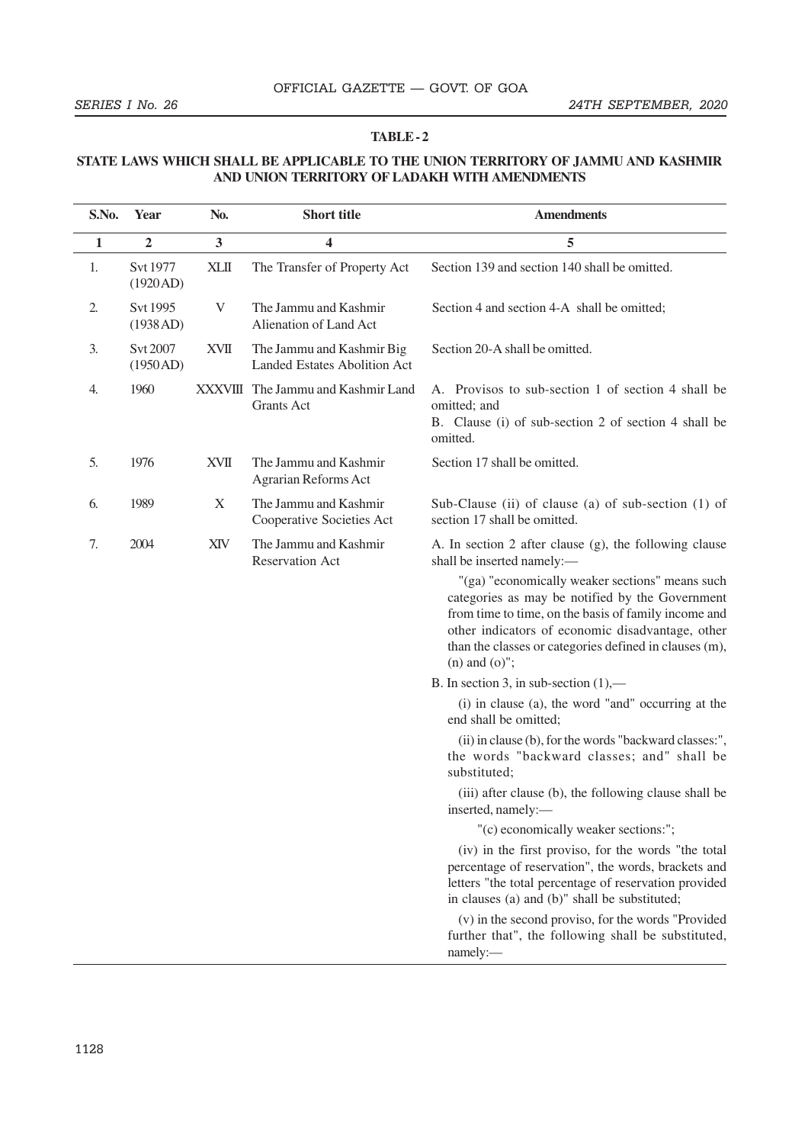#### **TABLE - 2**

### **STATE LAWS WHICH SHALL BE APPLICABLE TO THE UNION TERRITORY OF JAMMU AND KASHMIR AND UNION TERRITORY OF LADAKH WITH AMENDMENTS**

| S.No.        | Year                 | No.          | <b>Short title</b>                                               | <b>Amendments</b>                                                                                                                                                                                                                                                                                                                                                                      |  |
|--------------|----------------------|--------------|------------------------------------------------------------------|----------------------------------------------------------------------------------------------------------------------------------------------------------------------------------------------------------------------------------------------------------------------------------------------------------------------------------------------------------------------------------------|--|
| $\mathbf{1}$ | $\overline{2}$       | $\mathbf{3}$ | 4                                                                | 5                                                                                                                                                                                                                                                                                                                                                                                      |  |
| 1.           | Svt 1977<br>(1920AD) | <b>XLII</b>  | The Transfer of Property Act                                     | Section 139 and section 140 shall be omitted.                                                                                                                                                                                                                                                                                                                                          |  |
| 2.           | Svt 1995<br>(1938AD) | V            | The Jammu and Kashmir<br>Alienation of Land Act                  | Section 4 and section 4-A shall be omitted;                                                                                                                                                                                                                                                                                                                                            |  |
| 3.           | Svt 2007<br>(1950AD) | XVII         | The Jammu and Kashmir Big<br><b>Landed Estates Abolition Act</b> | Section 20-A shall be omitted.                                                                                                                                                                                                                                                                                                                                                         |  |
| 4.           | 1960                 |              | XXXVIII The Jammu and Kashmir Land<br><b>Grants Act</b>          | A. Provisos to sub-section 1 of section 4 shall be<br>omitted; and<br>B. Clause (i) of sub-section 2 of section 4 shall be<br>omitted.                                                                                                                                                                                                                                                 |  |
| 5.           | 1976                 | <b>XVII</b>  | The Jammu and Kashmir<br>Agrarian Reforms Act                    | Section 17 shall be omitted.                                                                                                                                                                                                                                                                                                                                                           |  |
| 6.           | 1989                 | X            | The Jammu and Kashmir<br>Cooperative Societies Act               | Sub-Clause (ii) of clause (a) of sub-section (1) of<br>section 17 shall be omitted.                                                                                                                                                                                                                                                                                                    |  |
| 7.           | 2004                 | XIV          | The Jammu and Kashmir<br>Reservation Act                         | A. In section 2 after clause (g), the following clause<br>shall be inserted namely:-<br>"(ga) "economically weaker sections" means such<br>categories as may be notified by the Government<br>from time to time, on the basis of family income and<br>other indicators of economic disadvantage, other<br>than the classes or categories defined in clauses (m),<br>$(n)$ and $(o)$ "; |  |
|              |                      |              |                                                                  | B. In section 3, in sub-section $(1)$ ,—                                                                                                                                                                                                                                                                                                                                               |  |
|              |                      |              |                                                                  | (i) in clause (a), the word "and" occurring at the<br>end shall be omitted;                                                                                                                                                                                                                                                                                                            |  |
|              |                      |              |                                                                  | (ii) in clause (b), for the words "backward classes:",<br>the words "backward classes; and" shall be<br>substituted;                                                                                                                                                                                                                                                                   |  |
|              |                      |              |                                                                  | (iii) after clause (b), the following clause shall be<br>inserted, namely:-                                                                                                                                                                                                                                                                                                            |  |
|              |                      |              |                                                                  | "(c) economically weaker sections:";                                                                                                                                                                                                                                                                                                                                                   |  |
|              |                      |              |                                                                  | (iv) in the first proviso, for the words "the total<br>percentage of reservation", the words, brackets and<br>letters "the total percentage of reservation provided<br>in clauses (a) and (b)" shall be substituted;                                                                                                                                                                   |  |
|              |                      |              |                                                                  | (v) in the second proviso, for the words "Provided<br>further that", the following shall be substituted,<br>namely:                                                                                                                                                                                                                                                                    |  |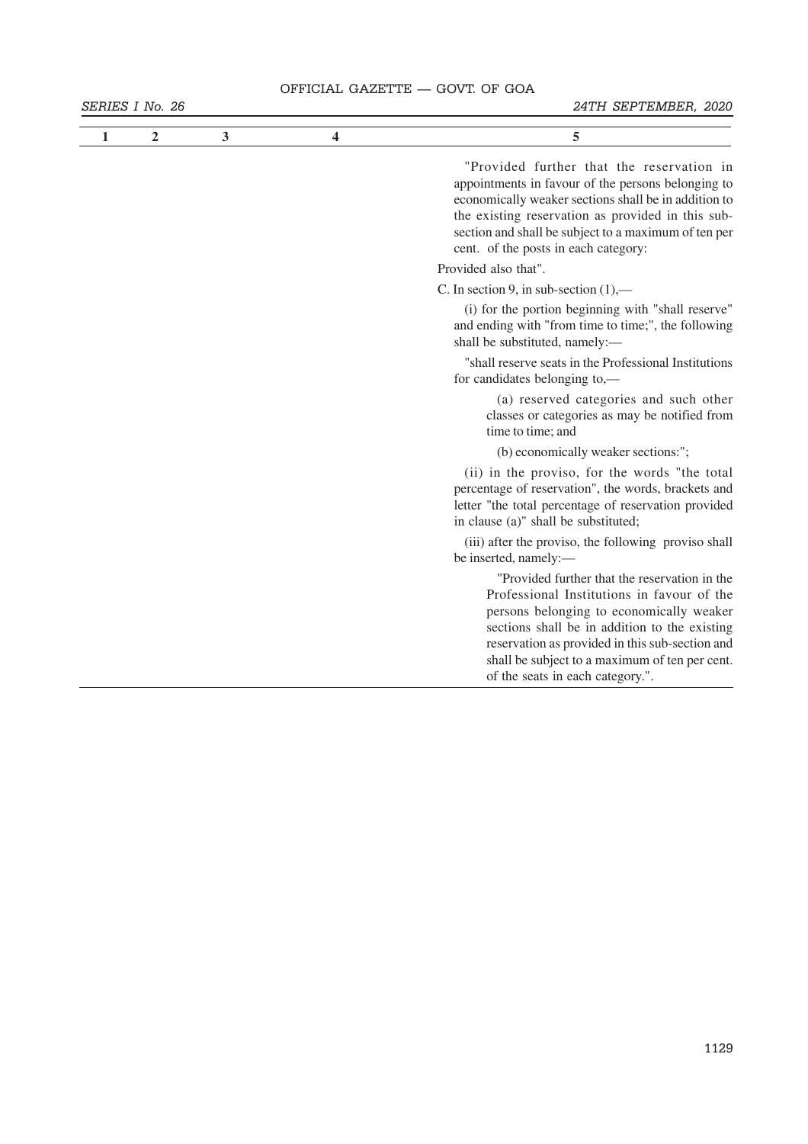# OFFICIAL GAZETTE - GOVT. OF GOA

| 1 | $\overline{2}$ | 3 | 4 | 5                                                                                                                                                                                                                                                                                                                                 |
|---|----------------|---|---|-----------------------------------------------------------------------------------------------------------------------------------------------------------------------------------------------------------------------------------------------------------------------------------------------------------------------------------|
|   |                |   |   | "Provided further that the reservation in<br>appointments in favour of the persons belonging to<br>economically weaker sections shall be in addition to<br>the existing reservation as provided in this sub-<br>section and shall be subject to a maximum of ten per<br>cent. of the posts in each category:                      |
|   |                |   |   | Provided also that".                                                                                                                                                                                                                                                                                                              |
|   |                |   |   | C. In section 9, in sub-section $(1)$ ,—                                                                                                                                                                                                                                                                                          |
|   |                |   |   | (i) for the portion beginning with "shall reserve"<br>and ending with "from time to time;", the following<br>shall be substituted, namely:-                                                                                                                                                                                       |
|   |                |   |   | "shall reserve seats in the Professional Institutions<br>for candidates belonging to,—                                                                                                                                                                                                                                            |
|   |                |   |   | (a) reserved categories and such other<br>classes or categories as may be notified from<br>time to time; and                                                                                                                                                                                                                      |
|   |                |   |   | (b) economically weaker sections:";                                                                                                                                                                                                                                                                                               |
|   |                |   |   | (ii) in the proviso, for the words "the total<br>percentage of reservation", the words, brackets and<br>letter "the total percentage of reservation provided<br>in clause (a)" shall be substituted;                                                                                                                              |
|   |                |   |   | (iii) after the proviso, the following proviso shall<br>be inserted, namely:-                                                                                                                                                                                                                                                     |
|   |                |   |   | "Provided further that the reservation in the<br>Professional Institutions in favour of the<br>persons belonging to economically weaker<br>sections shall be in addition to the existing<br>reservation as provided in this sub-section and<br>shall be subject to a maximum of ten per cent.<br>of the seats in each category.". |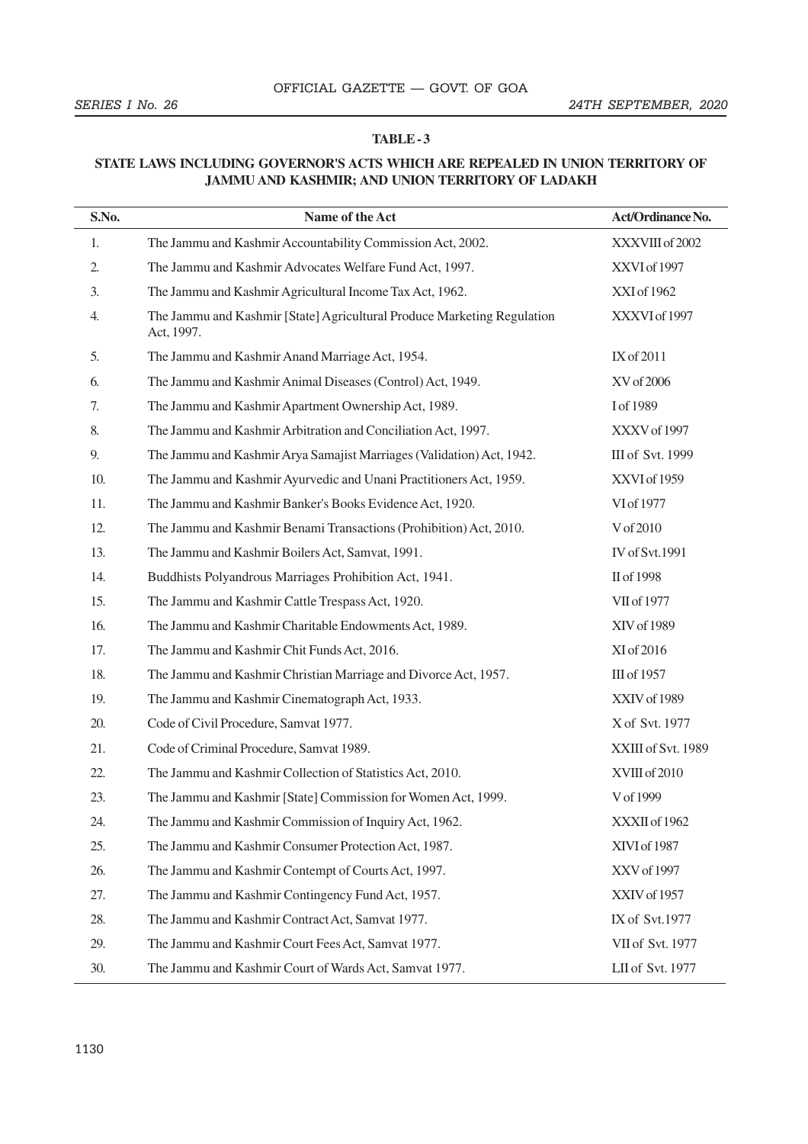### **TABLE - 3**

# **STATE LAWS INCLUDING GOVERNOR'S ACTS WHICH ARE REPEALED IN UNION TERRITORY OF JAMMU AND KASHMIR; AND UNION TERRITORY OF LADAKH**

| S.No. | Name of the Act                                                                       | Act/Ordinance No.     |
|-------|---------------------------------------------------------------------------------------|-----------------------|
| 1.    | The Jammu and Kashmir Accountability Commission Act, 2002.                            | XXXVIII of 2002       |
| 2.    | The Jammu and Kashmir Advocates Welfare Fund Act, 1997.                               | XXVI of 1997          |
| 3.    | The Jammu and Kashmir Agricultural Income Tax Act, 1962.                              | XXI of 1962           |
| 4.    | The Jammu and Kashmir [State] Agricultural Produce Marketing Regulation<br>Act, 1997. | XXXVI of 1997         |
| 5.    | The Jammu and Kashmir Anand Marriage Act, 1954.                                       | IX of 2011            |
| 6.    | The Jammu and Kashmir Animal Diseases (Control) Act, 1949.                            | XV of 2006            |
| 7.    | The Jammu and Kashmir Apartment Ownership Act, 1989.                                  | I of 1989             |
| 8.    | The Jammu and Kashmir Arbitration and Conciliation Act, 1997.                         | XXXV of 1997          |
| 9.    | The Jammu and Kashmir Arya Samajist Marriages (Validation) Act, 1942.                 | III of Svt. 1999      |
| 10.   | The Jammu and Kashmir Ayurvedic and Unani Practitioners Act, 1959.                    | XXVI of 1959          |
| 11.   | The Jammu and Kashmir Banker's Books Evidence Act, 1920.                              | VI of 1977            |
| 12.   | The Jammu and Kashmir Benami Transactions (Prohibition) Act, 2010.                    | V of 2010             |
| 13.   | The Jammu and Kashmir Boilers Act, Samvat, 1991.                                      | <b>IV</b> of Svt.1991 |
| 14.   | Buddhists Polyandrous Marriages Prohibition Act, 1941.                                | II of 1998            |
| 15.   | The Jammu and Kashmir Cattle Trespass Act, 1920.                                      | VII of 1977           |
| 16.   | The Jammu and Kashmir Charitable Endowments Act, 1989.                                | XIV of 1989           |
| 17.   | The Jammu and Kashmir Chit Funds Act, 2016.                                           | XI of 2016            |
| 18.   | The Jammu and Kashmir Christian Marriage and Divorce Act, 1957.                       | III of 1957           |
| 19.   | The Jammu and Kashmir Cinematograph Act, 1933.                                        | XXIV of 1989          |
| 20.   | Code of Civil Procedure, Samvat 1977.                                                 | X of Svt. 1977        |
| 21.   | Code of Criminal Procedure, Samvat 1989.                                              | XXIII of Svt. 1989    |
| 22.   | The Jammu and Kashmir Collection of Statistics Act, 2010.                             | XVIII of 2010         |
| 23.   | The Jammu and Kashmir [State] Commission for Women Act, 1999.                         | V of 1999             |
| 24.   | The Jammu and Kashmir Commission of Inquiry Act, 1962.                                | XXXII of 1962         |
| 25.   | The Jammu and Kashmir Consumer Protection Act, 1987.                                  | XIVI of 1987          |
| 26.   | The Jammu and Kashmir Contempt of Courts Act, 1997.                                   | XXV of 1997           |
| 27.   | The Jammu and Kashmir Contingency Fund Act, 1957.                                     | XXIV of 1957          |
| 28.   | The Jammu and Kashmir Contract Act, Samvat 1977.                                      | IX of Svt.1977        |
| 29.   | The Jammu and Kashmir Court Fees Act, Samvat 1977.                                    | VII of Svt. 1977      |
| 30.   | The Jammu and Kashmir Court of Wards Act, Samvat 1977.                                | LII of Svt. 1977      |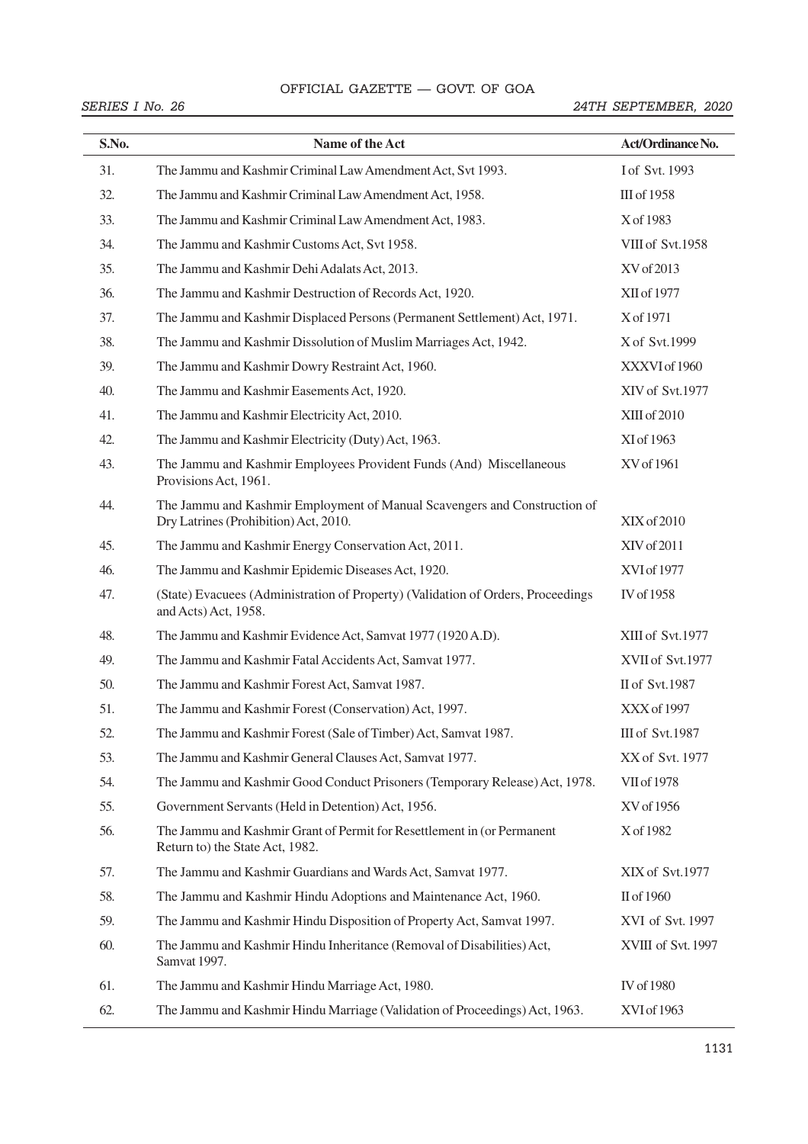### OFFICIAL GAZETTE — GOVT. OF GOA

| S.No. | Name of the Act                                                                                                    | Act/Ordinance No.      |
|-------|--------------------------------------------------------------------------------------------------------------------|------------------------|
| 31.   | The Jammu and Kashmir Criminal Law Amendment Act, Svt 1993.                                                        | I of Svt. 1993         |
| 32.   | The Jammu and Kashmir Criminal Law Amendment Act, 1958.                                                            | III of 1958            |
| 33.   | The Jammu and Kashmir Criminal Law Amendment Act, 1983.                                                            | X of 1983              |
| 34.   | The Jammu and Kashmir Customs Act, Svt 1958.                                                                       | VIII of Svt.1958       |
| 35.   | The Jammu and Kashmir Dehi Adalats Act, 2013.                                                                      | XV of 2013             |
| 36.   | The Jammu and Kashmir Destruction of Records Act, 1920.                                                            | XII of 1977            |
| 37.   | The Jammu and Kashmir Displaced Persons (Permanent Settlement) Act, 1971.                                          | X of 1971              |
| 38.   | The Jammu and Kashmir Dissolution of Muslim Marriages Act, 1942.                                                   | X of Svt.1999          |
| 39.   | The Jammu and Kashmir Dowry Restraint Act, 1960.                                                                   | XXXVI of 1960          |
| 40.   | The Jammu and Kashmir Easements Act, 1920.                                                                         | XIV of Svt.1977        |
| 41.   | The Jammu and Kashmir Electricity Act, 2010.                                                                       | XIII of 2010           |
| 42.   | The Jammu and Kashmir Electricity (Duty) Act, 1963.                                                                | XI of 1963             |
| 43.   | The Jammu and Kashmir Employees Provident Funds (And) Miscellaneous<br>Provisions Act, 1961.                       | XV of 1961             |
| 44.   | The Jammu and Kashmir Employment of Manual Scavengers and Construction of<br>Dry Latrines (Prohibition) Act, 2010. | XIX of 2010            |
| 45.   | The Jammu and Kashmir Energy Conservation Act, 2011.                                                               | XIV of 2011            |
| 46.   | The Jammu and Kashmir Epidemic Diseases Act, 1920.                                                                 | XVI of 1977            |
| 47.   | (State) Evacuees (Administration of Property) (Validation of Orders, Proceedings<br>and Acts) Act, 1958.           | IV of 1958             |
| 48.   | The Jammu and Kashmir Evidence Act, Samvat 1977 (1920 A.D).                                                        | XIII of Svt.1977       |
| 49.   | The Jammu and Kashmir Fatal Accidents Act, Samvat 1977.                                                            | XVII of Svt.1977       |
| 50.   | The Jammu and Kashmir Forest Act, Samvat 1987.                                                                     | II of Svt.1987         |
| 51.   | The Jammu and Kashmir Forest (Conservation) Act, 1997.                                                             | XXX of 1997            |
| 52.   | The Jammu and Kashmir Forest (Sale of Timber) Act, Samvat 1987.                                                    | <b>III</b> of Svt.1987 |
| 53.   | The Jammu and Kashmir General Clauses Act, Samvat 1977.                                                            | XX of Svt. 1977        |
| 54.   | The Jammu and Kashmir Good Conduct Prisoners (Temporary Release) Act, 1978.                                        | VII of 1978            |
| 55.   | Government Servants (Held in Detention) Act, 1956.                                                                 | XV of 1956             |
| 56.   | The Jammu and Kashmir Grant of Permit for Resettlement in (or Permanent<br>Return to) the State Act, 1982.         | X of 1982              |
| 57.   | The Jammu and Kashmir Guardians and Wards Act, Samvat 1977.                                                        | XIX of Svt.1977        |
| 58.   | The Jammu and Kashmir Hindu Adoptions and Maintenance Act, 1960.                                                   | II of 1960             |
| 59.   | The Jammu and Kashmir Hindu Disposition of Property Act, Samvat 1997.                                              | XVI of Svt. 1997       |
| 60.   | The Jammu and Kashmir Hindu Inheritance (Removal of Disabilities) Act,<br>Samvat 1997.                             | XVIII of Svt. 1997     |
| 61.   | The Jammu and Kashmir Hindu Marriage Act, 1980.                                                                    | IV of 1980             |
| 62.   | The Jammu and Kashmir Hindu Marriage (Validation of Proceedings) Act, 1963.                                        | XVI of 1963            |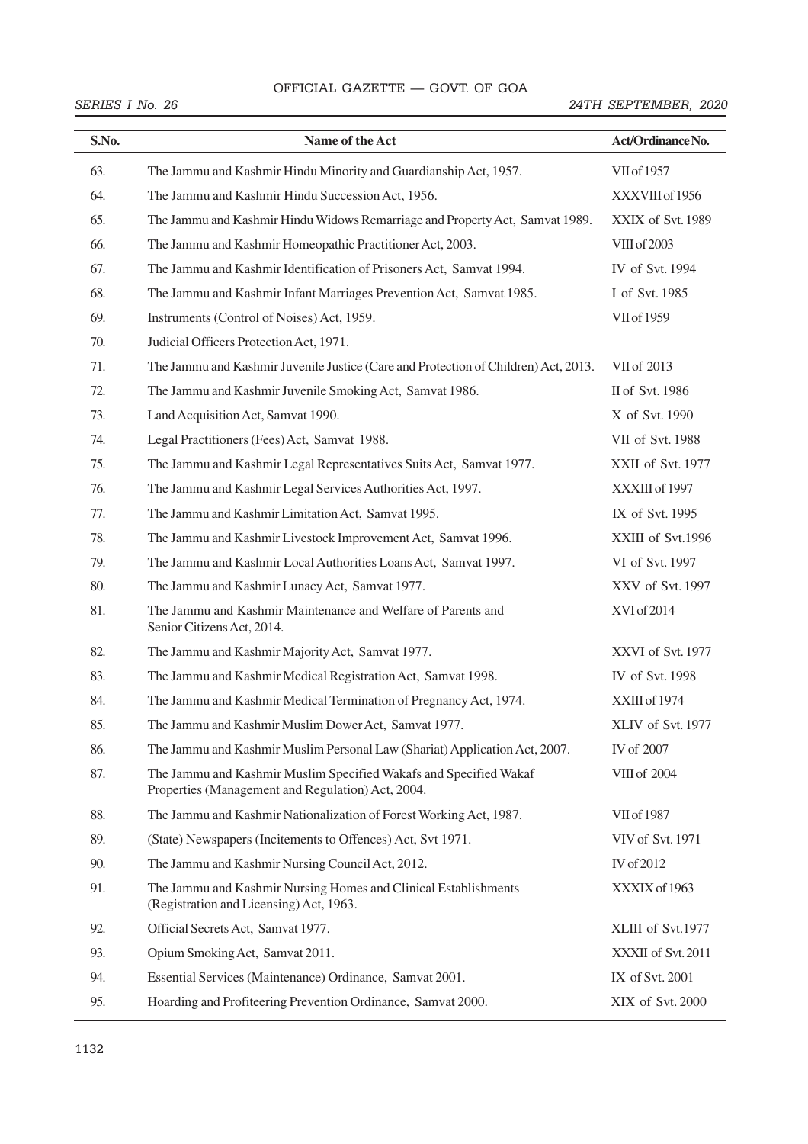### OFFICIAL GAZETTE — GOVT. OF GOA

# SITTEME STALL THE GOVIET OF SOIT AND ARRIES I NO. 26 24 TH SEPTEMBER, 2020

| S.No. | Name of the Act                                                                                                        | Act/Ordinance No.  |
|-------|------------------------------------------------------------------------------------------------------------------------|--------------------|
| 63.   | The Jammu and Kashmir Hindu Minority and Guardianship Act, 1957.                                                       | VII of 1957        |
| 64.   | The Jammu and Kashmir Hindu Succession Act, 1956.                                                                      | XXXVIII of 1956    |
| 65.   | The Jammu and Kashmir Hindu Widows Remarriage and Property Act, Samvat 1989.                                           | XXIX of Svt. 1989  |
| 66.   | The Jammu and Kashmir Homeopathic Practitioner Act, 2003.                                                              | VIII of 2003       |
| 67.   | The Jammu and Kashmir Identification of Prisoners Act, Samvat 1994.                                                    | IV of Svt. 1994    |
| 68.   | The Jammu and Kashmir Infant Marriages Prevention Act, Samvat 1985.                                                    | I of Svt. 1985     |
| 69.   | Instruments (Control of Noises) Act, 1959.                                                                             | VII of 1959        |
| 70.   | Judicial Officers Protection Act, 1971.                                                                                |                    |
| 71.   | The Jammu and Kashmir Juvenile Justice (Care and Protection of Children) Act, 2013.                                    | VII of 2013        |
| 72.   | The Jammu and Kashmir Juvenile Smoking Act, Samvat 1986.                                                               | II of Svt. 1986    |
| 73.   | Land Acquisition Act, Samvat 1990.                                                                                     | X of Svt. 1990     |
| 74.   | Legal Practitioners (Fees) Act, Samvat 1988.                                                                           | VII of Svt. 1988   |
| 75.   | The Jammu and Kashmir Legal Representatives Suits Act, Samvat 1977.                                                    | XXII of Svt. 1977  |
| 76.   | The Jammu and Kashmir Legal Services Authorities Act, 1997.                                                            | XXXIII of 1997     |
| 77.   | The Jammu and Kashmir Limitation Act, Samvat 1995.                                                                     | IX of Svt. 1995    |
| 78.   | The Jammu and Kashmir Livestock Improvement Act, Samvat 1996.                                                          | XXIII of Svt.1996  |
| 79.   | The Jammu and Kashmir Local Authorities Loans Act, Samvat 1997.                                                        | VI of Svt. 1997    |
| 80.   | The Jammu and Kashmir Lunacy Act, Samvat 1977.                                                                         | XXV of Svt. 1997   |
| 81.   | The Jammu and Kashmir Maintenance and Welfare of Parents and<br>Senior Citizens Act, 2014.                             | XVI of 2014        |
| 82.   | The Jammu and Kashmir Majority Act, Samvat 1977.                                                                       | XXVI of Svt. 1977  |
| 83.   | The Jammu and Kashmir Medical Registration Act, Samvat 1998.                                                           | IV of Svt. 1998    |
| 84.   | The Jammu and Kashmir Medical Termination of Pregnancy Act, 1974.                                                      | XXIII of 1974      |
| 85.   | The Jammu and Kashmir Muslim Dower Act, Samvat 1977.                                                                   | XLIV of Svt. 1977  |
| 86.   | The Jammu and Kashmir Muslim Personal Law (Shariat) Application Act, 2007.                                             | IV of 2007         |
| 87.   | The Jammu and Kashmir Muslim Specified Wakafs and Specified Wakaf<br>Properties (Management and Regulation) Act, 2004. | VIII of 2004       |
| 88.   | The Jammu and Kashmir Nationalization of Forest Working Act, 1987.                                                     | VII of 1987        |
| 89.   | (State) Newspapers (Incitements to Offences) Act, Svt 1971.                                                            | VIV of Svt. 1971   |
| 90.   | The Jammu and Kashmir Nursing Council Act, 2012.                                                                       | IV of 2012         |
| 91.   | The Jammu and Kashmir Nursing Homes and Clinical Establishments<br>(Registration and Licensing) Act, 1963.             | XXXIX of 1963      |
| 92.   | Official Secrets Act, Samvat 1977.                                                                                     | XLIII of Svt.1977  |
| 93.   | Opium Smoking Act, Samvat 2011.                                                                                        | XXXII of Svt. 2011 |
| 94.   | Essential Services (Maintenance) Ordinance, Samvat 2001.                                                               | IX of Svt. 2001    |
| 95.   | Hoarding and Profiteering Prevention Ordinance, Samvat 2000.                                                           | XIX of Svt. 2000   |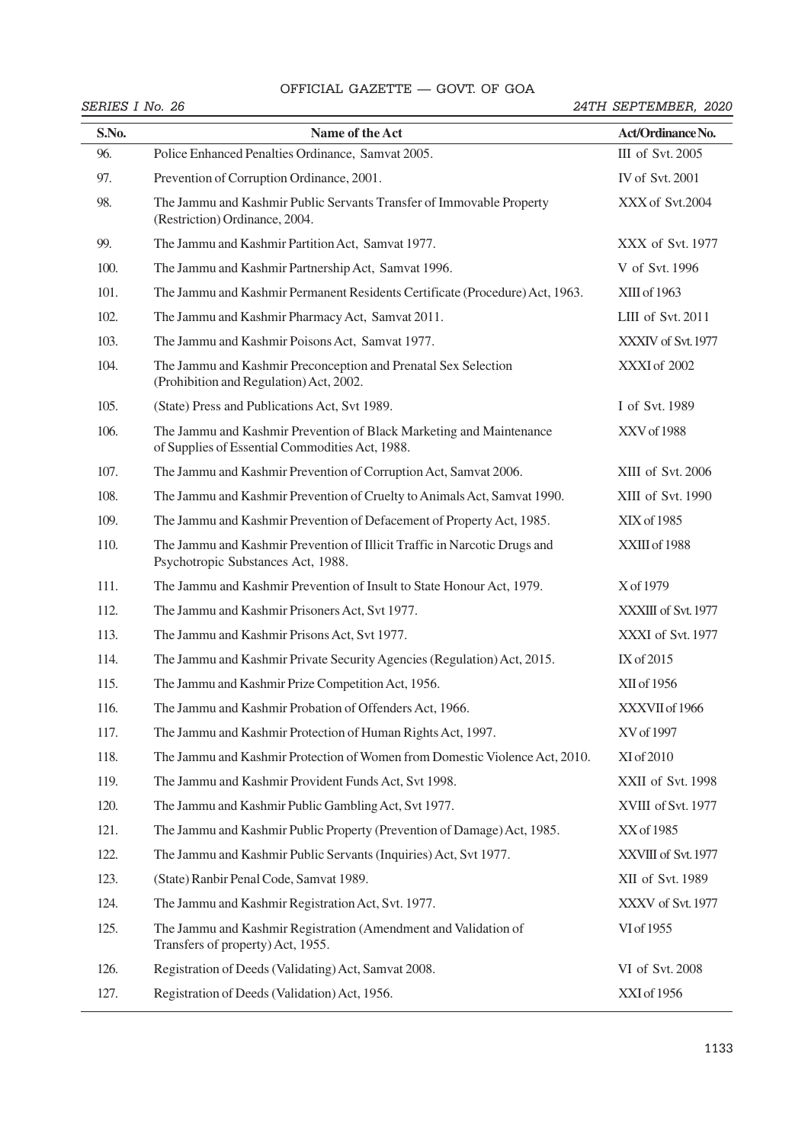# OFFICIAL GAZETTE - GOVT. OF GOA

|       | SERIES I No. 26                                                                                                        | 24TH SEPTEMBER, 2020 |  |  |
|-------|------------------------------------------------------------------------------------------------------------------------|----------------------|--|--|
| S.No. | Name of the Act                                                                                                        | Act/Ordinance No.    |  |  |
| 96.   | Police Enhanced Penalties Ordinance, Samvat 2005.                                                                      | III of Svt. 2005     |  |  |
| 97.   | Prevention of Corruption Ordinance, 2001.                                                                              | IV of Svt. 2001      |  |  |
| 98.   | The Jammu and Kashmir Public Servants Transfer of Immovable Property<br>(Restriction) Ordinance, 2004.                 | XXX of Svt.2004      |  |  |
| 99.   | The Jammu and Kashmir Partition Act, Samvat 1977.                                                                      | XXX of Svt. 1977     |  |  |
| 100.  | The Jammu and Kashmir Partnership Act, Samvat 1996.                                                                    | V of Svt. 1996       |  |  |
| 101.  | The Jammu and Kashmir Permanent Residents Certificate (Procedure) Act, 1963.                                           | XIII of 1963         |  |  |
| 102.  | The Jammu and Kashmir Pharmacy Act, Samvat 2011.                                                                       | LIII of Svt. 2011    |  |  |
| 103.  | The Jammu and Kashmir Poisons Act, Samvat 1977.                                                                        | XXXIV of Svt. 1977   |  |  |
| 104.  | The Jammu and Kashmir Preconception and Prenatal Sex Selection<br>(Prohibition and Regulation) Act, 2002.              | XXXI of 2002         |  |  |
| 105.  | (State) Press and Publications Act, Svt 1989.                                                                          | I of Svt. 1989       |  |  |
| 106.  | The Jammu and Kashmir Prevention of Black Marketing and Maintenance<br>of Supplies of Essential Commodities Act, 1988. | XXV of 1988          |  |  |
| 107.  | The Jammu and Kashmir Prevention of Corruption Act, Samvat 2006.                                                       | XIII of Svt. 2006    |  |  |
| 108.  | The Jammu and Kashmir Prevention of Cruelty to Animals Act, Samvat 1990.                                               | XIII of Svt. 1990    |  |  |
| 109.  | The Jammu and Kashmir Prevention of Defacement of Property Act, 1985.                                                  | XIX of 1985          |  |  |
| 110.  | The Jammu and Kashmir Prevention of Illicit Traffic in Narcotic Drugs and<br>Psychotropic Substances Act, 1988.        | XXIII of 1988        |  |  |
| 111.  | The Jammu and Kashmir Prevention of Insult to State Honour Act, 1979.                                                  | X of 1979            |  |  |
| 112.  | The Jammu and Kashmir Prisoners Act, Svt 1977.                                                                         | XXXIII of Svt. 1977  |  |  |
| 113.  | The Jammu and Kashmir Prisons Act, Svt 1977.                                                                           | XXXI of Svt. 1977    |  |  |
| 114.  | The Jammu and Kashmir Private Security Agencies (Regulation) Act, 2015.                                                | IX of 2015           |  |  |
| 115.  | The Jammu and Kashmir Prize Competition Act, 1956.                                                                     | XII of 1956          |  |  |
| 116.  | The Jammu and Kashmir Probation of Offenders Act, 1966.                                                                | XXXVII of 1966       |  |  |
| 117.  | The Jammu and Kashmir Protection of Human Rights Act, 1997.                                                            | XV of 1997           |  |  |
| 118.  | The Jammu and Kashmir Protection of Women from Domestic Violence Act, 2010.                                            | XI of 2010           |  |  |
| 119.  | The Jammu and Kashmir Provident Funds Act, Svt 1998.                                                                   | XXII of Svt. 1998    |  |  |
| 120.  | The Jammu and Kashmir Public Gambling Act, Svt 1977.                                                                   | XVIII of Svt. 1977   |  |  |
| 121.  | The Jammu and Kashmir Public Property (Prevention of Damage) Act, 1985.                                                | XX of 1985           |  |  |
| 122.  | The Jammu and Kashmir Public Servants (Inquiries) Act, Svt 1977.                                                       | XXVIII of Svt. 1977  |  |  |
| 123.  | (State) Ranbir Penal Code, Samvat 1989.                                                                                | XII of Svt. 1989     |  |  |
| 124.  | The Jammu and Kashmir Registration Act, Svt. 1977.                                                                     | XXXV of Svt. 1977    |  |  |
| 125.  | The Jammu and Kashmir Registration (Amendment and Validation of<br>Transfers of property) Act, 1955.                   | VI of 1955           |  |  |
| 126.  | Registration of Deeds (Validating) Act, Samvat 2008.                                                                   | VI of Svt. 2008      |  |  |
| 127.  | Registration of Deeds (Validation) Act, 1956.                                                                          | XXI of 1956          |  |  |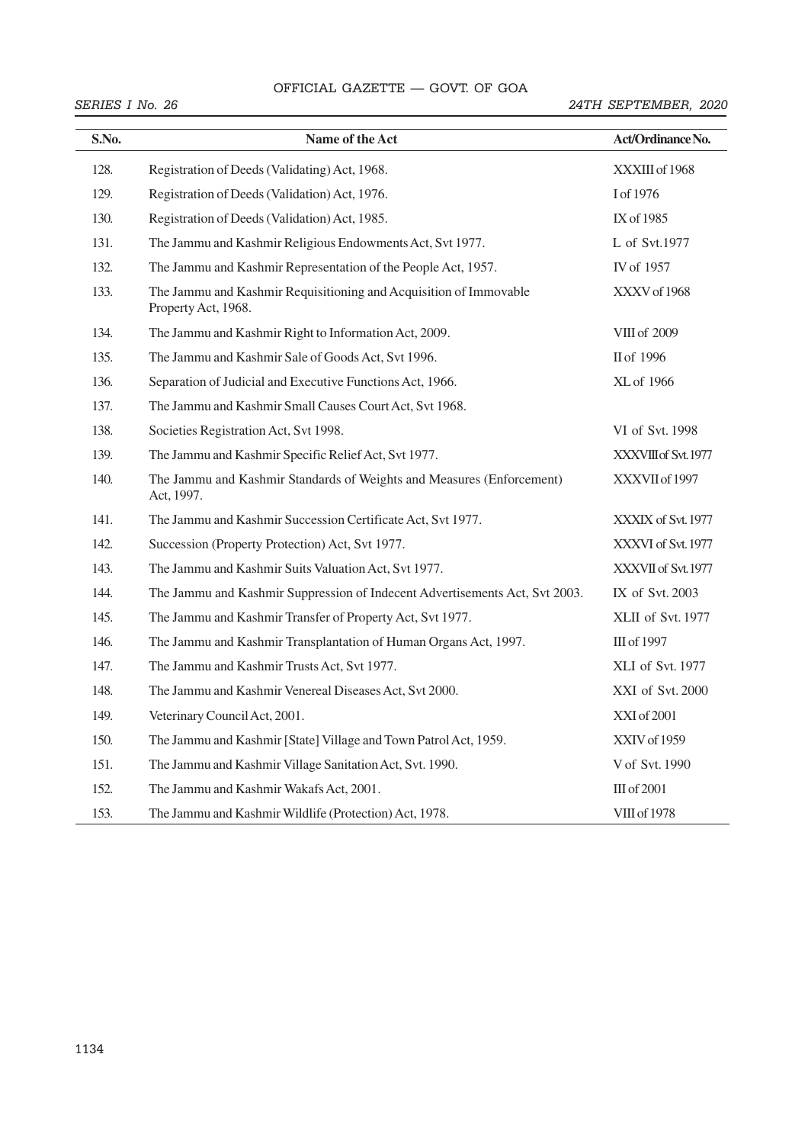# OFFICIAL GAZETTE — GOVT. OF GOA 48 THE GAZETTE OF INDIA EXTRAORDINARY [PART II—

| S.No. | Name of the Act                                                                          | Act/Ordinance No.    |
|-------|------------------------------------------------------------------------------------------|----------------------|
| 128.  | Registration of Deeds (Validating) Act, 1968.                                            | XXXIII of 1968       |
| 129.  | Registration of Deeds (Validation) Act, 1976.                                            | I of 1976            |
| 130.  | Registration of Deeds (Validation) Act, 1985.                                            | IX of 1985           |
| 131.  | The Jammu and Kashmir Religious Endowments Act, Svt 1977.                                | L of Svt.1977        |
| 132.  | The Jammu and Kashmir Representation of the People Act, 1957.                            | IV of 1957           |
| 133.  | The Jammu and Kashmir Requisitioning and Acquisition of Immovable<br>Property Act, 1968. | XXXV of 1968         |
| 134.  | The Jammu and Kashmir Right to Information Act, 2009.                                    | VIII of 2009         |
| 135.  | The Jammu and Kashmir Sale of Goods Act, Svt 1996.                                       | II of 1996           |
| 136.  | Separation of Judicial and Executive Functions Act, 1966.                                | XL of 1966           |
| 137.  | The Jammu and Kashmir Small Causes Court Act, Svt 1968.                                  |                      |
| 138.  | Societies Registration Act, Svt 1998.                                                    | VI of Svt. 1998      |
| 139.  | The Jammu and Kashmir Specific Relief Act, Svt 1977.                                     | XXXVIII of Svt. 1977 |
| 140.  | The Jammu and Kashmir Standards of Weights and Measures (Enforcement)<br>Act, 1997.      | XXXVII of 1997       |
| 141.  | The Jammu and Kashmir Succession Certificate Act, Svt 1977.                              | XXXIX of Svt. 1977   |
| 142.  | Succession (Property Protection) Act, Svt 1977.                                          | XXXVI of Svt. 1977   |
| 143.  | The Jammu and Kashmir Suits Valuation Act, Svt 1977.                                     | XXXVII of Svt. 1977  |
| 144.  | The Jammu and Kashmir Suppression of Indecent Advertisements Act, Svt 2003.              | IX of Svt. 2003      |
| 145.  | The Jammu and Kashmir Transfer of Property Act, Svt 1977.                                | XLII of Svt. 1977    |
| 146.  | The Jammu and Kashmir Transplantation of Human Organs Act, 1997.                         | III of 1997          |
| 147.  | The Jammu and Kashmir Trusts Act, Svt 1977.                                              | XLI of Svt. 1977     |
| 148.  | The Jammu and Kashmir Venereal Diseases Act, Svt 2000.                                   | XXI of Svt. 2000     |
| 149.  | Veterinary Council Act, 2001.                                                            | XXI of 2001          |
| 150.  | The Jammu and Kashmir [State] Village and Town Patrol Act, 1959.                         | XXIV of 1959         |
| 151.  | The Jammu and Kashmir Village Sanitation Act, Svt. 1990.                                 | V of Svt. 1990       |
| 152.  | The Jammu and Kashmir Wakafs Act, 2001.                                                  | III of 2001          |
| 153.  | The Jammu and Kashmir Wildlife (Protection) Act, 1978.                                   | <b>VIII of 1978</b>  |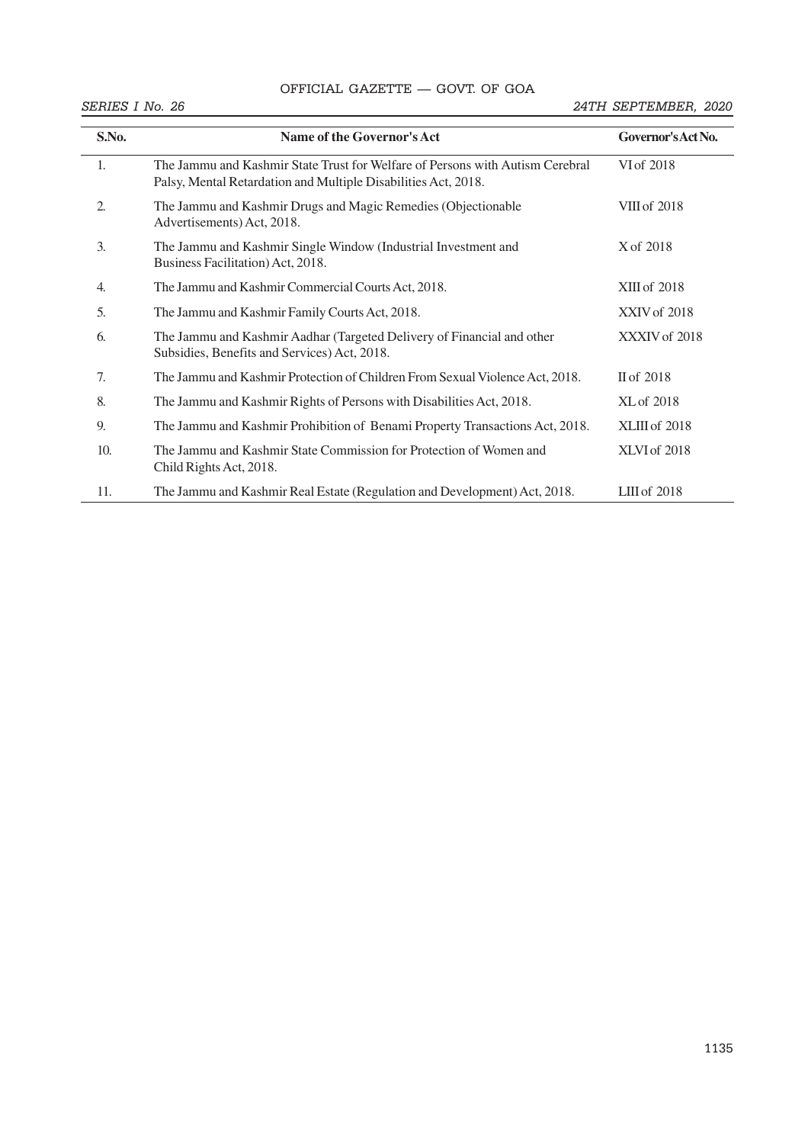# OFFICIAL GAZETTE — GOVT. OF GOA

| S.No.            | Name of the Governor's Act                                                                                                                      | Governor's Act No. |  |  |
|------------------|-------------------------------------------------------------------------------------------------------------------------------------------------|--------------------|--|--|
| 1.               | The Jammu and Kashmir State Trust for Welfare of Persons with Autism Cerebral<br>Palsy, Mental Retardation and Multiple Disabilities Act, 2018. | VI of 2018         |  |  |
| 2.               | The Jammu and Kashmir Drugs and Magic Remedies (Objectionable<br>Advertisements) Act, 2018.                                                     | VIII of 2018       |  |  |
| 3.               | The Jammu and Kashmir Single Window (Industrial Investment and<br>Business Facilitation) Act, 2018.                                             | X of 2018          |  |  |
| $\overline{4}$ . | The Jammu and Kashmir Commercial Courts Act, 2018.                                                                                              | $XIII$ of $2018$   |  |  |
| 5.               | The Jammu and Kashmir Family Courts Act, 2018.                                                                                                  | XXIV of 2018       |  |  |
| 6.               | The Jammu and Kashmir Aadhar (Targeted Delivery of Financial and other<br>Subsidies, Benefits and Services) Act, 2018.                          | XXXIV of 2018      |  |  |
| 7.               | The Jammu and Kashmir Protection of Children From Sexual Violence Act, 2018.                                                                    | II of 2018         |  |  |
| 8.               | The Jammu and Kashmir Rights of Persons with Disabilities Act, 2018.                                                                            | XL of 2018         |  |  |
| 9.               | The Jammu and Kashmir Prohibition of Benami Property Transactions Act, 2018.                                                                    | XLIII of 2018      |  |  |
| 10.              | The Jammu and Kashmir State Commission for Protection of Women and<br>Child Rights Act, 2018.                                                   | XLVI of 2018       |  |  |
| 11.              | The Jammu and Kashmir Real Estate (Regulation and Development) Act, 2018.                                                                       | $LIII$ of $2018$   |  |  |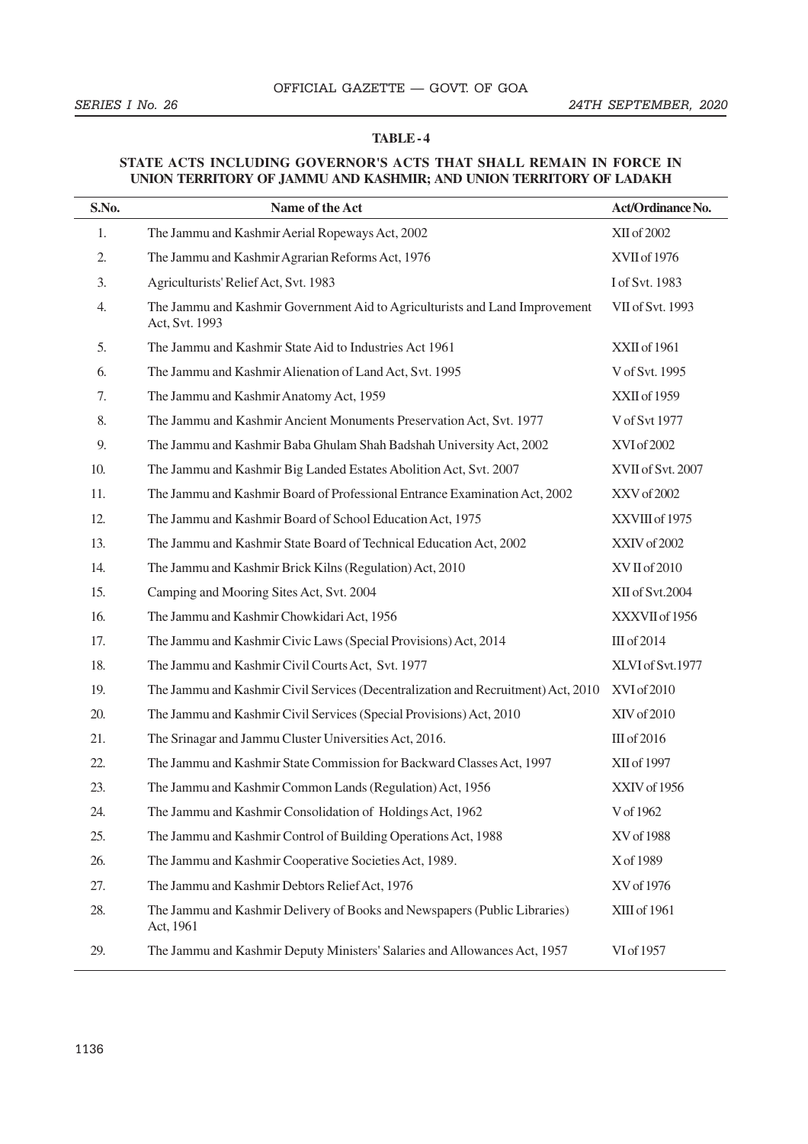#### **TABLE - 4**

### **STATE ACTS INCLUDING GOVERNOR'S ACTS THAT SHALL REMAIN IN FORCE IN UNION TERRITORY OF JAMMU AND KASHMIR; AND UNION TERRITORY OF LADAKH**

| S.No. | Name of the Act                                                                               | Act/Ordinance No. |  |
|-------|-----------------------------------------------------------------------------------------------|-------------------|--|
| 1.    | The Jammu and Kashmir Aerial Ropeways Act, 2002                                               | XII of 2002       |  |
| 2.    | The Jammu and Kashmir Agrarian Reforms Act, 1976                                              | XVII of 1976      |  |
| 3.    | Agriculturists' Relief Act, Svt. 1983                                                         | I of Svt. 1983    |  |
| 4.    | The Jammu and Kashmir Government Aid to Agriculturists and Land Improvement<br>Act, Svt. 1993 | VII of Svt. 1993  |  |
| 5.    | The Jammu and Kashmir State Aid to Industries Act 1961                                        | XXII of 1961      |  |
| 6.    | The Jammu and Kashmir Alienation of Land Act, Svt. 1995                                       | V of Svt. 1995    |  |
| 7.    | The Jammu and Kashmir Anatomy Act, 1959                                                       | XXII of 1959      |  |
| 8.    | The Jammu and Kashmir Ancient Monuments Preservation Act, Svt. 1977                           | V of Svt 1977     |  |
| 9.    | The Jammu and Kashmir Baba Ghulam Shah Badshah University Act, 2002                           | XVI of 2002       |  |
| 10.   | The Jammu and Kashmir Big Landed Estates Abolition Act, Svt. 2007                             | XVII of Svt. 2007 |  |
| 11.   | The Jammu and Kashmir Board of Professional Entrance Examination Act, 2002                    | XXV of 2002       |  |
| 12.   | The Jammu and Kashmir Board of School Education Act, 1975                                     | XXVIII of 1975    |  |
| 13.   | The Jammu and Kashmir State Board of Technical Education Act, 2002                            | XXIV of 2002      |  |
| 14.   | The Jammu and Kashmir Brick Kilns (Regulation) Act, 2010                                      | XVII of 2010      |  |
| 15.   | Camping and Mooring Sites Act, Svt. 2004                                                      | XII of Svt.2004   |  |
| 16.   | The Jammu and Kashmir Chowkidari Act, 1956                                                    | XXXVII of 1956    |  |
| 17.   | The Jammu and Kashmir Civic Laws (Special Provisions) Act, 2014                               | III of 2014       |  |
| 18.   | The Jammu and Kashmir Civil Courts Act, Svt. 1977                                             | XLVI of Svt.1977  |  |
| 19.   | The Jammu and Kashmir Civil Services (Decentralization and Recruitment) Act, 2010             | XVI of 2010       |  |
| 20.   | The Jammu and Kashmir Civil Services (Special Provisions) Act, 2010                           | XIV of 2010       |  |
| 21.   | The Srinagar and Jammu Cluster Universities Act, 2016.                                        | III of 2016       |  |
| 22.   | The Jammu and Kashmir State Commission for Backward Classes Act, 1997                         | XII of 1997       |  |
| 23.   | The Jammu and Kashmir Common Lands (Regulation) Act, 1956                                     | XXIV of 1956      |  |
| 24.   | The Jammu and Kashmir Consolidation of Holdings Act, 1962                                     | V of 1962         |  |
| 25.   | The Jammu and Kashmir Control of Building Operations Act, 1988                                | XV of 1988        |  |
| 26.   | The Jammu and Kashmir Cooperative Societies Act, 1989.                                        | X of 1989         |  |
| 27.   | The Jammu and Kashmir Debtors Relief Act, 1976                                                | XV of 1976        |  |
| 28.   | The Jammu and Kashmir Delivery of Books and Newspapers (Public Libraries)<br>Act, 1961        | XIII of 1961      |  |
| 29.   | The Jammu and Kashmir Deputy Ministers' Salaries and Allowances Act, 1957                     | VI of 1957        |  |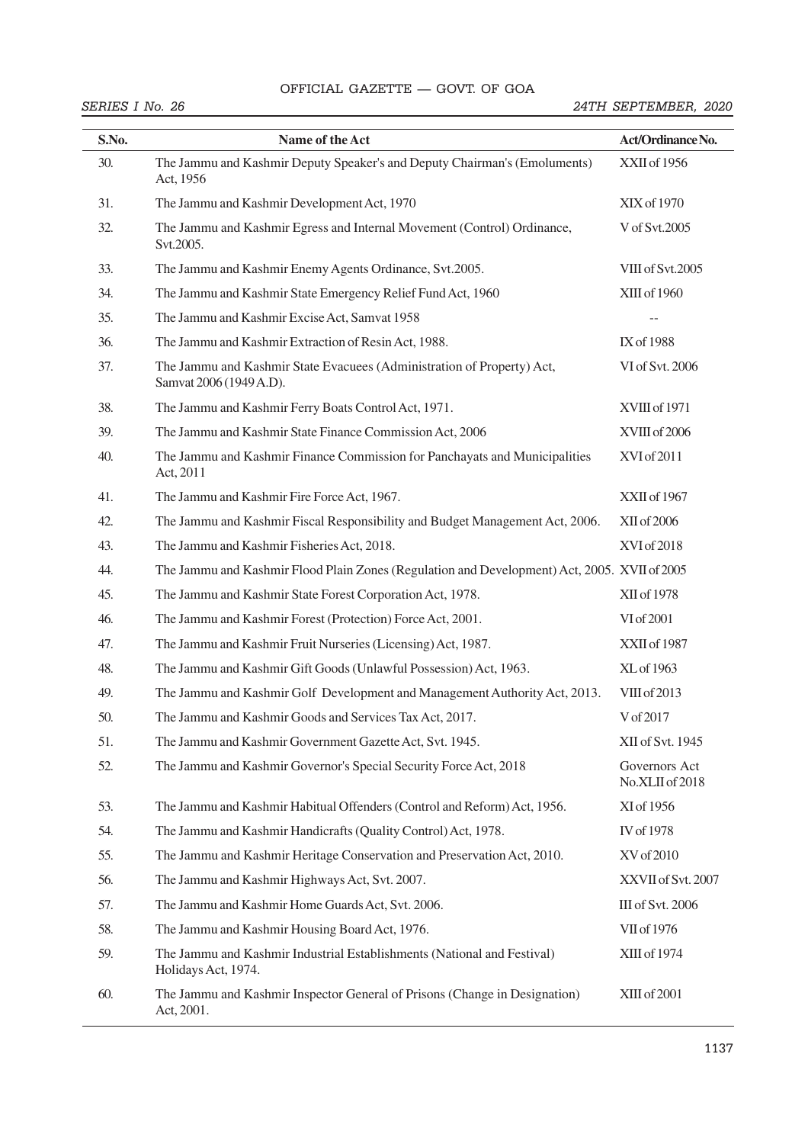# OFFICIAL GAZETTE — GOVT. OF GOA SEC. 1] THE GAZETTE OF INDIA EXTRAORDINARY 51

| S.No. | Name of the Act                                                                                   | Act/Ordinance No.                |  |  |
|-------|---------------------------------------------------------------------------------------------------|----------------------------------|--|--|
| 30.   | The Jammu and Kashmir Deputy Speaker's and Deputy Chairman's (Emoluments)<br>Act, 1956            | XXII of 1956                     |  |  |
| 31.   | The Jammu and Kashmir Development Act, 1970                                                       | XIX of 1970                      |  |  |
| 32.   | The Jammu and Kashmir Egress and Internal Movement (Control) Ordinance,<br>Svt.2005.              | V of Svt.2005                    |  |  |
| 33.   | The Jammu and Kashmir Enemy Agents Ordinance, Svt.2005.                                           | VIII of Svt.2005                 |  |  |
| 34.   | The Jammu and Kashmir State Emergency Relief Fund Act, 1960                                       | XIII of 1960                     |  |  |
| 35.   | The Jammu and Kashmir Excise Act, Samvat 1958                                                     |                                  |  |  |
| 36.   | The Jammu and Kashmir Extraction of Resin Act, 1988.                                              | IX of 1988                       |  |  |
| 37.   | The Jammu and Kashmir State Evacuees (Administration of Property) Act,<br>Samvat 2006 (1949 A.D). | VI of Svt. 2006                  |  |  |
| 38.   | The Jammu and Kashmir Ferry Boats Control Act, 1971.                                              | XVIII of 1971                    |  |  |
| 39.   | The Jammu and Kashmir State Finance Commission Act, 2006                                          | XVIII of 2006                    |  |  |
| 40.   | The Jammu and Kashmir Finance Commission for Panchayats and Municipalities<br>Act, 2011           | XVI of 2011                      |  |  |
| 41.   | The Jammu and Kashmir Fire Force Act, 1967.                                                       | XXII of 1967                     |  |  |
| 42.   | The Jammu and Kashmir Fiscal Responsibility and Budget Management Act, 2006.                      | XII of 2006                      |  |  |
| 43.   | The Jammu and Kashmir Fisheries Act, 2018.                                                        | XVI of 2018                      |  |  |
| 44.   | The Jammu and Kashmir Flood Plain Zones (Regulation and Development) Act, 2005. XVII of 2005      |                                  |  |  |
| 45.   | The Jammu and Kashmir State Forest Corporation Act, 1978.                                         | XII of 1978                      |  |  |
| 46.   | The Jammu and Kashmir Forest (Protection) Force Act, 2001.                                        | VI of 2001                       |  |  |
| 47.   | The Jammu and Kashmir Fruit Nurseries (Licensing) Act, 1987.                                      | XXII of 1987                     |  |  |
| 48.   | The Jammu and Kashmir Gift Goods (Unlawful Possession) Act, 1963.                                 | XL of 1963                       |  |  |
| 49.   | The Jammu and Kashmir Golf Development and Management Authority Act, 2013.                        | VIII of 2013                     |  |  |
| 50.   | The Jammu and Kashmir Goods and Services Tax Act, 2017.                                           | V of 2017                        |  |  |
| 51.   | The Jammu and Kashmir Government Gazette Act, Svt. 1945.                                          | XII of Svt. 1945                 |  |  |
| 52.   | The Jammu and Kashmir Governor's Special Security Force Act, 2018                                 | Governors Act<br>No.XLII of 2018 |  |  |
| 53.   | The Jammu and Kashmir Habitual Offenders (Control and Reform) Act, 1956.                          | XI of 1956                       |  |  |
| 54.   | The Jammu and Kashmir Handicrafts (Quality Control) Act, 1978.                                    | IV of 1978                       |  |  |
| 55.   | The Jammu and Kashmir Heritage Conservation and Preservation Act, 2010.                           | XV of 2010                       |  |  |
| 56.   | The Jammu and Kashmir Highways Act, Svt. 2007.                                                    | XXVII of Svt. 2007               |  |  |
| 57.   | The Jammu and Kashmir Home Guards Act, Svt. 2006.                                                 | III of Svt. 2006                 |  |  |
| 58.   | The Jammu and Kashmir Housing Board Act, 1976.                                                    | VII of 1976                      |  |  |
| 59.   | The Jammu and Kashmir Industrial Establishments (National and Festival)<br>Holidays Act, 1974.    | XIII of 1974                     |  |  |
| 60.   | The Jammu and Kashmir Inspector General of Prisons (Change in Designation)<br>Act, 2001.          | XIII of 2001                     |  |  |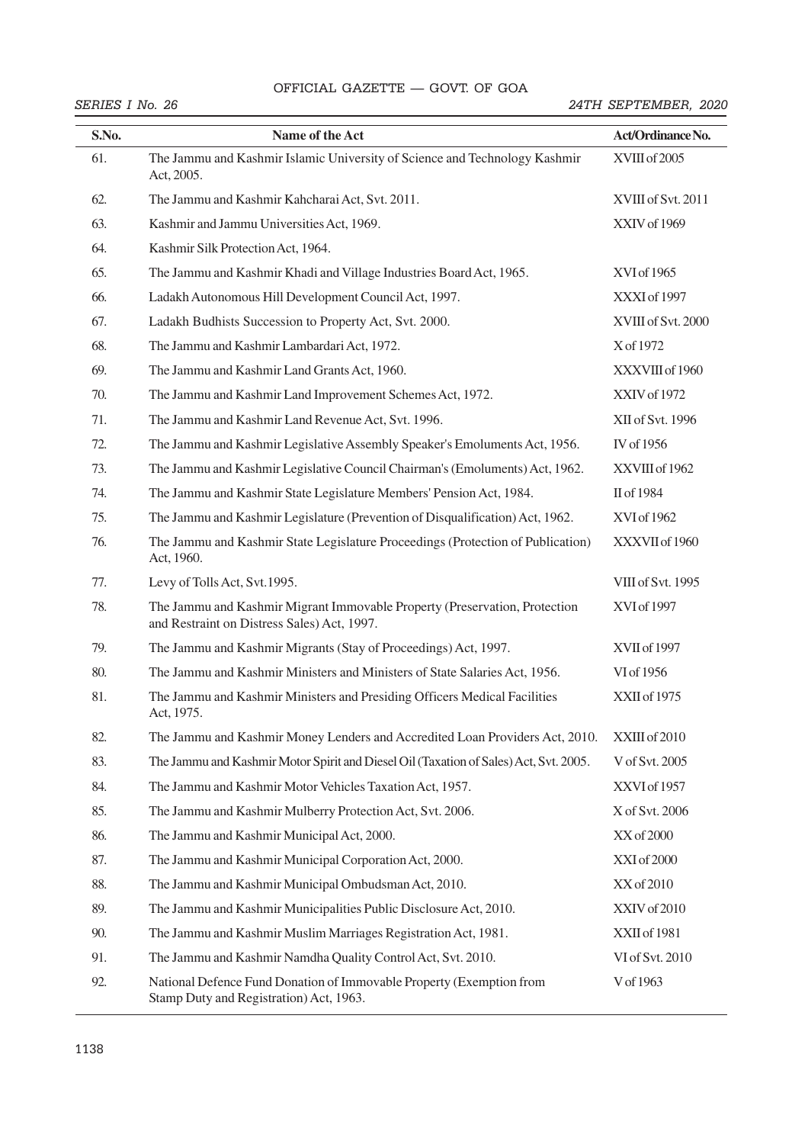## OFFICIAL GAZETTE — GOVT. OF GOA

| S.No. | Name of the Act                                                                                                           | Act/Ordinance No.  |  |  |
|-------|---------------------------------------------------------------------------------------------------------------------------|--------------------|--|--|
| 61.   | The Jammu and Kashmir Islamic University of Science and Technology Kashmir<br>Act, 2005.                                  | XVIII of 2005      |  |  |
| 62.   | The Jammu and Kashmir Kahcharai Act, Svt. 2011.                                                                           | XVIII of Svt. 2011 |  |  |
| 63.   | Kashmir and Jammu Universities Act, 1969.                                                                                 | XXIV of 1969       |  |  |
| 64.   | Kashmir Silk Protection Act, 1964.                                                                                        |                    |  |  |
| 65.   | The Jammu and Kashmir Khadi and Village Industries Board Act, 1965.                                                       | XVI of 1965        |  |  |
| 66.   | Ladakh Autonomous Hill Development Council Act, 1997.                                                                     | XXXI of 1997       |  |  |
| 67.   | Ladakh Budhists Succession to Property Act, Svt. 2000.                                                                    | XVIII of Svt. 2000 |  |  |
| 68.   | The Jammu and Kashmir Lambardari Act, 1972.                                                                               | X of 1972          |  |  |
| 69.   | The Jammu and Kashmir Land Grants Act, 1960.                                                                              | XXXVIII of 1960    |  |  |
| 70.   | The Jammu and Kashmir Land Improvement Schemes Act, 1972.                                                                 | XXIV of 1972       |  |  |
| 71.   | The Jammu and Kashmir Land Revenue Act, Svt. 1996.                                                                        | XII of Svt. 1996   |  |  |
| 72.   | The Jammu and Kashmir Legislative Assembly Speaker's Emoluments Act, 1956.                                                | IV of 1956         |  |  |
| 73.   | The Jammu and Kashmir Legislative Council Chairman's (Emoluments) Act, 1962.                                              | XXVIII of 1962     |  |  |
| 74.   | The Jammu and Kashmir State Legislature Members' Pension Act, 1984.                                                       | II of 1984         |  |  |
| 75.   | The Jammu and Kashmir Legislature (Prevention of Disqualification) Act, 1962.                                             | XVI of 1962        |  |  |
| 76.   | The Jammu and Kashmir State Legislature Proceedings (Protection of Publication)<br>Act, 1960.                             | XXXVII of 1960     |  |  |
| 77.   | Levy of Tolls Act, Svt.1995.                                                                                              | VIII of Svt. 1995  |  |  |
| 78.   | The Jammu and Kashmir Migrant Immovable Property (Preservation, Protection<br>and Restraint on Distress Sales) Act, 1997. | XVI of 1997        |  |  |
| 79.   | The Jammu and Kashmir Migrants (Stay of Proceedings) Act, 1997.                                                           | XVII of 1997       |  |  |
| 80.   | The Jammu and Kashmir Ministers and Ministers of State Salaries Act, 1956.                                                | VI of 1956         |  |  |
| 81.   | The Jammu and Kashmir Ministers and Presiding Officers Medical Facilities<br>Act, 1975.                                   | XXII of 1975       |  |  |
| 82.   | The Jammu and Kashmir Money Lenders and Accredited Loan Providers Act, 2010.                                              | XXIII of 2010      |  |  |
| 83.   | The Jammu and Kashmir Motor Spirit and Diesel Oil (Taxation of Sales) Act, Svt. 2005.                                     | V of Svt. 2005     |  |  |
| 84.   | The Jammu and Kashmir Motor Vehicles Taxation Act, 1957.                                                                  | XXVI of 1957       |  |  |
| 85.   | The Jammu and Kashmir Mulberry Protection Act, Svt. 2006.                                                                 | X of Svt. 2006     |  |  |
| 86.   | The Jammu and Kashmir Municipal Act, 2000.                                                                                | XX of 2000         |  |  |
| 87.   | The Jammu and Kashmir Municipal Corporation Act, 2000.                                                                    | XXI of 2000        |  |  |
| 88.   | The Jammu and Kashmir Municipal Ombudsman Act, 2010.                                                                      | XX of 2010         |  |  |
| 89.   | The Jammu and Kashmir Municipalities Public Disclosure Act, 2010.                                                         | XXIV of 2010       |  |  |
| 90.   | The Jammu and Kashmir Muslim Marriages Registration Act, 1981.                                                            | XXII of 1981       |  |  |
| 91.   | The Jammu and Kashmir Namdha Quality Control Act, Svt. 2010.                                                              | VI of Svt. 2010    |  |  |
| 92.   | National Defence Fund Donation of Immovable Property (Exemption from<br>Stamp Duty and Registration) Act, 1963.           | V of 1963          |  |  |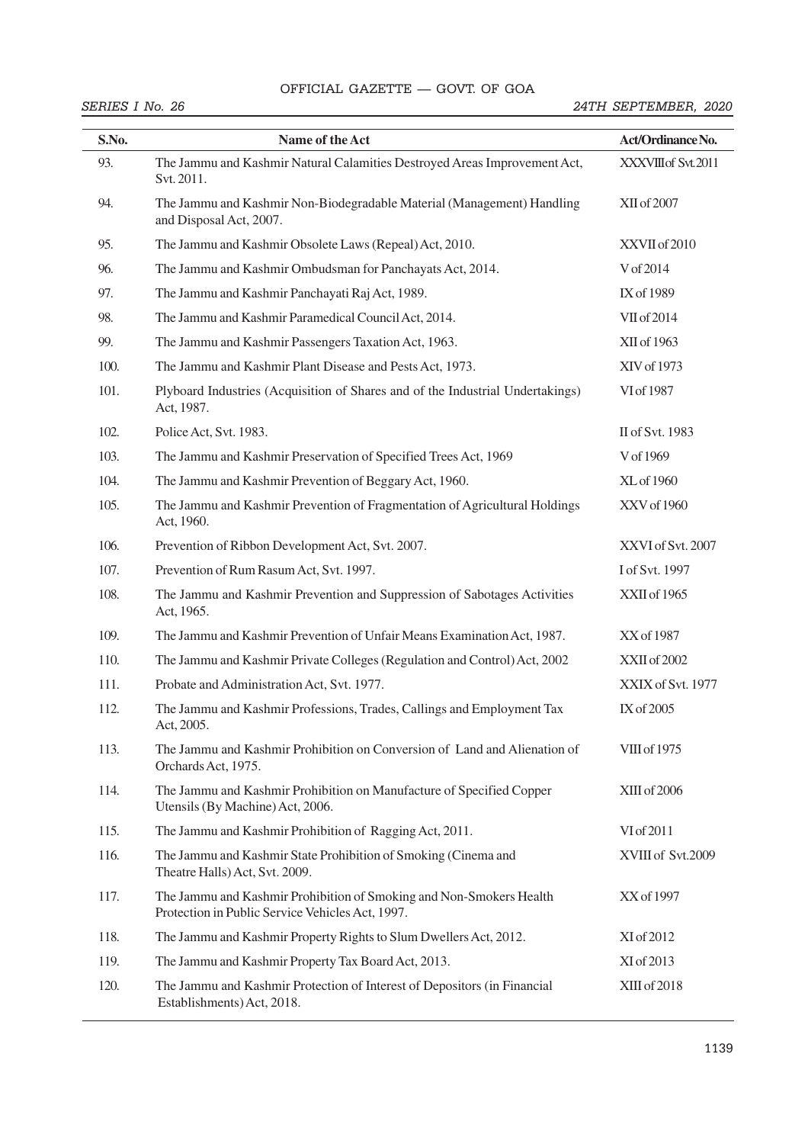# OFFICIAL GAZETTE — GOVT. OF GOA SEC. 1] THE GAZETTE OF INDIA EXTRAORDINARY 53

| S.No. | Name of the Act                                                                                                         | Act/Ordinance No.   |  |  |
|-------|-------------------------------------------------------------------------------------------------------------------------|---------------------|--|--|
| 93.   | The Jammu and Kashmir Natural Calamities Destroyed Areas Improvement Act,<br>Svt. 2011.                                 | XXXVIII of Svt.2011 |  |  |
| 94.   | The Jammu and Kashmir Non-Biodegradable Material (Management) Handling<br>and Disposal Act, 2007.                       | XII of 2007         |  |  |
| 95.   | The Jammu and Kashmir Obsolete Laws (Repeal) Act, 2010.                                                                 | XXVII of 2010       |  |  |
| 96.   | The Jammu and Kashmir Ombudsman for Panchayats Act, 2014.                                                               | V of 2014           |  |  |
| 97.   | The Jammu and Kashmir Panchayati Raj Act, 1989.                                                                         | IX of 1989          |  |  |
| 98.   | The Jammu and Kashmir Paramedical Council Act, 2014.                                                                    | VII of 2014         |  |  |
| 99.   | The Jammu and Kashmir Passengers Taxation Act, 1963.                                                                    | XII of 1963         |  |  |
| 100.  | The Jammu and Kashmir Plant Disease and Pests Act, 1973.                                                                | XIV of 1973         |  |  |
| 101.  | Plyboard Industries (Acquisition of Shares and of the Industrial Undertakings)<br>Act, 1987.                            | VI of 1987          |  |  |
| 102.  | Police Act, Svt. 1983.                                                                                                  | II of Svt. 1983     |  |  |
| 103.  | The Jammu and Kashmir Preservation of Specified Trees Act, 1969                                                         | V of 1969           |  |  |
| 104.  | The Jammu and Kashmir Prevention of Beggary Act, 1960.                                                                  | XL of 1960          |  |  |
| 105.  | The Jammu and Kashmir Prevention of Fragmentation of Agricultural Holdings<br>Act, 1960.                                | XXV of 1960         |  |  |
| 106.  | Prevention of Ribbon Development Act, Svt. 2007.                                                                        | XXVI of Svt. 2007   |  |  |
| 107.  | Prevention of Rum Rasum Act, Svt. 1997.                                                                                 | I of Svt. 1997      |  |  |
| 108.  | The Jammu and Kashmir Prevention and Suppression of Sabotages Activities<br>Act, 1965.                                  | XXII of 1965        |  |  |
| 109.  | The Jammu and Kashmir Prevention of Unfair Means Examination Act, 1987.                                                 | XX of 1987          |  |  |
| 110.  | The Jammu and Kashmir Private Colleges (Regulation and Control) Act, 2002                                               | XXII of 2002        |  |  |
| 111.  | Probate and Administration Act, Svt. 1977.                                                                              | XXIX of Svt. 1977   |  |  |
| 112.  | The Jammu and Kashmir Professions, Trades, Callings and Employment Tax<br>Act, 2005.                                    | IX of 2005          |  |  |
| 113.  | The Jammu and Kashmir Prohibition on Conversion of Land and Alienation of<br>Orchards Act, 1975.                        | VIII of 1975        |  |  |
| 114.  | The Jammu and Kashmir Prohibition on Manufacture of Specified Copper<br>Utensils (By Machine) Act, 2006.                | XIII of 2006        |  |  |
| 115.  | The Jammu and Kashmir Prohibition of Ragging Act, 2011.                                                                 | VI of 2011          |  |  |
| 116.  | The Jammu and Kashmir State Prohibition of Smoking (Cinema and<br>Theatre Halls) Act, Svt. 2009.                        | XVIII of Svt.2009   |  |  |
| 117.  | The Jammu and Kashmir Prohibition of Smoking and Non-Smokers Health<br>Protection in Public Service Vehicles Act, 1997. | XX of 1997          |  |  |
| 118.  | The Jammu and Kashmir Property Rights to Slum Dwellers Act, 2012.                                                       | XI of 2012          |  |  |
| 119.  | The Jammu and Kashmir Property Tax Board Act, 2013.                                                                     | XI of 2013          |  |  |
| 120.  | The Jammu and Kashmir Protection of Interest of Depositors (in Financial<br>Establishments) Act, 2018.                  | XIII of 2018        |  |  |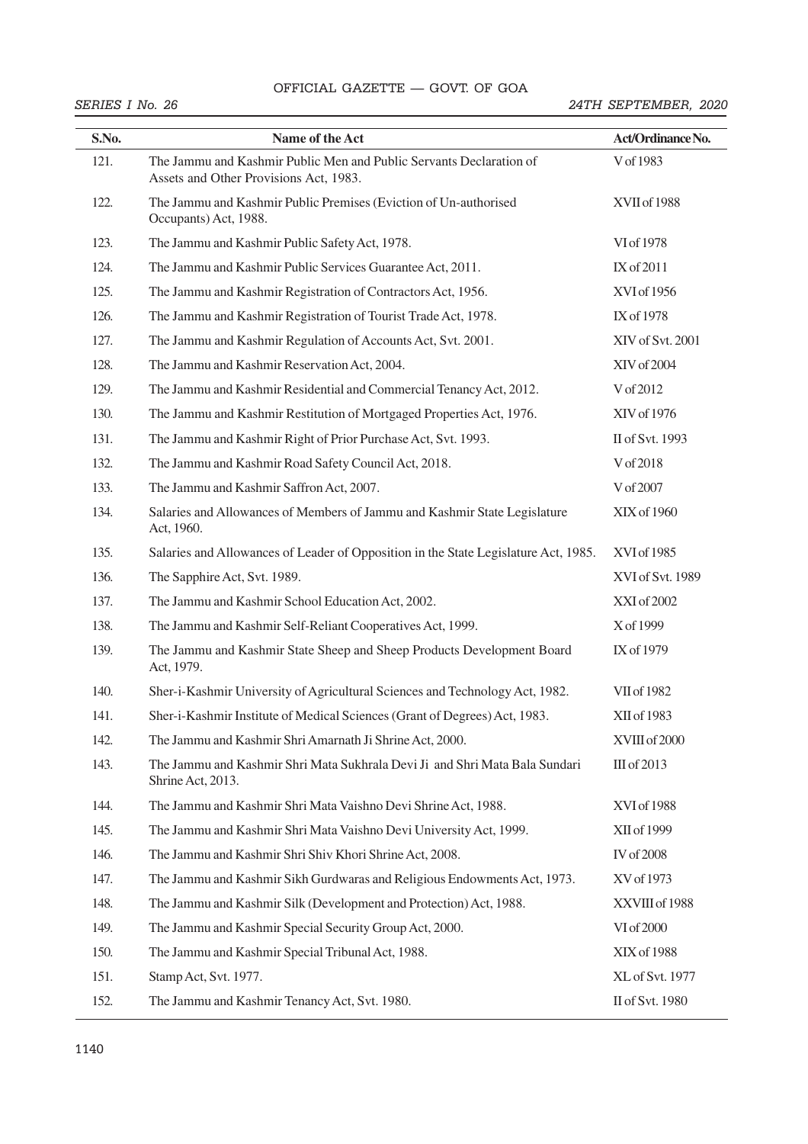# OFFICIAL GAZETTE — GOVT. OF GOA 54 THE GAZETTE OF INDIA EXTRAORDINARY [PART II—

| S.No. | Name of the Act                                                                                               | Act/Ordinance No. |  |  |
|-------|---------------------------------------------------------------------------------------------------------------|-------------------|--|--|
| 121.  | The Jammu and Kashmir Public Men and Public Servants Declaration of<br>Assets and Other Provisions Act, 1983. | V of 1983         |  |  |
| 122.  | The Jammu and Kashmir Public Premises (Eviction of Un-authorised<br>Occupants) Act, 1988.                     | XVII of 1988      |  |  |
| 123.  | The Jammu and Kashmir Public Safety Act, 1978.                                                                | VI of 1978        |  |  |
| 124.  | The Jammu and Kashmir Public Services Guarantee Act, 2011.                                                    | IX of 2011        |  |  |
| 125.  | The Jammu and Kashmir Registration of Contractors Act, 1956.                                                  | XVI of 1956       |  |  |
| 126.  | The Jammu and Kashmir Registration of Tourist Trade Act, 1978.                                                | IX of 1978        |  |  |
| 127.  | The Jammu and Kashmir Regulation of Accounts Act, Svt. 2001.                                                  | XIV of Svt. 2001  |  |  |
| 128.  | The Jammu and Kashmir Reservation Act, 2004.                                                                  | XIV of 2004       |  |  |
| 129.  | The Jammu and Kashmir Residential and Commercial Tenancy Act, 2012.                                           | V of 2012         |  |  |
| 130.  | The Jammu and Kashmir Restitution of Mortgaged Properties Act, 1976.                                          | XIV of 1976       |  |  |
| 131.  | The Jammu and Kashmir Right of Prior Purchase Act, Svt. 1993.                                                 | II of Svt. 1993   |  |  |
| 132.  | The Jammu and Kashmir Road Safety Council Act, 2018.                                                          | V of 2018         |  |  |
| 133.  | The Jammu and Kashmir Saffron Act, 2007.                                                                      | V of 2007         |  |  |
| 134.  | Salaries and Allowances of Members of Jammu and Kashmir State Legislature<br>Act, 1960.                       | XIX of 1960       |  |  |
| 135.  | Salaries and Allowances of Leader of Opposition in the State Legislature Act, 1985.                           | XVI of 1985       |  |  |
| 136.  | The Sapphire Act, Svt. 1989.                                                                                  | XVI of Svt. 1989  |  |  |
| 137.  | The Jammu and Kashmir School Education Act, 2002.                                                             | XXI of 2002       |  |  |
| 138.  | The Jammu and Kashmir Self-Reliant Cooperatives Act, 1999.                                                    | X of 1999         |  |  |
| 139.  | The Jammu and Kashmir State Sheep and Sheep Products Development Board<br>Act, 1979.                          | IX of 1979        |  |  |
| 140.  | Sher-i-Kashmir University of Agricultural Sciences and Technology Act, 1982.                                  | VII of 1982       |  |  |
| 141.  | Sher-i-Kashmir Institute of Medical Sciences (Grant of Degrees) Act, 1983.                                    | XII of 1983       |  |  |
| 142.  | The Jammu and Kashmir Shri Amarnath Ji Shrine Act, 2000.                                                      | XVIII of 2000     |  |  |
| 143.  | The Jammu and Kashmir Shri Mata Sukhrala Devi Ji and Shri Mata Bala Sundari<br>Shrine Act, 2013.              | III of 2013       |  |  |
| 144.  | The Jammu and Kashmir Shri Mata Vaishno Devi Shrine Act, 1988.                                                | XVI of 1988       |  |  |
| 145.  | The Jammu and Kashmir Shri Mata Vaishno Devi University Act, 1999.                                            | XII of 1999       |  |  |
| 146.  | The Jammu and Kashmir Shri Shiv Khori Shrine Act, 2008.                                                       | IV of 2008        |  |  |
| 147.  | The Jammu and Kashmir Sikh Gurdwaras and Religious Endowments Act, 1973.                                      | XV of 1973        |  |  |
| 148.  | The Jammu and Kashmir Silk (Development and Protection) Act, 1988.                                            | XXVIII of 1988    |  |  |
| 149.  | The Jammu and Kashmir Special Security Group Act, 2000.                                                       | VI of 2000        |  |  |
| 150.  | The Jammu and Kashmir Special Tribunal Act, 1988.                                                             | XIX of 1988       |  |  |
| 151.  | Stamp Act, Svt. 1977.                                                                                         | XL of Svt. 1977   |  |  |
| 152.  | The Jammu and Kashmir Tenancy Act, Svt. 1980.                                                                 | II of Svt. 1980   |  |  |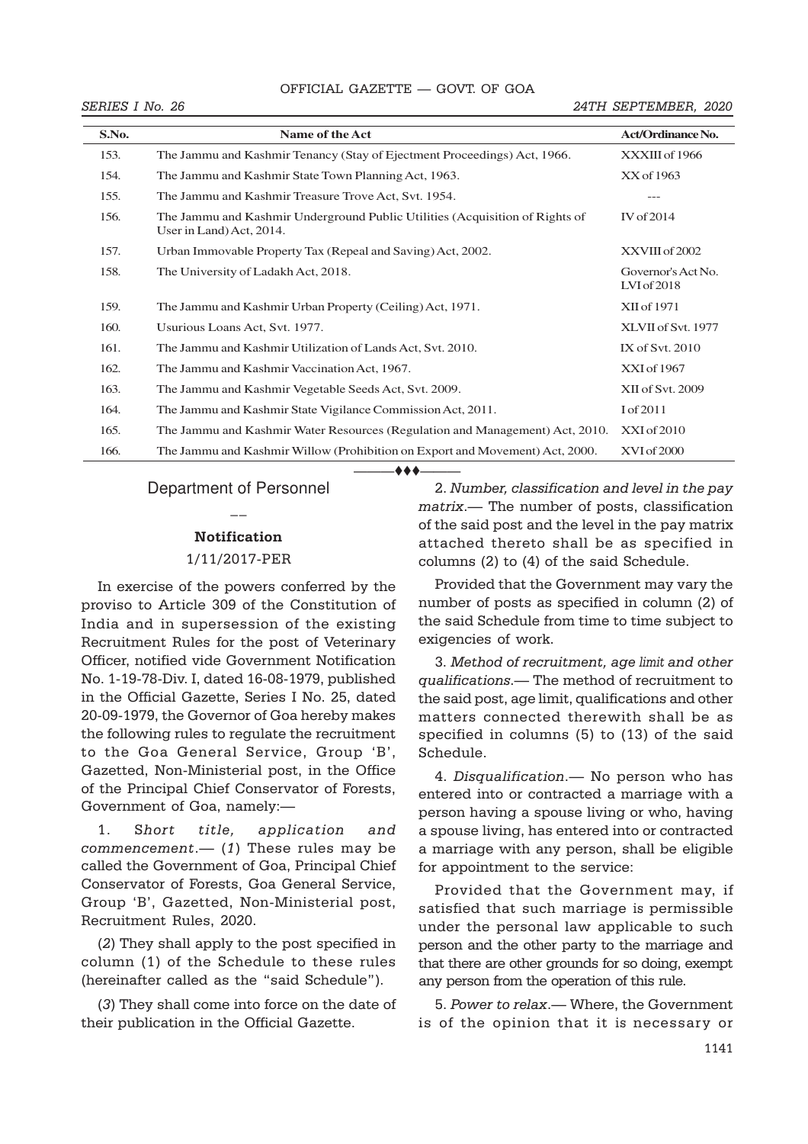#### OFFICIAL GAZETTE — GOVT. OF GOA SECTION OF THE GAZETTE OF THE GAZETTE OF THE GAZETTE OF THE GAZETTE OF THE GAZETTE OF THE GAZETTE OF THE GAZET

#### SERIES I No. 26 24TH SEPTEMBER, 2020

| S.No. | Name of the Act                                                                                          | <b>Act/Ordinance No.</b>          |
|-------|----------------------------------------------------------------------------------------------------------|-----------------------------------|
| 153.  | The Jammu and Kashmir Tenancy (Stay of Ejectment Proceedings) Act, 1966.                                 | XXXIII of 1966                    |
| 154.  | The Jammu and Kashmir State Town Planning Act, 1963.                                                     | XX of 1963                        |
| 155.  | The Jammu and Kashmir Treasure Trove Act, Svt. 1954.                                                     | ---                               |
| 156.  | The Jammu and Kashmir Underground Public Utilities (Acquisition of Rights of<br>User in Land) Act, 2014. | IV of 2014                        |
| 157.  | Urban Immovable Property Tax (Repeal and Saving) Act, 2002.                                              | XXVIII of 2002                    |
| 158.  | The University of Ladakh Act, 2018.                                                                      | Governor's Act No.<br>LVI of 2018 |
| 159.  | The Jammu and Kashmir Urban Property (Ceiling) Act, 1971.                                                | XII of 1971                       |
| 160.  | Usurious Loans Act, Svt. 1977.                                                                           | XLVII of Svt. 1977                |
| 161.  | The Jammu and Kashmir Utilization of Lands Act, Svt. 2010.                                               | IX of Svt. 2010                   |
| 162.  | The Jammu and Kashmir Vaccination Act, 1967.                                                             | XXI of 1967                       |
| 163.  | The Jammu and Kashmir Vegetable Seeds Act, Svt. 2009.                                                    | XII of Svt. 2009                  |
| 164.  | The Jammu and Kashmir State Vigilance Commission Act, 2011.                                              | I of 2011                         |
| 165.  | The Jammu and Kashmir Water Resources (Regulation and Management) Act, 2010.                             | XXI of 2010                       |
| 166.  | The Jammu and Kashmir Willow (Prohibition on Export and Movement) Act, 2000.                             | XVI of 2000                       |

———ttt———

# Department of Personnel  $\overline{a}$

#### Notification

#### 1/11/2017-PER

In exercise of the powers conferred by the proviso to Article 309 of the Constitution of India and in supersession of the existing Recruitment Rules for the post of Veterinary Officer, notified vide Government Notification No. 1-19-78-Div. I, dated 16-08-1979, published in the Official Gazette, Series I No. 25, dated 20-09-1979, the Governor of Goa hereby makes the following rules to regulate the recruitment to the Goa General Service, Group 'B', Gazetted, Non-Ministerial post, in the Office of the Principal Chief Conservator of Forests, Government of Goa, namely:—

 $\mathit{comment}$   $\mathit{(-1)}$  These rules may be a marriage with any person, shall be 1. Short title, application and called the Government of Goa, Principal Chief Conservator of Forests, Goa General Service, Group 'B', Gazetted, Non-Ministerial post, Recruitment Rules, 2020.

(2) They shall apply to the post specified in column (1) of the Schedule to these rules (hereinafter called as the "said Schedule").

(3) They shall come into force on the date of their publication in the Official Gazette.

———— of the said post and the level in the pay matrix 2. Number, classification and level in the pay matrix.— The number of posts, classification attached thereto shall be as specified in columns (2) to (4) of the said Schedule.

Provided that the Government may vary the *Secretary to the Govt. of India.* number of posts as specified in column (2) of the said Schedule from time to time subject to exigencies of work.

3. Method of recruitment, age limit and other qualifications.— The method of recruitment to the said post, age limit, qualifications and other matters connected therewith shall be as specified in columns (5) to (13) of the said Schedule.

- (1) These rules may be a marriage with any person, shall be eligible 4. Disqualification.— No person who has entered into or contracted a marriage with a person having a spouse living or who, having a spouse living, has entered into or contracted for appointment to the service:

> Provided that the Government may, if satisfied that such marriage is permissible under the personal law applicable to such person and the other party to the marriage and that there are other grounds for so doing, exempt any person from the operation of this rule.

> 5. Power to relax.— Where, the Government is of the opinion that it is necessary or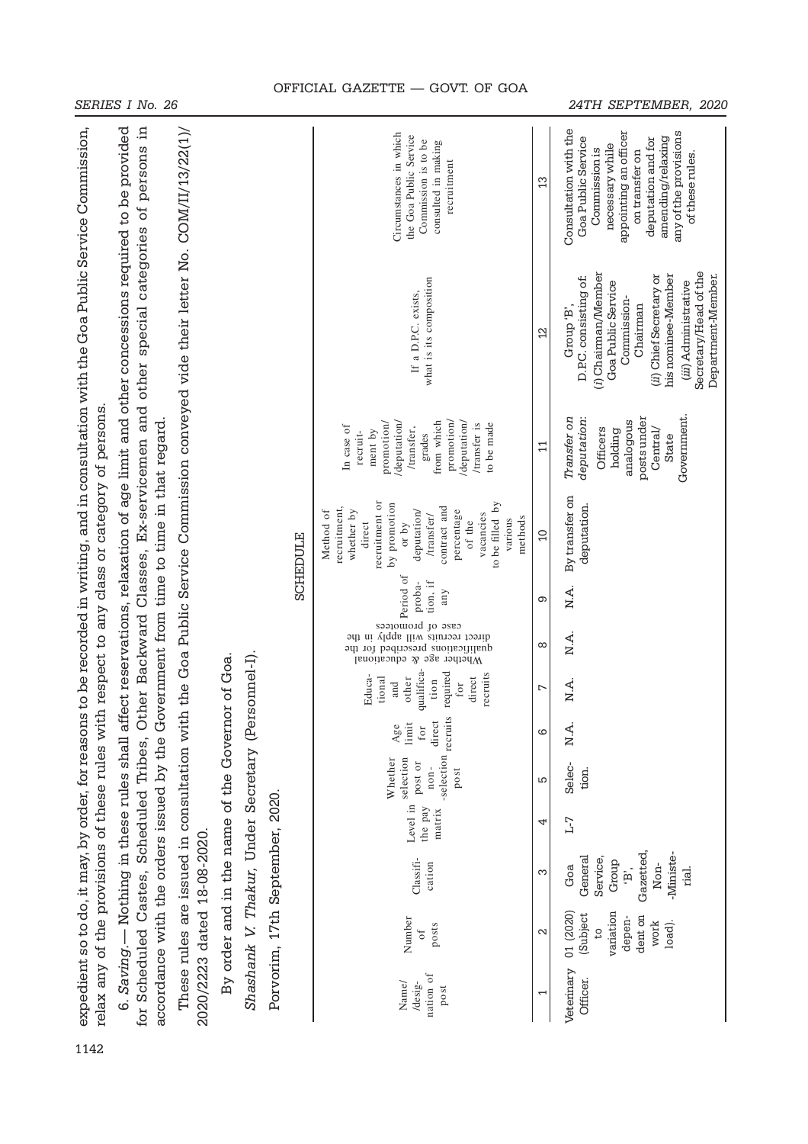|                                                                                                                                                                                                                                                                                                                                                                                                             |                                                                                                                               |                                                                                 |  |                                                    | <b>SCHEDULE</b>                 | Circumstances in which<br>the Goa Public Service<br>Commission is to be<br>consulted in making<br>recruitment                                                                                                           | 3                   | Consultation with the<br>appointing an officer<br>any of the provisions<br>amending/relaxing<br>Goa Public Service<br>deputation and for<br>necessary while<br>Commission is<br>on transfer on<br>of these rules                   |                                                                                     |  |  |  |  |                               |   |       |  |  |  |  |                                                                                                 |   |                                                                        |    |                 |  |  |  |  |  |  |  |                               |   |      |
|-------------------------------------------------------------------------------------------------------------------------------------------------------------------------------------------------------------------------------------------------------------------------------------------------------------------------------------------------------------------------------------------------------------|-------------------------------------------------------------------------------------------------------------------------------|---------------------------------------------------------------------------------|--|----------------------------------------------------|---------------------------------|-------------------------------------------------------------------------------------------------------------------------------------------------------------------------------------------------------------------------|---------------------|------------------------------------------------------------------------------------------------------------------------------------------------------------------------------------------------------------------------------------|-------------------------------------------------------------------------------------|--|--|--|--|-------------------------------|---|-------|--|--|--|--|-------------------------------------------------------------------------------------------------|---|------------------------------------------------------------------------|----|-----------------|--|--|--|--|--|--|--|-------------------------------|---|------|
| 6. Saving.— Nothing in these rules shall affect reservations, relaxation of age limit and other concessions required to be provided<br>for Scheduled Castes, Scheduled Tribes, Other Backward Classes, Ex-servicemen and other special categories of persons in<br>expedient so to do, it may, by order, for reasons to be recorded in writing, and in consultation with the Goa Public Service Commission, | These rules are issued in consultation with the Goa Public Service Commission conveyed vide their letter No. COM/II/13/22(1)/ |                                                                                 |  | Shashank V. Thakur, Under Secretary (Personnel-I). |                                 | what is its composition<br>If a D.P.C. exists,                                                                                                                                                                          | $\overline{2}$      | Secretary/Head of the<br>(i) Chairman/Member<br>(ii) Chief Secretary or<br>his nominee-Member<br>Department-Member.<br>D.P.C. consisting of:<br>Goa Public Service<br>(iii) Administrative<br>Commission-<br>Chairman<br>Group 'B' |                                                                                     |  |  |  |  |                               |   |       |  |  |  |  |                                                                                                 |   |                                                                        |    |                 |  |  |  |  |  |  |  |                               |   |      |
|                                                                                                                                                                                                                                                                                                                                                                                                             |                                                                                                                               |                                                                                 |  |                                                    |                                 | promotion/<br>/deputation/<br>/deputation/<br>promotion<br>from which<br>/transfer is<br>to be made<br>In case of<br>/transfer,<br>ment by<br>recruit-<br>grades                                                        | $\Xi$               | Government.<br>posts under<br>Transfer on<br>deputation:<br>analogous<br>Officers<br>Central/<br>holding<br>State                                                                                                                  |                                                                                     |  |  |  |  |                               |   |       |  |  |  |  |                                                                                                 |   |                                                                        |    |                 |  |  |  |  |  |  |  |                               |   |      |
| relax any of the provisions of these rules with respect to any class or category of persons                                                                                                                                                                                                                                                                                                                 | accordance with the orders issued by the Government from time to time in that regard                                          |                                                                                 |  |                                                    |                                 | recruitment or<br>by promotion<br>to be filled by<br>contract and<br>recruitment,<br>whether by<br>deputation/<br>percentage<br>Method of<br>vacancies<br>/transfer/<br>methods<br>various<br>of the<br>direct<br>or by | $\Omega$            | By transfer on<br>deputation.                                                                                                                                                                                                      |                                                                                     |  |  |  |  |                               |   |       |  |  |  |  |                                                                                                 |   |                                                                        |    |                 |  |  |  |  |  |  |  |                               |   |      |
|                                                                                                                                                                                                                                                                                                                                                                                                             |                                                                                                                               |                                                                                 |  |                                                    |                                 | sequence of<br>Period of<br>Period ion, if<br>any<br>any                                                                                                                                                                | တ                   | N.A.                                                                                                                                                                                                                               |                                                                                     |  |  |  |  |                               |   |       |  |  |  |  |                                                                                                 |   |                                                                        |    |                 |  |  |  |  |  |  |  |                               |   |      |
|                                                                                                                                                                                                                                                                                                                                                                                                             |                                                                                                                               |                                                                                 |  |                                                    |                                 | recruits will apply in the<br>direct<br>qualifications prescribed for the<br>Whether age<br>equestional<br>$\mathcal{R}$                                                                                                | $\infty$            | N.A.                                                                                                                                                                                                                               |                                                                                     |  |  |  |  |                               |   |       |  |  |  |  |                                                                                                 |   |                                                                        |    |                 |  |  |  |  |  |  |  |                               |   |      |
|                                                                                                                                                                                                                                                                                                                                                                                                             |                                                                                                                               |                                                                                 |  |                                                    |                                 |                                                                                                                                                                                                                         |                     |                                                                                                                                                                                                                                    |                                                                                     |  |  |  |  |                               |   |       |  |  |  |  | qualifica-<br>required<br>recruits<br>Educa-<br>direct<br>other<br>tional<br>tion<br>for<br>and | L | N.A.                                                                   |    |                 |  |  |  |  |  |  |  |                               |   |      |
|                                                                                                                                                                                                                                                                                                                                                                                                             |                                                                                                                               | By order and in the name of the Governor of Goa.<br>2020/2223 dated 18-08-2020. |  |                                                    |                                 |                                                                                                                                                                                                                         |                     |                                                                                                                                                                                                                                    |                                                                                     |  |  |  |  |                               |   |       |  |  |  |  |                                                                                                 |   |                                                                        |    |                 |  |  |  |  |  |  |  | Age<br>limit<br>for<br>direct | ဖ | N.A. |
|                                                                                                                                                                                                                                                                                                                                                                                                             |                                                                                                                               |                                                                                 |  |                                                    | Porvorim, 17th September, 2020. |                                                                                                                                                                                                                         |                     |                                                                                                                                                                                                                                    |                                                                                     |  |  |  |  |                               |   |       |  |  |  |  |                                                                                                 |   | -selection recruits<br>selection<br>Whether<br>post or<br>non-<br>post | LO | Selec-<br>tion. |  |  |  |  |  |  |  |                               |   |      |
|                                                                                                                                                                                                                                                                                                                                                                                                             |                                                                                                                               |                                                                                 |  |                                                    |                                 |                                                                                                                                                                                                                         |                     |                                                                                                                                                                                                                                    |                                                                                     |  |  |  |  | Level in<br>the pay<br>matrix | 4 | $L-7$ |  |  |  |  |                                                                                                 |   |                                                                        |    |                 |  |  |  |  |  |  |  |                               |   |      |
|                                                                                                                                                                                                                                                                                                                                                                                                             |                                                                                                                               |                                                                                 |  |                                                    |                                 |                                                                                                                                                                                                                         | Classifi-<br>cation | က                                                                                                                                                                                                                                  | Gazetted,<br>-Ministe-<br>General<br>Service<br>Group<br>Non-<br>Goa<br>rial.<br>ë, |  |  |  |  |                               |   |       |  |  |  |  |                                                                                                 |   |                                                                        |    |                 |  |  |  |  |  |  |  |                               |   |      |
|                                                                                                                                                                                                                                                                                                                                                                                                             |                                                                                                                               |                                                                                 |  |                                                    |                                 | Number<br>posts<br>$\circ$ f                                                                                                                                                                                            | N                   | 01 (2020)<br>variation<br>(Subject<br>dent on<br>depen-<br>load).<br>work<br>$\overline{c}$                                                                                                                                        |                                                                                     |  |  |  |  |                               |   |       |  |  |  |  |                                                                                                 |   |                                                                        |    |                 |  |  |  |  |  |  |  |                               |   |      |
|                                                                                                                                                                                                                                                                                                                                                                                                             |                                                                                                                               |                                                                                 |  |                                                    |                                 | nation of<br>Name/<br>/desig-<br>post                                                                                                                                                                                   | ſ                   | Veterinary<br>Officer.                                                                                                                                                                                                             |                                                                                     |  |  |  |  |                               |   |       |  |  |  |  |                                                                                                 |   |                                                                        |    |                 |  |  |  |  |  |  |  |                               |   |      |
| 1142                                                                                                                                                                                                                                                                                                                                                                                                        |                                                                                                                               |                                                                                 |  |                                                    |                                 |                                                                                                                                                                                                                         |                     |                                                                                                                                                                                                                                    |                                                                                     |  |  |  |  |                               |   |       |  |  |  |  |                                                                                                 |   |                                                                        |    |                 |  |  |  |  |  |  |  |                               |   |      |

# OFFICIAL GAZETTE — GOVT. OF GOA